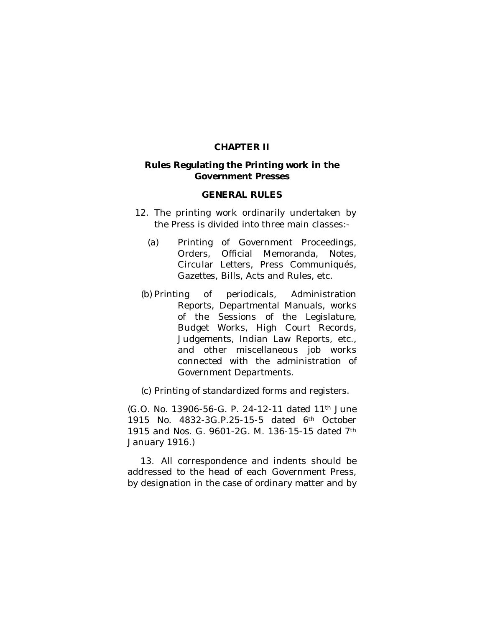#### **CHAPTER II**

#### **Rules Regulating the Printing work in the Government Presses**

#### **GENERAL RULES**

- 12. The printing work ordinarily undertaken by the Press is divided into three main classes:-
	- (a) Printing of Government Proceedings, Orders, Official Memoranda, Notes, Circular Letters, Press Communiqués, Gazettes, Bills, Acts and Rules, etc.
	- (b) Printing of periodicals, Administration Reports, Departmental Manuals, works of the Sessions of the Legislature, Budget Works, High Court Records, Judgements, Indian Law Reports, etc., and other miscellaneous job works connected with the administration of Government Departments.
	- (c) Printing of standardized forms and registers.

(G.O. No. 13906-56-G. P. 24-12-11 dated 11th June 1915 No. 4832-3G.P.25-15-5 dated 6th October 1915 and Nos. G. 9601-2G. M. 136-15-15 dated 7th January 1916.)

13. All correspondence and indents should be addressed to the head of each Government Press, by designation in the case of ordinary matter and by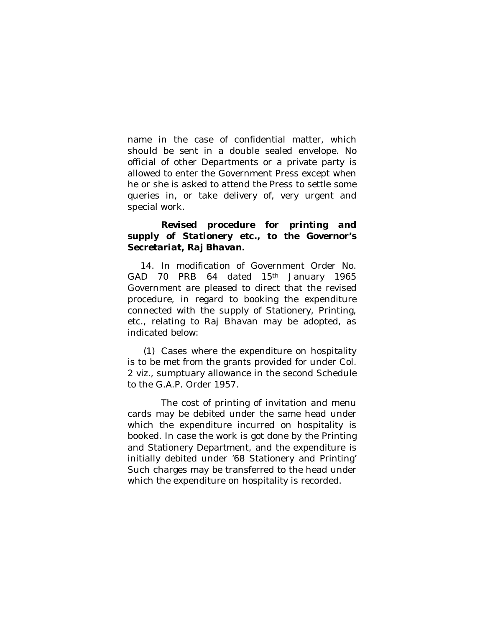name in the case of confidential matter, which should be sent in a double sealed envelope. No official of other Departments or a private party is allowed to enter the Government Press except when he or she is asked to attend the Press to settle some queries in, or take delivery of, very urgent and special work.

## *Revised procedure for printing and supply of Stationery etc., to the Governor's Secretariat, Raj Bhavan.*

14. In modification of Government Order No. GAD 70 PRB 64 dated 15th January 1965 Government are pleased to direct that the revised procedure, in regard to booking the expenditure connected with the supply of Stationery, Printing, etc., relating to Raj Bhavan may be adopted, as indicated below:

(1) Cases where the expenditure on hospitality is to be met from the grants provided for under Col. 2 *viz.,* sumptuary allowance in the second Schedule to the G.A.P. Order 1957.

The cost of printing of invitation and menu cards may be debited under the same head under which the expenditure incurred on hospitality is booked. In case the work is got done by the Printing and Stationery Department, and the expenditure is initially debited under '68 Stationery and Printing' Such charges may be transferred to the head under which the expenditure on hospitality is recorded.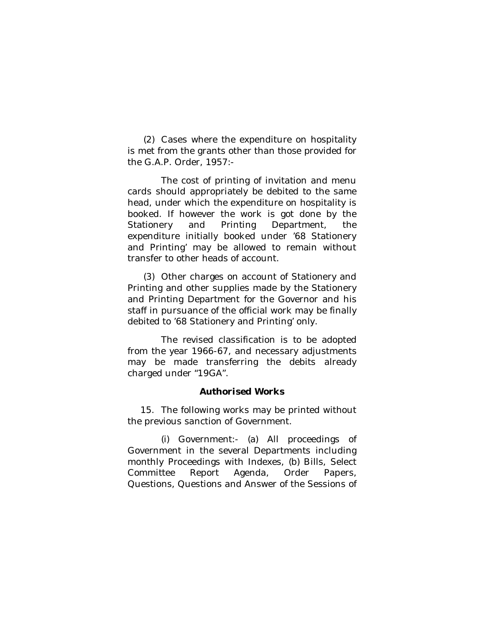(2) Cases where the expenditure on hospitality is met from the grants other than those provided for the G.A.P. Order, 1957:-

The cost of printing of invitation and menu cards should appropriately be debited to the same head, under which the expenditure on hospitality is booked. If however the work is got done by the Stationery and Printing Department, the expenditure initially booked under '68 Stationery and Printing' may be allowed to remain without transfer to other heads of account.

(3) Other charges on account of Stationery and Printing and other supplies made by the Stationery and Printing Department for the Governor and his staff in pursuance of the official work may be finally debited to '68 Stationery and Printing' only.

The revised classification is to be adopted from the year 1966-67, and necessary adjustments may be made transferring the debits already charged under "19GA".

#### *Authorised Works*

15. The following works may be printed without the previous sanction of Government.

(i) Government:- (a) All proceedings of Government in the several Departments including monthly Proceedings with Indexes, (b) Bills, Select Committee Report Agenda, Order Papers, Questions, Questions and Answer of the Sessions of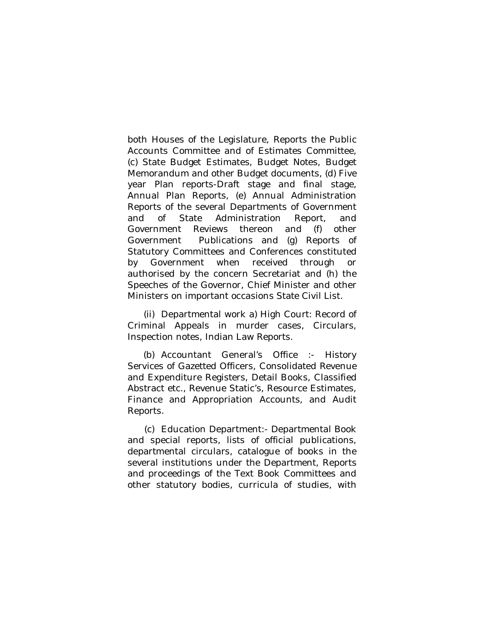both Houses of the Legislature, Reports the Public Accounts Committee and of Estimates Committee, (c) State Budget Estimates, Budget Notes, Budget Memorandum and other Budget documents, (d) Five year Plan reports-Draft stage and final stage, Annual Plan Reports, (e) Annual Administration Reports of the several Departments of Government and of State Administration Report, and Government Reviews thereon and (f) other Government Publications and (g) Reports of Statutory Committees and Conferences constituted by Government when received through or authorised by the concern Secretariat and (h) the Speeches of the Governor, Chief Minister and other Ministers on important occasions State Civil List.

(ii) Departmental work a) High Court: Record of Criminal Appeals in murder cases, Circulars, Inspection notes, Indian Law Reports.

(b) Accountant General's Office :- History Services of Gazetted Officers, Consolidated Revenue and Expenditure Registers, Detail Books, Classified Abstract etc., Revenue Static's, Resource Estimates, Finance and Appropriation Accounts, and Audit Reports.

(c) Education Department:- Departmental Book and special reports, lists of official publications, departmental circulars, catalogue of books in the several institutions under the Department, Reports and proceedings of the Text Book Committees and other statutory bodies, curricula of studies, with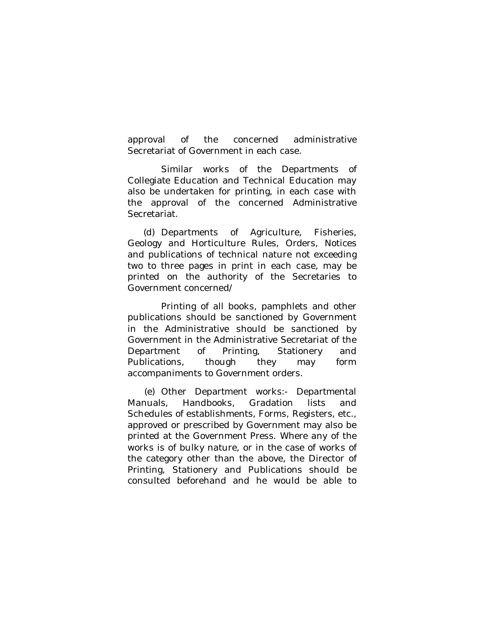approval of the concerned administrative Secretariat of Government in each case.

Similar works of the Departments of Collegiate Education and Technical Education may also be undertaken for printing, in each case with the approval of the concerned Administrative Secretariat.

(d) Departments of Agriculture, Fisheries, Geology and Horticulture Rules, Orders, Notices and publications of technical nature not exceeding two to three pages in print in each case, may be printed on the authority of the Secretaries to Government concerned/

Printing of all books, pamphlets and other publications should be sanctioned by Government in the Administrative should be sanctioned by Government in the Administrative Secretariat of the Department of Printing, Stationery and Publications, though they may form accompaniments to Government orders.

(e) Other Department works:- Departmental Manuals, Handbooks, Gradation lists and Schedules of establishments, Forms, Registers, etc., approved or prescribed by Government may also be printed at the Government Press. Where any of the works is of bulky nature, or in the case of works of the category other than the above, the Director of Printing, Stationery and Publications should be consulted beforehand and he would be able to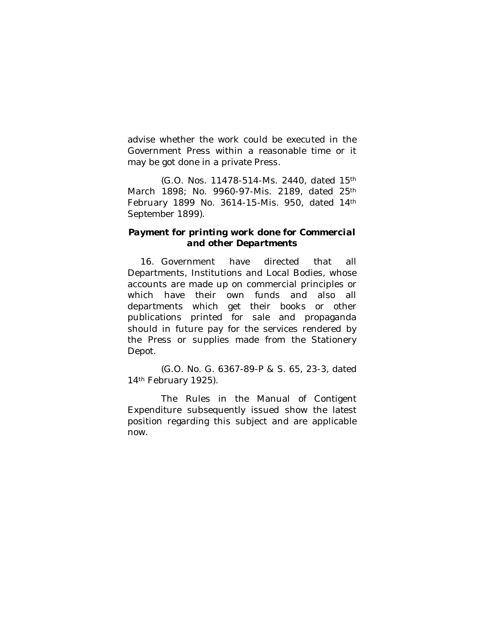advise whether the work could be executed in the Government Press within a reasonable time or it may be got done in a private Press.

(G.O. Nos. 11478-514-Ms. 2440, dated 15th March 1898; No. 9960-97-Mis. 2189, dated 25th February 1899 No. 3614-15-Mis. 950, dated 14th September 1899).

### *Payment for printing work done for Commercial and other Departments*

16. Government have directed that all Departments, Institutions and Local Bodies, whose accounts are made up on commercial principles or which have their own funds and also all departments which get their books or other publications printed for sale and propaganda should in future pay for the services rendered by the Press or supplies made from the Stationery Depot.

(G.O. No. G. 6367-89-P & S. 65, 23-3, dated 14<sup>th</sup> February 1925).

The Rules in the Manual of Contigent Expenditure subsequently issued show the latest position regarding this subject and are applicable now.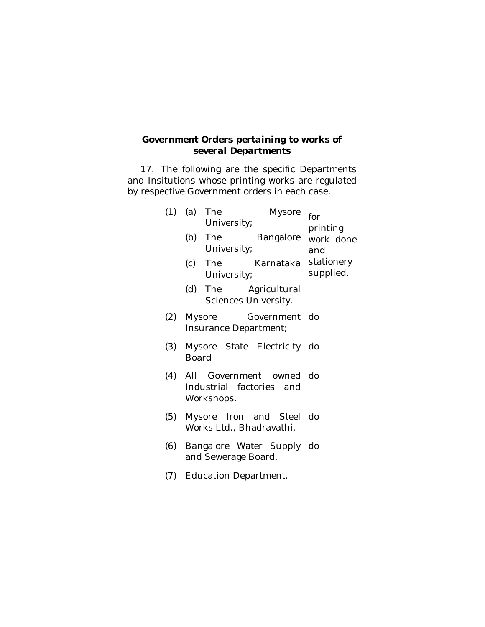# *Government Orders pertaining to works of several Departments*

17. The following are the specific Departments and Insitutions whose printing works are regulated by respective Government orders in each case.

| (1) |                                                                       | (a) The<br>Mysore<br>University;             |                              | for<br>printing                         |
|-----|-----------------------------------------------------------------------|----------------------------------------------|------------------------------|-----------------------------------------|
|     |                                                                       | (b) The<br>University;                       |                              | Bangalore work done<br>and<br>supplied. |
|     |                                                                       | University;                                  | (c) The Karnataka stationery |                                         |
|     |                                                                       | (d) The Agricultural<br>Sciences University. |                              |                                         |
|     | (2) Mysore<br>Government do<br>Insurance Department;                  |                                              |                              |                                         |
| (3) | Mysore State Electricity do<br>Board                                  |                                              |                              |                                         |
|     | (4) All Government owned do<br>Industrial factories and<br>Workshops. |                                              |                              |                                         |
| (5) | Mysore Iron and Steel do<br>Works Ltd., Bhadravathi.                  |                                              |                              |                                         |
| (6) | Bangalore Water Supply do<br>and Sewerage Board.                      |                                              |                              |                                         |
|     | (7) Education Department.                                             |                                              |                              |                                         |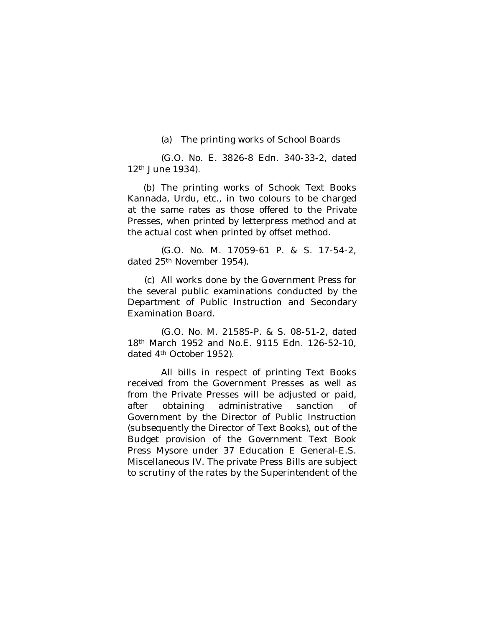(a) The printing works of School Boards

(G.O. No. E. 3826-8 Edn. 340-33-2, dated 12th June 1934).

(b) The printing works of Schook Text Books Kannada, Urdu, etc., in two colours to be charged at the same rates as those offered to the Private Presses, when printed by letterpress method and at the actual cost when printed by offset method.

(G.O. No. M. 17059-61 P. & S. 17-54-2, dated 25<sup>th</sup> November 1954).

(c) All works done by the Government Press for the several public examinations conducted by the Department of Public Instruction and Secondary Examination Board.

(G.O. No. M. 21585-P. & S. 08-51-2, dated 18th March 1952 and No.E. 9115 Edn. 126-52-10, dated 4th October 1952).

All bills in respect of printing Text Books received from the Government Presses as well as from the Private Presses will be adjusted or paid, after obtaining administrative sanction of Government by the Director of Public Instruction (subsequently the Director of Text Books), out of the Budget provision of the Government Text Book Press Mysore under 37 Education E General-E.S. Miscellaneous IV. The private Press Bills are subject to scrutiny of the rates by the Superintendent of the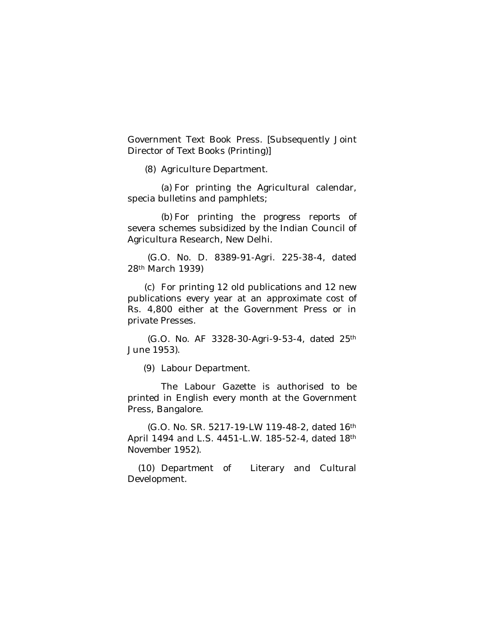Government Text Book Press. [Subsequently Joint Director of Text Books (Printing)]

(8) Agriculture Department.

(a) For printing the Agricultural calendar, specia bulletins and pamphlets;

(b) For printing the progress reports of severa schemes subsidized by the Indian Council of Agricultura Research, New Delhi.

 (G.O. No. D. 8389-91-Agri. 225-38-4, dated 28th March 1939)

(c) For printing 12 old publications and 12 new publications every year at an approximate cost of Rs. 4,800 either at the Government Press or in private Presses.

 (G.O. No. AF 3328-30-Agri-9-53-4, dated 25th June 1953).

(9) Labour Department.

The Labour Gazette is authorised to be printed in English every month at the Government Press, Bangalore.

 (G.O. No. SR. 5217-19-LW 119-48-2, dated 16th April 1494 and L.S. 4451-L.W. 185-52-4, dated 18th November 1952).

(10) Department of Literary and Cultural Development.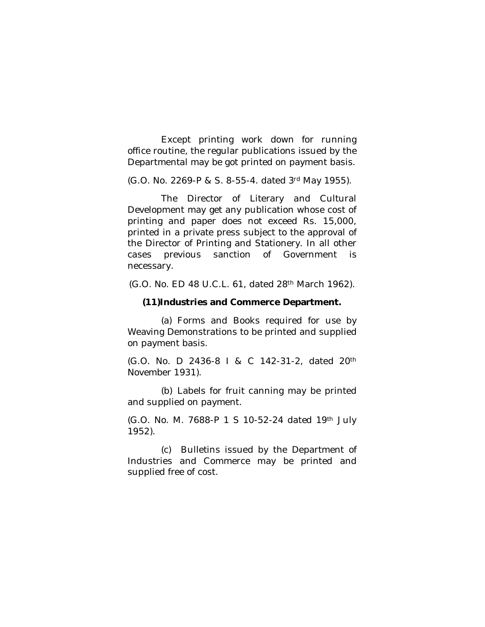Except printing work down for running office routine, the regular publications issued by the Departmental may be got printed on payment basis.

(G.O. No. 2269-P & S. 8-55-4. dated 3rd May 1955).

The Director of Literary and Cultural Development may get any publication whose cost of printing and paper does not exceed Rs. 15,000, printed in a private press subject to the approval of the Director of Printing and Stationery. In all other cases previous sanction of Government is necessary.

(G.O. No. ED 48 U.C.L. 61, dated 28th March 1962).

#### **(11)Industries and Commerce Department.**

(a) Forms and Books required for use by Weaving Demonstrations to be printed and supplied on payment basis.

(G.O. No. D 2436-8 I & C 142-31-2, dated 20th November 1931).

(b) Labels for fruit canning may be printed and supplied on payment.

(G.O. No. M. 7688-P 1 S 10-52-24 dated 19th July 1952).

(c) Bulletins issued by the Department of Industries and Commerce may be printed and supplied free of cost.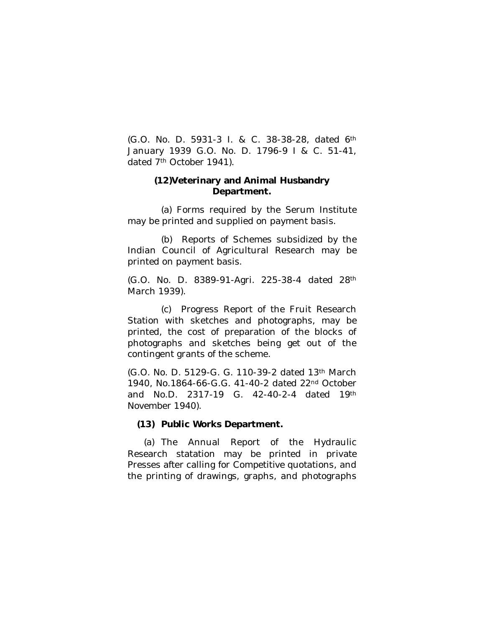(G.O. No. D. 5931-3 I. & C. 38-38-28, dated 6th January 1939 G.O. No. D. 1796-9 I & C. 51-41, dated 7<sup>th</sup> October 1941).

### **(12)Veterinary and Animal Husbandry Department.**

(a) Forms required by the Serum Institute may be printed and supplied on payment basis.

(b) Reports of Schemes subsidized by the Indian Council of Agricultural Research may be printed on payment basis.

(G.O. No. D. 8389-91-Agri. 225-38-4 dated 28th March 1939).

(c) Progress Report of the Fruit Research Station with sketches and photographs, may be printed, the cost of preparation of the blocks of photographs and sketches being get out of the contingent grants of the scheme.

(G.O. No. D. 5129-G. G. 110-39-2 dated 13th March 1940, No.1864-66-G.G. 41-40-2 dated 22nd October and No.D. 2317-19 G. 42-40-2-4 dated 19th November 1940).

#### **(13) Public Works Department.**

(a) The Annual Report of the Hydraulic Research statation may be printed in private Presses after calling for Competitive quotations, and the printing of drawings, graphs, and photographs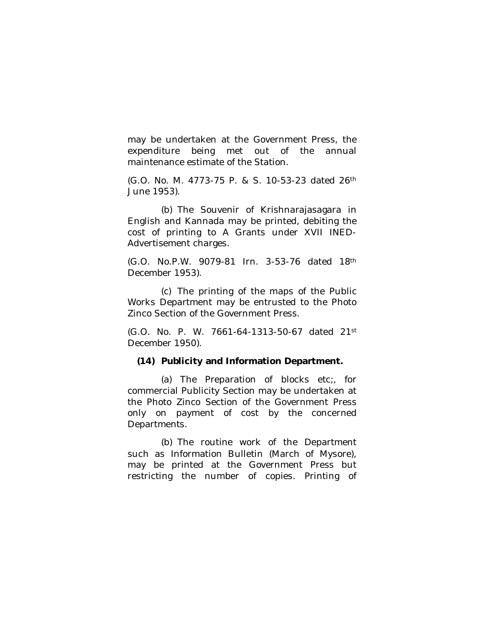may be undertaken at the Government Press, the expenditure being met out of the annual maintenance estimate of the Station.

(G.O. No. M. 4773-75 P. & S. 10-53-23 dated 26th June 1953).

(b) The Souvenir of Krishnarajasagara in English and Kannada may be printed, debiting the cost of printing to A Grants under XVII INED-Advertisement charges.

(G.O. No.P.W. 9079-81 Irn. 3-53-76 dated 18th December 1953).

(c) The printing of the maps of the Public Works Department may be entrusted to the Photo Zinco Section of the Government Press.

(G.O. No. P. W. 7661-64-1313-50-67 dated 21st December 1950).

#### **(14) Publicity and Information Department.**

(a) The Preparation of blocks etc;, for commercial Publicity Section may be undertaken at the Photo Zinco Section of the Government Press only on payment of cost by the concerned Departments.

(b) The routine work of the Department such as Information Bulletin (March of Mysore), may be printed at the Government Press but restricting the number of copies. Printing of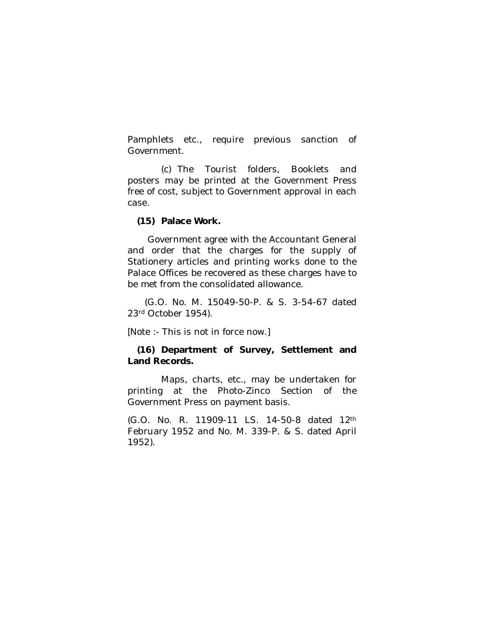Pamphlets etc., require previous sanction of Government.

(c) The Tourist folders, Booklets and posters may be printed at the Government Press free of cost, subject to Government approval in each case.

### **(15) Palace Work.**

 Government agree with the Accountant General and order that the charges for the supply of Stationery articles and printing works done to the Palace Offices be recovered as these charges have to be met from the consolidated allowance.

 (G.O. No. M. 15049-50-P. & S. 3-54-67 dated 23rd October 1954).

[Note :- This is not in force now.]

## **(16) Department of Survey, Settlement and Land Records.**

Maps, charts, etc., may be undertaken for printing at the Photo-Zinco Section of the Government Press on payment basis.

(G.O. No. R. 11909-11 LS. 14-50-8 dated 12th February 1952 and No. M. 339-P. & S. dated April 1952).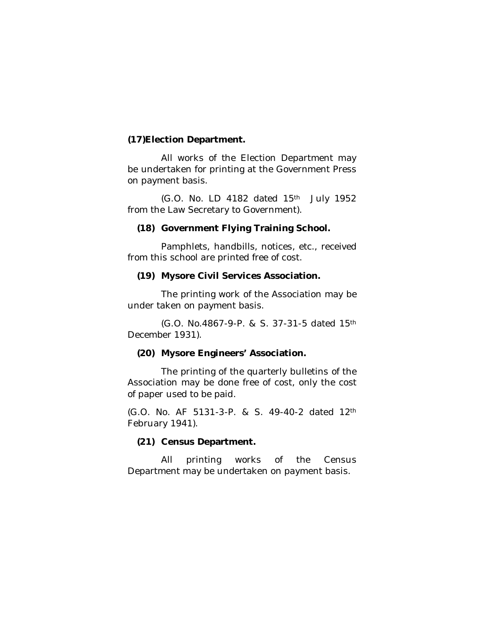## **(17)Election Department.**

All works of the Election Department may be undertaken for printing at the Government Press on payment basis.

(G.O. No. LD 4182 dated 15th July 1952 from the Law Secretary to Government).

#### **(18) Government Flying Training School.**

Pamphlets, handbills, notices, etc., received from this school are printed free of cost.

#### **(19) Mysore Civil Services Association.**

The printing work of the Association may be under taken on payment basis.

(G.O. No.4867-9-P. & S. 37-31-5 dated 15th December 1931).

### **(20) Mysore Engineers' Association.**

The printing of the quarterly bulletins of the Association may be done free of cost, only the cost of paper used to be paid.

(G.O. No. AF 5131-3-P. & S. 49-40-2 dated 12th February 1941).

### **(21) Census Department.**

All printing works of the Census Department may be undertaken on payment basis.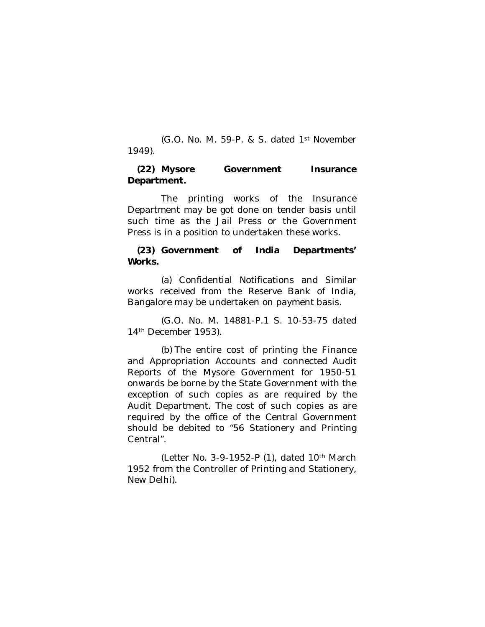(G.O. No. M. 59-P. & S. dated 1st November 1949).

### **(22) Mysore Government Insurance Department.**

The printing works of the Insurance Department may be got done on tender basis until such time as the Jail Press or the Government Press is in a position to undertaken these works.

## **(23) Government of India Departments' Works.**

(a) Confidential Notifications and Similar works received from the Reserve Bank of India, Bangalore may be undertaken on payment basis.

(G.O. No. M. 14881-P.1 S. 10-53-75 dated 14th December 1953).

(b) The entire cost of printing the Finance and Appropriation Accounts and connected Audit Reports of the Mysore Government for 1950-51 onwards be borne by the State Government with the exception of such copies as are required by the Audit Department. The cost of such copies as are required by the office of the Central Government should be debited to "56 Stationery and Printing Central".

(Letter No. 3-9-1952-P (1), dated 10th March 1952 from the Controller of Printing and Stationery, New Delhi).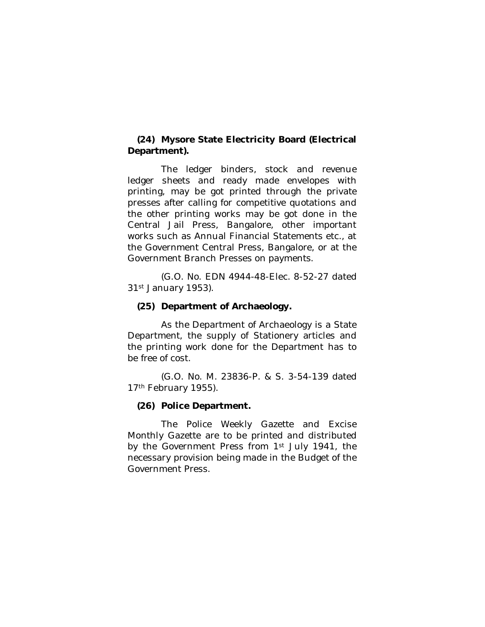## **(24) Mysore State Electricity Board (Electrical Department).**

The ledger binders, stock and revenue ledger sheets and ready made envelopes with printing, may be got printed through the private presses after calling for competitive quotations and the other printing works may be got done in the Central Jail Press, Bangalore, other important works such as Annual Financial Statements etc., at the Government Central Press, Bangalore, or at the Government Branch Presses on payments.

(G.O. No. EDN 4944-48-Elec. 8-52-27 dated 31st January 1953).

## **(25) Department of Archaeology.**

As the Department of Archaeology is a State Department, the supply of Stationery articles and the printing work done for the Department has to be free of cost.

(G.O. No. M. 23836-P. & S. 3-54-139 dated 17th February 1955).

### **(26) Police Department.**

The Police Weekly Gazette and Excise Monthly Gazette are to be printed and distributed by the Government Press from 1<sup>st</sup> July 1941, the necessary provision being made in the Budget of the Government Press.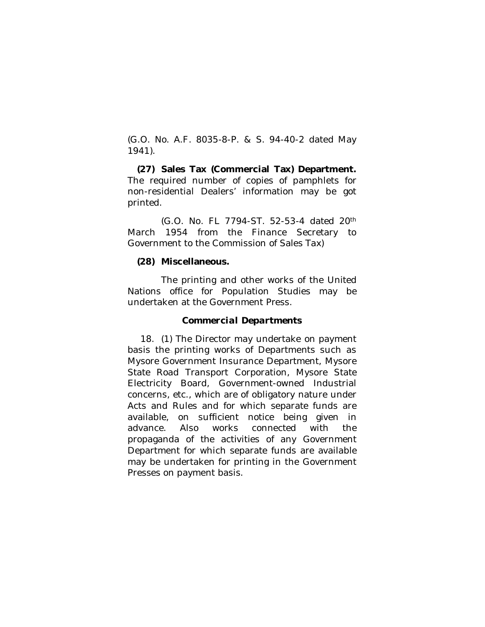(G.O. No. A.F. 8035-8-P. & S. 94-40-2 dated May 1941).

**(27) Sales Tax (Commercial Tax) Department.** The required number of copies of pamphlets for non-residential Dealers' information may be got printed.

(G.O. No. FL 7794-ST. 52-53-4 dated 20th March 1954 from the Finance Secretary to Government to the Commission of Sales Tax)

## **(28) Miscellaneous.**

The printing and other works of the United Nations office for Population Studies may be undertaken at the Government Press.

### *Commercial Departments*

18. (1) The Director may undertake on payment basis the printing works of Departments such as Mysore Government Insurance Department, Mysore State Road Transport Corporation, Mysore State Electricity Board, Government-owned Industrial concerns, etc., which are of obligatory nature under Acts and Rules and for which separate funds are available, on sufficient notice being given in advance. Also works connected with the propaganda of the activities of any Government Department for which separate funds are available may be undertaken for printing in the Government Presses on payment basis.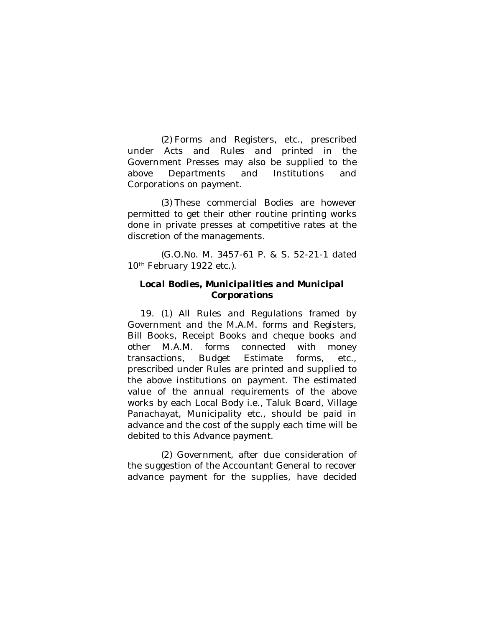(2) Forms and Registers, etc., prescribed under Acts and Rules and printed in the Government Presses may also be supplied to the above Departments and Institutions and Corporations on payment.

(3) These commercial Bodies are however permitted to get their other routine printing works done in private presses at competitive rates at the discretion of the managements.

(G.O.No. M. 3457-61 P. & S. 52-21-1 dated 10<sup>th</sup> February 1922 etc.).

### *Local Bodies, Municipalities and Municipal Corporations*

19. (1) All Rules and Regulations framed by Government and the M.A.M. forms and Registers, Bill Books, Receipt Books and cheque books and other M.A.M. forms connected with money transactions, Budget Estimate forms, etc., prescribed under Rules are printed and supplied to the above institutions on payment. The estimated value of the annual requirements of the above works by each Local Body i.e., Taluk Board, Village Panachayat, Municipality etc., should be paid in advance and the cost of the supply each time will be debited to this Advance payment.

(2) Government, after due consideration of the suggestion of the Accountant General to recover advance payment for the supplies, have decided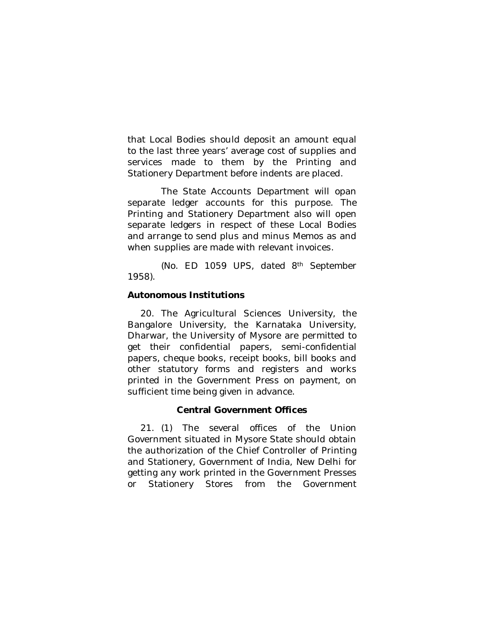that Local Bodies should deposit an amount equal to the last three years' average cost of supplies and services made to them by the Printing and Stationery Department before indents are placed.

The State Accounts Department will opan separate ledger accounts for this purpose. The Printing and Stationery Department also will open separate ledgers in respect of these Local Bodies and arrange to send plus and minus Memos as and when supplies are made with relevant invoices.

(No. ED 1059 UPS, dated 8th September 1958).

## **Autonomous Institutions**

20. The Agricultural Sciences University, the Bangalore University, the Karnataka University, Dharwar, the University of Mysore are permitted to get their confidential papers, semi-confidential papers, cheque books, receipt books, bill books and other statutory forms and registers and works printed in the Government Press on payment, on sufficient time being given in advance.

## **Central Government Offices**

21. (1) The several offices of the Union Government situated in Mysore State should obtain the authorization of the Chief Controller of Printing and Stationery, Government of India, New Delhi for getting any work printed in the Government Presses or Stationery Stores from the Government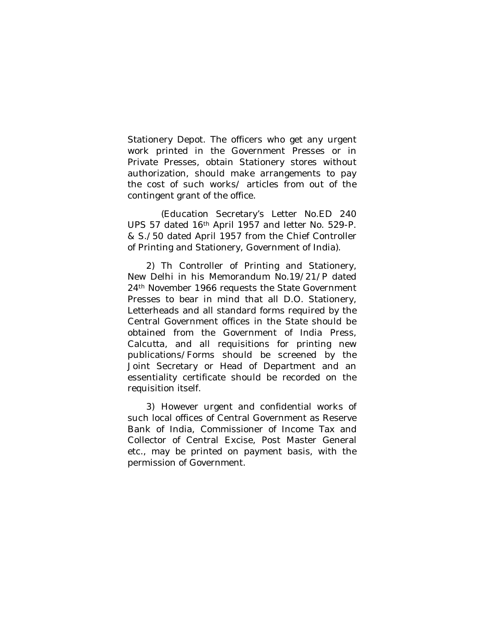Stationery Depot. The officers who get any urgent work printed in the Government Presses or in Private Presses, obtain Stationery stores without authorization, should make arrangements to pay the cost of such works/ articles from out of the contingent grant of the office.

(Education Secretary's Letter No.ED 240 UPS 57 dated 16th April 1957 and letter No. 529-P. & S./50 dated April 1957 from the Chief Controller of Printing and Stationery, Government of India).

2) Th Controller of Printing and Stationery, New Delhi in his Memorandum No.19/21/P dated 24th November 1966 requests the State Government Presses to bear in mind that all D.O. Stationery, Letterheads and all standard forms required by the Central Government offices in the State should be obtained from the Government of India Press, Calcutta, and all requisitions for printing new publications/Forms should be screened by the Joint Secretary or Head of Department and an essentiality certificate should be recorded on the requisition itself.

3) However urgent and confidential works of such local offices of Central Government as Reserve Bank of India, Commissioner of Income Tax and Collector of Central Excise, Post Master General etc., may be printed on payment basis, with the permission of Government.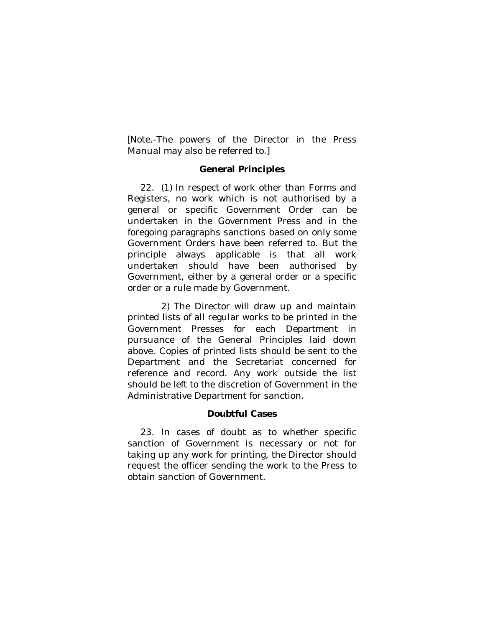[Note.-The powers of the Director in the Press Manual may also be referred to.]

## **General Principles**

22. (1) In respect of work other than Forms and Registers, no work which is not authorised by a general or specific Government Order can be undertaken in the Government Press and in the foregoing paragraphs sanctions based on only some Government Orders have been referred to. But the principle always applicable is that all work undertaken should have been authorised by Government, either by a general order or a specific order or a rule made by Government.

2) The Director will draw up and maintain printed lists of all regular works to be printed in the Government Presses for each Department in pursuance of the General Principles laid down above. Copies of printed lists should be sent to the Department and the Secretariat concerned for reference and record. Any work outside the list should be left to the discretion of Government in the Administrative Department for sanction.

### **Doubtful Cases**

23. In cases of doubt as to whether specific sanction of Government is necessary or not for taking up any work for printing, the Director should request the officer sending the work to the Press to obtain sanction of Government.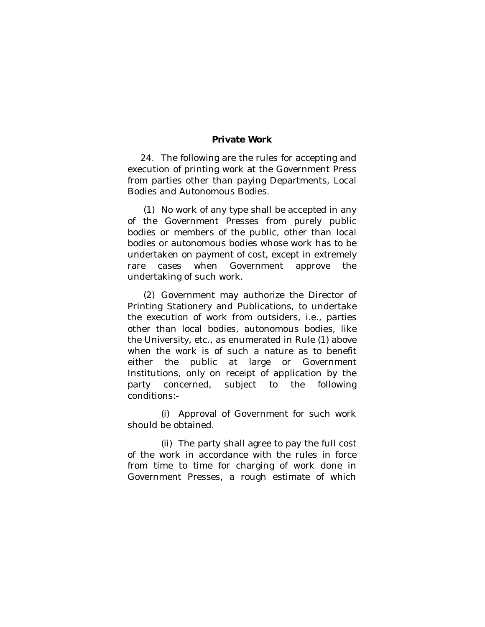#### **Private Work**

24. The following are the rules for accepting and execution of printing work at the Government Press from parties other than paying Departments, Local Bodies and Autonomous Bodies.

(1) No work of any type shall be accepted in any of the Government Presses from purely public bodies or members of the public, other than local bodies or autonomous bodies whose work has to be undertaken on payment of cost, except in extremely rare cases when Government approve the undertaking of such work.

(2) Government may authorize the Director of Printing Stationery and Publications, to undertake the execution of work from outsiders, i.e., parties other than local bodies, autonomous bodies, like the University, etc., as enumerated in Rule (1) above when the work is of such a nature as to benefit either the public at large or Government Institutions, only on receipt of application by the party concerned, subject to the following conditions:-

(i) Approval of Government for such work should be obtained.

(ii) The party shall agree to pay the full cost of the work in accordance with the rules in force from time to time for charging of work done in Government Presses, a rough estimate of which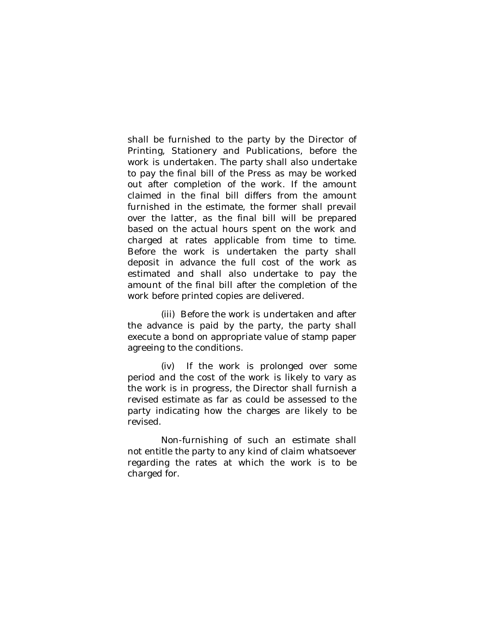shall be furnished to the party by the Director of Printing, Stationery and Publications, before the work is undertaken. The party shall also undertake to pay the final bill of the Press as may be worked out after completion of the work. If the amount claimed in the final bill differs from the amount furnished in the estimate, the former shall prevail over the latter, as the final bill will be prepared based on the actual hours spent on the work and charged at rates applicable from time to time. Before the work is undertaken the party shall deposit in advance the full cost of the work as estimated and shall also undertake to pay the amount of the final bill after the completion of the work before printed copies are delivered.

(iii) Before the work is undertaken and after the advance is paid by the party, the party shall execute a bond on appropriate value of stamp paper agreeing to the conditions.

(iv) If the work is prolonged over some period and the cost of the work is likely to vary as the work is in progress, the Director shall furnish a revised estimate as far as could be assessed to the party indicating how the charges are likely to be revised.

Non-furnishing of such an estimate shall not entitle the party to any kind of claim whatsoever regarding the rates at which the work is to be charged for.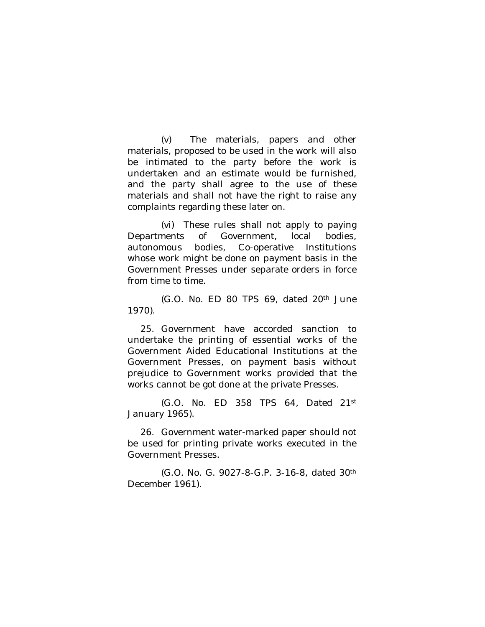(v) The materials, papers and other materials, proposed to be used in the work will also be intimated to the party before the work is undertaken and an estimate would be furnished, and the party shall agree to the use of these materials and shall not have the right to raise any complaints regarding these later on.

(vi) These rules shall not apply to paying Departments of Government, local bodies, autonomous bodies, Co-operative Institutions whose work might be done on payment basis in the Government Presses under separate orders in force from time to time.

(G.O. No. ED 80 TPS 69, dated 20th June 1970).

25. Government have accorded sanction to undertake the printing of essential works of the Government Aided Educational Institutions at the Government Presses, on payment basis without prejudice to Government works provided that the works cannot be got done at the private Presses.

(G.O. No. ED 358 TPS 64, Dated 21st January 1965).

26. Government water-marked paper should not be used for printing private works executed in the Government Presses.

(G.O. No. G. 9027-8-G.P. 3-16-8, dated 30th December 1961).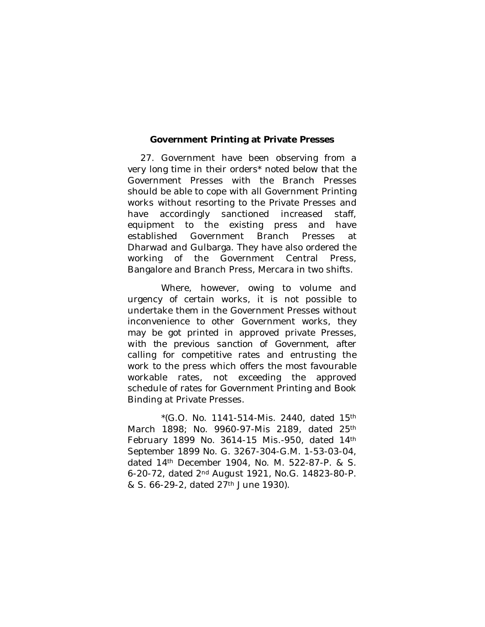#### **Government Printing at Private Presses**

27. Government have been observing from a very long time in their orders\* noted below that the Government Presses with the Branch Presses should be able to cope with all Government Printing works without resorting to the Private Presses and have accordingly sanctioned increased staff, equipment to the existing press and have established Government Branch Presses at Dharwad and Gulbarga. They have also ordered the working of the Government Central Press, Bangalore and Branch Press, Mercara in two shifts.

Where, however, owing to volume and urgency of certain works, it is not possible to undertake them in the Government Presses without inconvenience to other Government works, they may be got printed in approved private Presses, *with the previous sanction of Government*, after calling for competitive rates and entrusting the work to the press which offers the most favourable workable rates, not exceeding the approved schedule of rates for Government Printing and Book Binding at Private Presses.

 $*(G.O. No. 1141-514-Mis. 2440, dated 15<sup>th</sup>)$ March 1898; No. 9960-97-Mis 2189, dated 25th February 1899 No. 3614-15 Mis.-950, dated 14th September 1899 No. G. 3267-304-G.M. 1-53-03-04, dated 14th December 1904, No. M. 522-87-P. & S. 6-20-72, dated 2nd August 1921, No.G. 14823-80-P. & S. 66-29-2, dated 27th June 1930).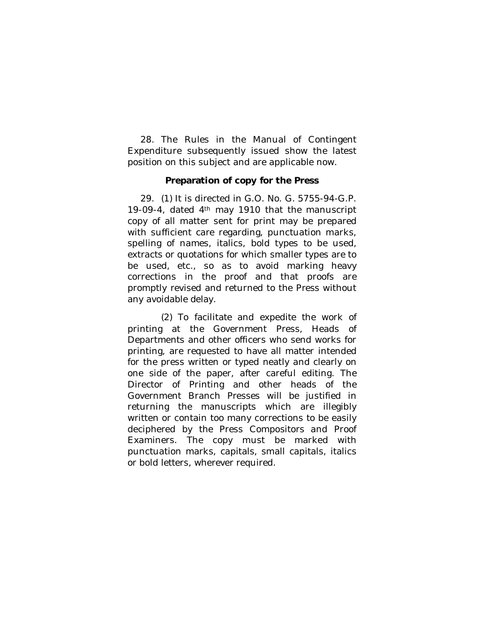28. The Rules in the Manual of Contingent Expenditure subsequently issued show the latest position on this subject and are applicable now.

#### **Preparation of copy for the Press**

29. (1) It is directed in G.O. No. G. 5755-94-G.P. 19-09-4, dated 4th may 1910 that the manuscript copy of all matter sent for print may be prepared with sufficient care regarding, punctuation marks, spelling of names, italics, bold types to be used, extracts or quotations for which smaller types are to be used, etc., so as to avoid marking heavy corrections in the proof and that proofs are promptly revised and returned to the Press without any avoidable delay.

(2) To facilitate and expedite the work of printing at the Government Press, Heads of Departments and other officers who send works for printing, are requested to have all matter intended for the press written or typed neatly and clearly on one side of the paper, after careful editing. The Director of Printing and other heads of the Government Branch Presses will be justified in returning the manuscripts which are illegibly written or contain too many corrections to be easily deciphered by the Press Compositors and Proof Examiners. The copy must be marked with punctuation marks, capitals, small capitals, italics or bold letters, wherever required.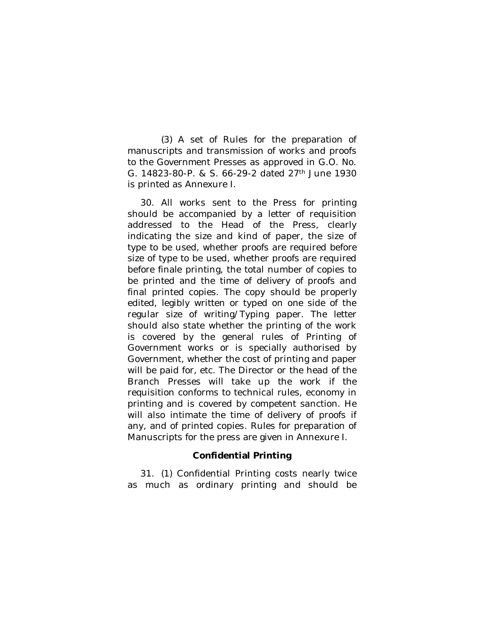(3) A set of Rules for the preparation of manuscripts and transmission of works and proofs to the Government Presses as approved in G.O. No. G. 14823-80-P. & S. 66-29-2 dated 27th June 1930 is printed as Annexure I.

30. All works sent to the Press for printing should be accompanied by a letter of requisition addressed to the Head of the Press, clearly indicating the size and kind of paper, the size of type to be used, whether proofs are required before size of type to be used, whether proofs are required before finale printing, the total number of copies to be printed and the time of delivery of proofs and final printed copies. The copy should be properly edited, legibly written or typed on one side of the regular size of writing/Typing paper. The letter should also state whether the printing of the work is covered by the general rules of Printing of Government works or is specially authorised by Government, whether the cost of printing and paper will be paid for, etc. The Director or the head of the Branch Presses will take up the work if the requisition conforms to technical rules, economy in printing and is covered by competent sanction. He will also intimate the time of delivery of proofs if any, and of printed copies. Rules for preparation of Manuscripts for the press are given in Annexure I.

### **Confidential Printing**

31. (1) Confidential Printing costs nearly twice as much as ordinary printing and should be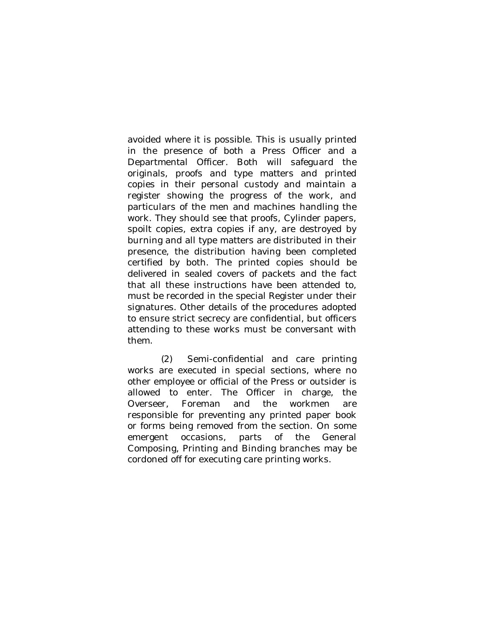avoided where it is possible. This is usually printed in the presence of both a Press Officer and a Departmental Officer. Both will safeguard the originals, proofs and type matters and printed copies in their personal custody and maintain a register showing the progress of the work, and particulars of the men and machines handling the work. They should see that proofs, Cylinder papers, spoilt copies, extra copies if any, are destroyed by burning and all type matters are distributed in their presence, the distribution having been completed certified by both. The printed copies should be delivered in sealed covers of packets and the fact that all these instructions have been attended to, must be recorded in the special Register under their signatures. Other details of the procedures adopted to ensure strict secrecy are confidential, but officers attending to these works must be conversant with them.

(2) Semi-confidential and care printing works are executed in special sections, where no other employee or official of the Press or outsider is allowed to enter. The Officer in charge, the Overseer, Foreman and the workmen are responsible for preventing any printed paper book or forms being removed from the section. On some emergent occasions, parts of the General Composing, Printing and Binding branches may be cordoned off for executing care printing works.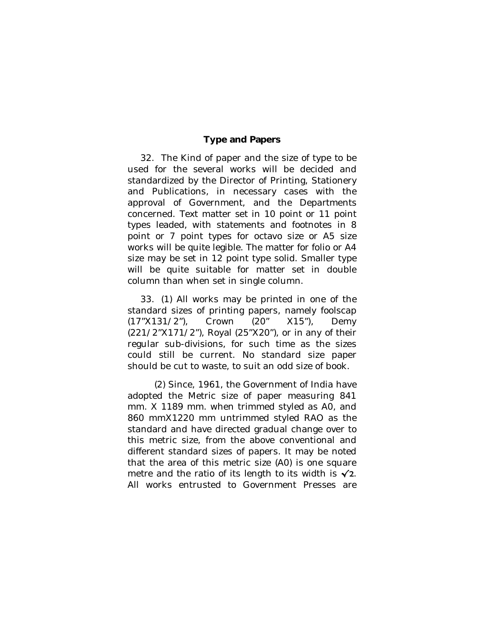## **Type and Papers**

32. The Kind of paper and the size of type to be used for the several works will be decided and standardized by the Director of Printing, Stationery and Publications, in necessary cases with the approval of Government, and the Departments concerned. Text matter set in 10 point or 11 point types leaded, with statements and footnotes in 8 point or 7 point types for octavo size or A5 size works will be quite legible. The matter for folio or A4 size may be set in 12 point type solid. Smaller type will be quite suitable for matter set in double column than when set in single column.

33. (1) All works may be printed in one of the standard sizes of printing papers, namely foolscap (17"X131/2"), Crown (20" X15"), Demy (221/2"X171/2"), Royal (25"X20"), or in any of their regular sub-divisions, for such time as the sizes could still be current. No standard size paper should be cut to waste, to suit an odd size of book.

(2) Since, 1961, the Government of India have adopted the Metric size of paper measuring 841 mm. X 1189 mm. when trimmed styled as A0, and 860 mmX1220 mm untrimmed styled RAO as the standard and have directed gradual change over to this metric size, from the above conventional and different standard sizes of papers. It may be noted that the area of this metric size (A0) is one square metre and the ratio of its length to its width is  $\sqrt{2}$ . All works entrusted to Government Presses are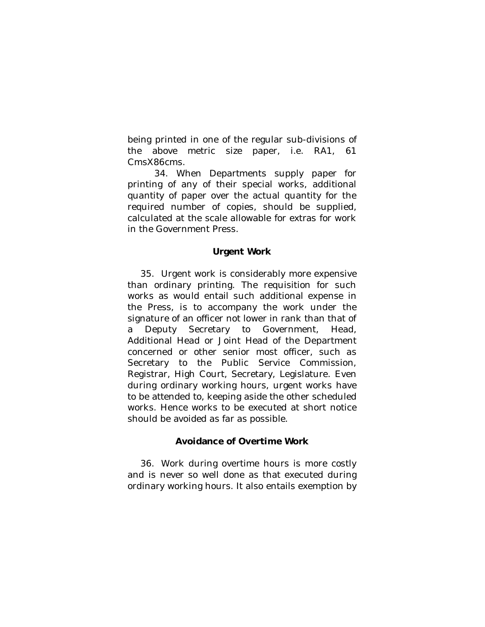being printed in one of the regular sub-divisions of the above metric size paper, i.e. RA1, 61 CmsX86cms.

34. When Departments supply paper for printing of any of their special works, additional quantity of paper over the actual quantity for the required number of copies, should be supplied, calculated at the scale allowable for extras for work in the Government Press.

#### **Urgent Work**

35. Urgent work is considerably more expensive than ordinary printing. The requisition for such works as would entail such additional expense in the Press, is to accompany the work under the signature of an officer not lower in rank than that of a Deputy Secretary to Government, Head, Additional Head or Joint Head of the Department concerned or other senior most officer, such as Secretary to the Public Service Commission, Registrar, High Court, Secretary, Legislature. Even during ordinary working hours, urgent works have to be attended to, keeping aside the other scheduled works. Hence works to be executed at short notice should be avoided as far as possible.

### **Avoidance of Overtime Work**

36. Work during overtime hours is more costly and is never so well done as that executed during ordinary working hours. It also entails exemption by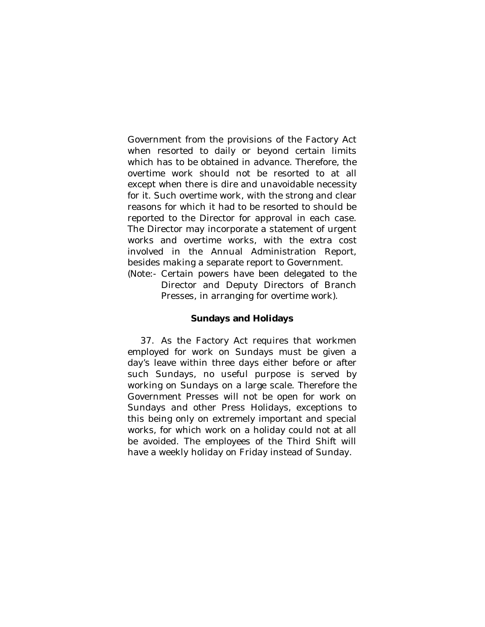Government from the provisions of the Factory Act when resorted to daily or beyond certain limits which has to be obtained in advance. Therefore, the overtime work should not be resorted to at all except when there is dire and unavoidable necessity for it. Such overtime work, with the strong and clear reasons for which it had to be resorted to should be reported to the Director for approval in each case. The Director may incorporate a statement of urgent works and overtime works, with the extra cost involved in the Annual Administration Report, besides making a separate report to Government.

(Note:- Certain powers have been delegated to the Director and Deputy Directors of Branch Presses, in arranging for overtime work).

### **Sundays and Holidays**

37. As the Factory Act requires that workmen employed for work on Sundays must be given a day's leave within three days either before or after such Sundays, no useful purpose is served by working on Sundays on a large scale. Therefore the Government Presses will not be open for work on Sundays and other Press Holidays, exceptions to this being only on extremely important and special works, for which work on a holiday could not at all be avoided. The employees of the Third Shift will have a weekly holiday on Friday instead of Sunday.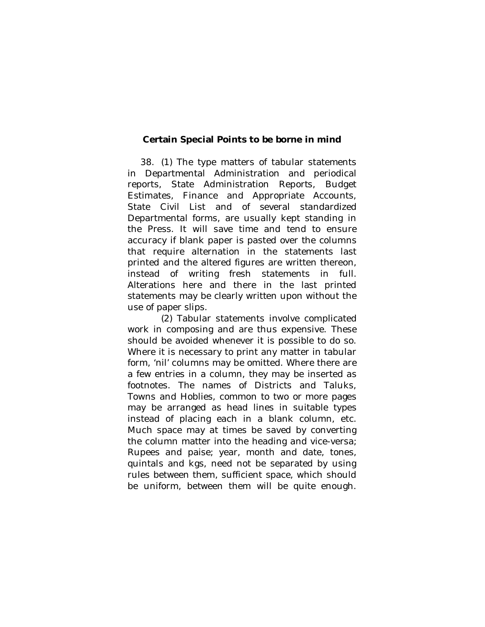### **Certain Special Points to be borne in mind**

38. (1) The type matters of tabular statements in Departmental Administration and periodical reports, State Administration Reports, Budget Estimates, Finance and Appropriate Accounts, State Civil List and of several standardized Departmental forms, are usually kept standing in the Press. It will save time and tend to ensure accuracy if blank paper is pasted over the columns that require alternation in the statements last printed and the altered figures are written thereon, instead of writing fresh statements in full. Alterations here and there in the last printed statements may be clearly written upon without the use of paper slips.

(2) Tabular statements involve complicated work in composing and are thus expensive. These should be avoided whenever it is possible to do so. Where it is necessary to print any matter in tabular form, 'nil' columns may be omitted. Where there are a few entries in a column, they may be inserted as footnotes. The names of Districts and Taluks, Towns and Hoblies, common to two or more pages may be arranged as head lines in suitable types instead of placing each in a blank column, etc. Much space may at times be saved by converting the column matter into the heading and vice-versa; Rupees and paise; year, month and date, tones, quintals and kgs, need not be separated by using rules between them, sufficient space, which should be uniform, between them will be quite enough.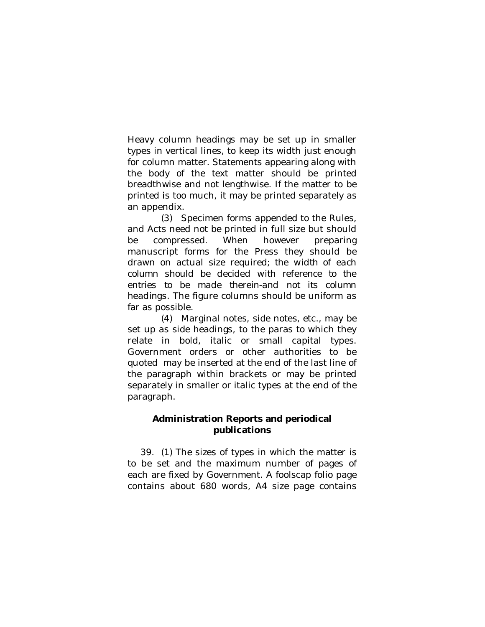Heavy column headings may be set up in smaller types in vertical lines, to keep its width just enough for column matter. Statements appearing along with the body of the text matter should be printed breadthwise and not lengthwise. If the matter to be printed is too much, it may be printed separately as an appendix.

(3) Specimen forms appended to the Rules, and Acts need not be printed in full size but should be compressed. When however preparing manuscript forms for the Press they should be drawn on actual size required; *the width of each column should be decided with reference to the entries to be made therein-and not its column headings.* The figure columns should be uniform as far as possible.

(4) Marginal notes, side notes, etc., may be set up as side headings, to the paras to which they relate in bold, italic or small capital types. Government orders or other authorities to be quoted may be inserted at the end of the last line of the paragraph within brackets or may be printed separately in smaller or italic types at the end of the paragraph.

## **Administration Reports and periodical publications**

39. (1) The sizes of types in which the matter is to be set and the maximum number of pages of each are fixed by Government. A foolscap folio page contains about 680 words, A4 size page contains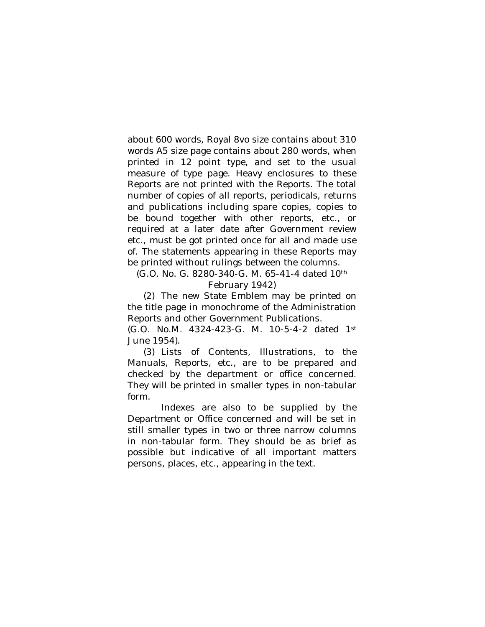about 600 words, Royal 8vo size contains about 310 words A5 size page contains about 280 words, when printed in 12 point type, and set to the usual measure of type page. Heavy enclosures to these Reports are not printed with the Reports. The total number of copies of all reports, periodicals, returns and publications including spare copies, copies to be bound together with other reports, etc., or required at a later date after Government review etc., must be got printed once for all and made use of. The statements appearing in these Reports may be printed without rulings between the columns.

(G.O. No. G. 8280-340-G. M. 65-41-4 dated 10th February 1942)

(2) The new State Emblem may be printed on the title page in monochrome of the Administration Reports and other Government Publications.

(G.O. No.M. 4324-423-G. M. 10-5-4-2 dated 1st June 1954).

(3) Lists of Contents, Illustrations, to the Manuals, Reports, etc., are to be prepared and checked by the department or office concerned. They will be printed in smaller types in non-tabular form.

Indexes are also to be supplied by the Department or Office concerned and will be set in still smaller types in two or three narrow columns in non-tabular form. They should be as brief as possible but indicative of all important matters persons, places, etc., appearing in the text.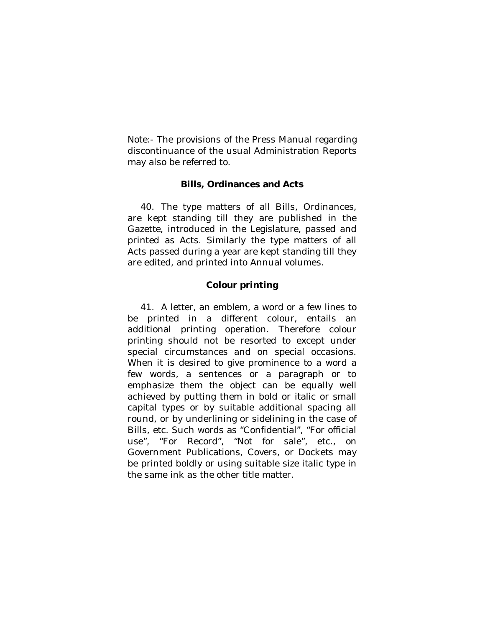Note:- The provisions of the Press Manual regarding discontinuance of the usual Administration Reports may also be referred to.

#### **Bills, Ordinances and Acts**

40. The type matters of all Bills, Ordinances, are kept standing till they are published in the Gazette, introduced in the Legislature, passed and printed as Acts. Similarly the type matters of all Acts passed during a year are kept standing till they are edited, and printed into Annual volumes.

### **Colour printing**

41. A letter, an emblem, a word or a few lines to be printed in a different colour, entails an additional printing operation. Therefore colour printing should not be resorted to except under special circumstances and on special occasions. When it is desired to give prominence to a word a few words, a sentences or a paragraph or to emphasize them the object can be equally well achieved by putting them in bold or italic or small capital types or by suitable additional spacing all round, or by underlining or sidelining in the case of Bills, etc. Such words as "Confidential", "For official use", "For Record", "Not for sale", etc., on Government Publications, Covers, or Dockets may be printed boldly or using suitable size italic type in the same ink as the other title matter.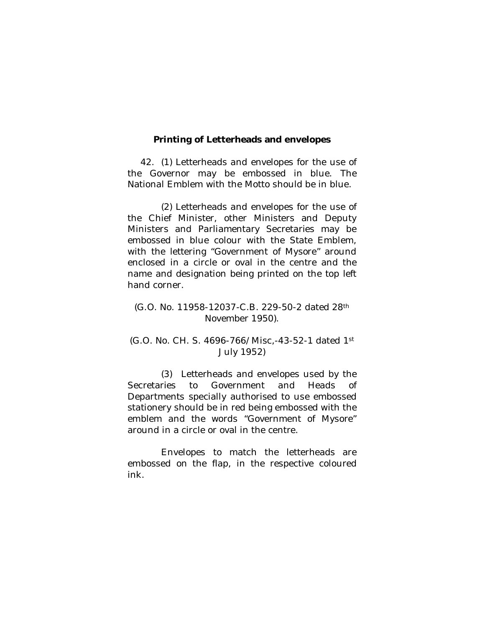#### **Printing of Letterheads and envelopes**

42. (1) Letterheads and envelopes for the use of the Governor may be embossed in blue. The National Emblem with the Motto should be in blue.

(2) Letterheads and envelopes for the use of the Chief Minister, other Ministers and Deputy Ministers and Parliamentary Secretaries may be embossed in blue colour with the State Emblem, with the lettering "Government of Mysore" around enclosed in a circle or oval in the centre and the name and designation being printed on the top left hand corner.

(G.O. No. 11958-12037-C.B. 229-50-2 dated 28th November 1950).

### (G.O. No. CH. S. 4696-766/Misc,-43-52-1 dated 1st July 1952)

(3) Letterheads and envelopes used by the Secretaries to Government and Heads of Departments specially authorised to use embossed stationery should be in red being embossed with the emblem and the words "Government of Mysore" around in a circle or oval in the centre.

Envelopes to match the letterheads are embossed on the flap, in the respective coloured ink.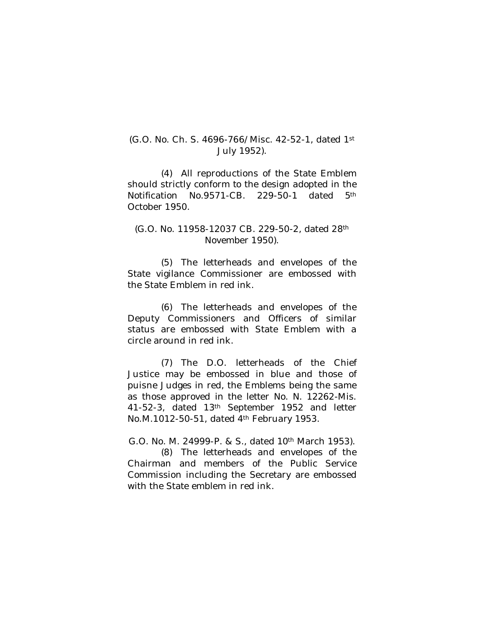## (G.O. No. Ch. S. 4696-766/Misc. 42-52-1, dated 1st July 1952).

(4) All reproductions of the State Emblem should strictly conform to the design adopted in the Notification No.9571-CB. 229-50-1 dated 5th October 1950.

#### (G.O. No. 11958-12037 CB. 229-50-2, dated 28th November 1950).

(5) The letterheads and envelopes of the State vigilance Commissioner are embossed with the State Emblem in red ink.

(6) The letterheads and envelopes of the Deputy Commissioners and Officers of similar status are embossed with State Emblem with a circle around in red ink.

(7) The D.O. letterheads of the Chief Justice may be embossed in blue and those of puisne Judges in red, the Emblems being the same as those approved in the letter No. N. 12262-Mis. 41-52-3, dated 13th September 1952 and letter No.M.1012-50-51, dated 4th February 1953.

G.O. No. M. 24999-P. & S., dated 10th March 1953).

(8) The letterheads and envelopes of the Chairman and members of the Public Service Commission including the Secretary are embossed with the State emblem in red ink.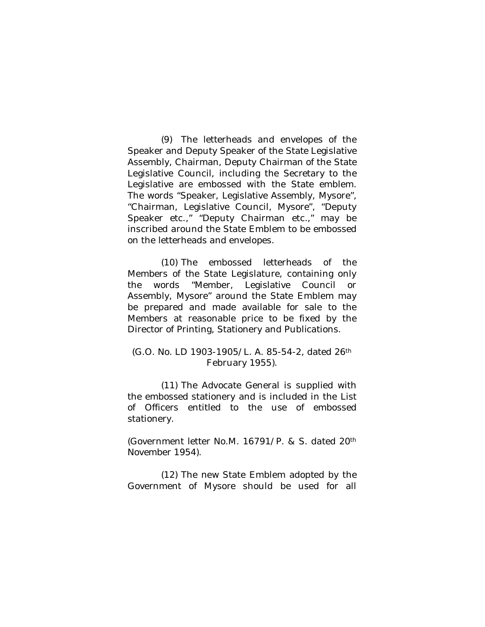(9) The letterheads and envelopes of the Speaker and Deputy Speaker of the State Legislative Assembly, Chairman, Deputy Chairman of the State Legislative Council, including the Secretary to the Legislative are embossed with the State emblem. The words "Speaker, Legislative Assembly, Mysore", "Chairman, Legislative Council, Mysore", "Deputy Speaker etc.," "Deputy Chairman etc.," may be inscribed around the State Emblem to be embossed on the letterheads and envelopes.

(10) The embossed letterheads of the Members of the State Legislature, containing only the words "Member, Legislative Council or Assembly, Mysore" around the State Emblem may be prepared and made available for sale to the Members at reasonable price to be fixed by the Director of Printing, Stationery and Publications.

## (G.O. No. LD 1903-1905/L. A. 85-54-2, dated 26th February 1955).

(11) The Advocate General is supplied with the embossed stationery and is included in the List of Officers entitled to the use of embossed stationery.

(Government letter No.M. 16791/P. & S. dated 20th November 1954).

(12) The new State Emblem adopted by the Government of Mysore should be used for all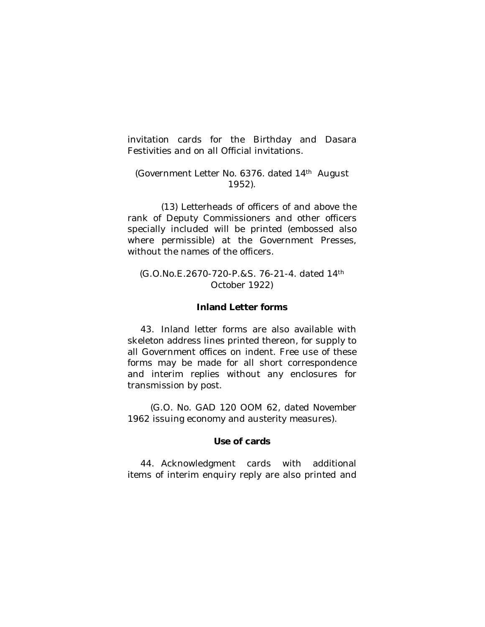invitation cards for the Birthday and Dasara Festivities and on all Official invitations.

## (Government Letter No. 6376. dated 14th August 1952).

(13) Letterheads of officers of and above the rank of Deputy Commissioners and other officers specially included will be printed (embossed also where permissible) at the Government Presses, without the names of the officers.

## (G.O.No.E.2670-720-P.&S. 76-21-4. dated 14th October 1922)

## **Inland Letter forms**

43. Inland letter forms are also available with skeleton address lines printed thereon, for supply to all Government offices on indent. Free use of these forms may be made for all short correspondence and interim replies without any enclosures for transmission by post.

 (G.O. No. GAD 120 OOM 62, dated November 1962 issuing economy and austerity measures).

#### **Use of cards**

44. Acknowledgment cards with additional items of interim enquiry reply are also printed and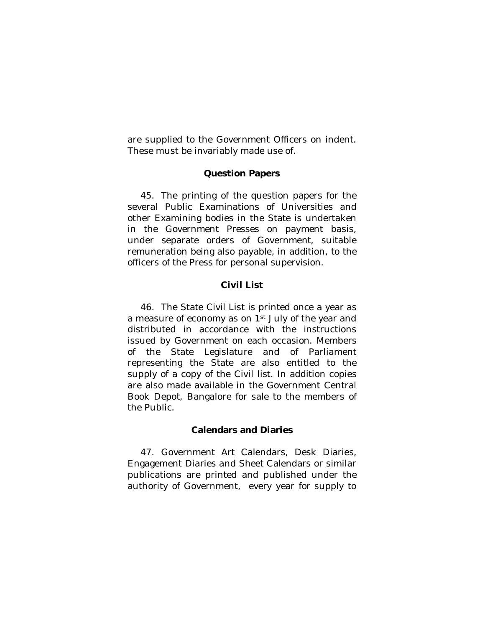are supplied to the Government Officers on indent. These must be invariably made use of.

#### **Question Papers**

45. The printing of the question papers for the several Public Examinations of Universities and other Examining bodies in the State is undertaken in the Government Presses on payment basis, under separate orders of Government, suitable remuneration being also payable, in addition, to the officers of the Press for personal supervision.

## **Civil List**

46. The State Civil List is printed once a year as a measure of economy as on 1<sup>st</sup> July of the year and distributed in accordance with the instructions issued by Government on each occasion. Members of the State Legislature and of Parliament representing the State are also entitled to the supply of a copy of the Civil list. In addition copies are also made available in the Government Central Book Depot, Bangalore for sale to the members of the Public.

#### **Calendars and Diaries**

47. Government Art Calendars, Desk Diaries, Engagement Diaries and Sheet Calendars or similar publications are printed and published under the authority of Government, every year for supply to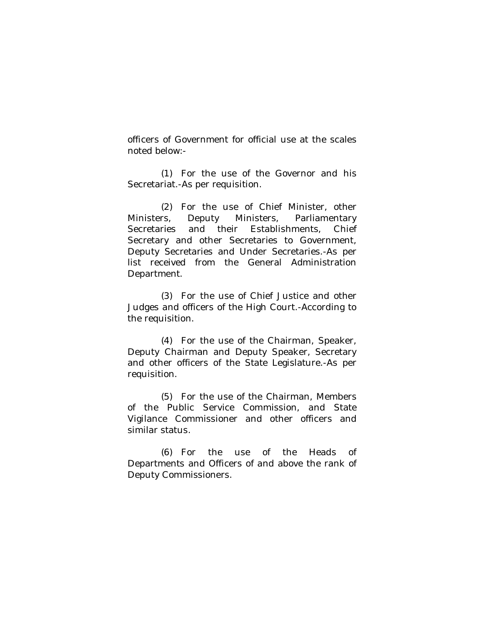officers of Government for official use at the scales noted below:-

(1) For the use of the Governor and his Secretariat.-As per requisition.

(2) For the use of Chief Minister, other Ministers, Deputy Ministers, Parliamentary Secretaries and their Establishments, Chief Secretary and other Secretaries to Government, Deputy Secretaries and Under Secretaries.-As per list received from the General Administration Department.

(3) For the use of Chief Justice and other Judges and officers of the High Court.-According to the requisition.

(4) For the use of the Chairman, Speaker, Deputy Chairman and Deputy Speaker, Secretary and other officers of the State Legislature.-As per requisition.

(5) For the use of the Chairman, Members of the Public Service Commission, and State Vigilance Commissioner and other officers and similar status.

(6) For the use of the Heads of Departments and Officers of and above the rank of Deputy Commissioners.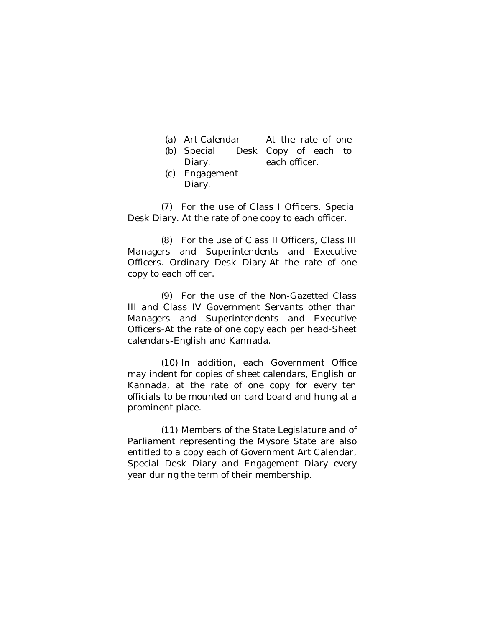| (a) Art Calendar | At the rate of one   |  |  |
|------------------|----------------------|--|--|
| (b) Special      | Desk Copy of each to |  |  |

- Diary. each officer.
- (c) Engagement Diary.

(7) For the use of Class I Officers. Special Desk Diary. At the rate of one copy to each officer.

(8) For the use of Class II Officers, Class III Managers and Superintendents and Executive Officers. Ordinary Desk Diary-At the rate of one copy to each officer.

(9) For the use of the Non-Gazetted Class III and Class IV Government Servants other than Managers and Superintendents and Executive Officers-At the rate of one copy each per head-Sheet calendars-English and Kannada.

(10) In addition, each Government Office may indent for copies of sheet calendars, English or Kannada, at the rate of one copy for every ten officials to be mounted on card board and hung at a prominent place.

(11) Members of the State Legislature and of Parliament representing the Mysore State are also entitled to a copy each of Government Art Calendar, Special Desk Diary and Engagement Diary every year during the term of their membership.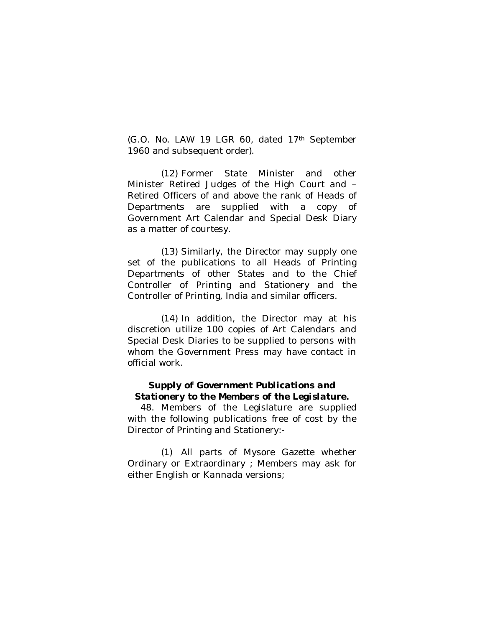(G.O. No. LAW 19 LGR 60, dated 17th September 1960 and subsequent order).

(12) Former State Minister and other Minister Retired Judges of the High Court and – Retired Officers of and above the rank of Heads of Departments are supplied with a copy of Government Art Calendar and Special Desk Diary as a matter of courtesy.

(13) Similarly, the Director may supply one set of the publications to all Heads of Printing Departments of other States and to the Chief Controller of Printing and Stationery and the Controller of Printing, India and similar officers.

(14) In addition, the Director may at his discretion utilize 100 copies of Art Calendars and Special Desk Diaries to be supplied to persons with whom the Government Press may have contact in official work.

# *Supply of Government Publications and Stationery to the Members of the Legislature.*

48. Members of the Legislature are supplied with the following publications free of cost by the Director of Printing and Stationery:-

(1) All parts of Mysore Gazette whether Ordinary or Extraordinary ; Members may ask for either English or Kannada versions;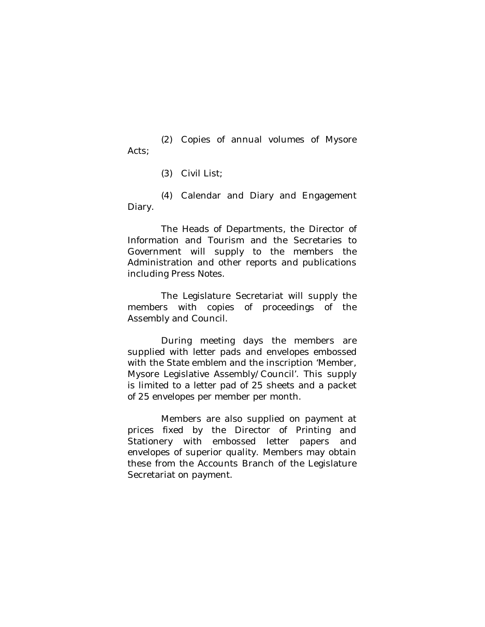(2) Copies of annual volumes of Mysore Acts;

(3) Civil List;

(4) Calendar and Diary and Engagement Diary.

The Heads of Departments, the Director of Information and Tourism and the Secretaries to Government will supply to the members the Administration and other reports and publications including Press Notes.

The Legislature Secretariat will supply the members with copies of proceedings of the Assembly and Council.

During meeting days the members are supplied with letter pads and envelopes embossed with the State emblem and the inscription 'Member, Mysore Legislative Assembly/Council'. This supply is limited to a letter pad of 25 sheets and a packet of 25 envelopes per member per month.

Members are also supplied on payment at prices fixed by the Director of Printing and Stationery with embossed letter papers and envelopes of superior quality. Members may obtain these from the Accounts Branch of the Legislature Secretariat on payment.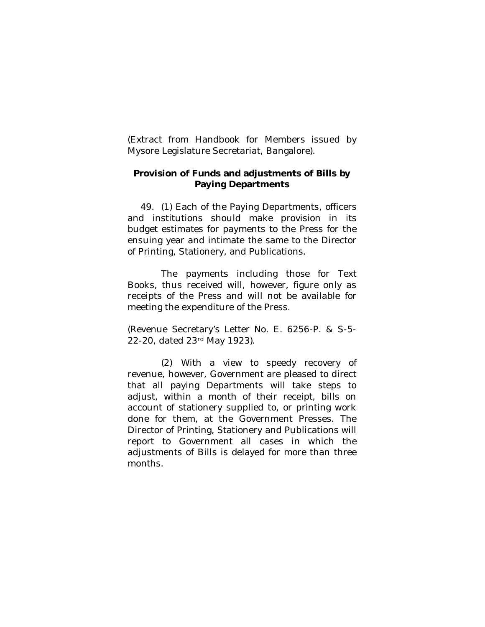(Extract from Handbook for Members issued by Mysore Legislature Secretariat, Bangalore).

## **Provision of Funds and adjustments of Bills by Paying Departments**

49. (1) Each of the Paying Departments, officers and institutions should make provision in its budget estimates for payments to the Press for the ensuing year and intimate the same to the Director of Printing, Stationery, and Publications.

The payments including those for Text Books, thus received will, however, figure only as receipts of the Press and will not be available for meeting the expenditure of the Press.

(Revenue Secretary's Letter No. E. 6256-P. & S-5- 22-20, dated 23rd May 1923).

(2) With a view to speedy recovery of revenue, however, Government are pleased to direct that all paying Departments will take steps to adjust, within a month of their receipt, bills on account of stationery supplied to, or printing work done for them, at the Government Presses. The Director of Printing, Stationery and Publications will report to Government all cases in which the adjustments of Bills is delayed for more than three months.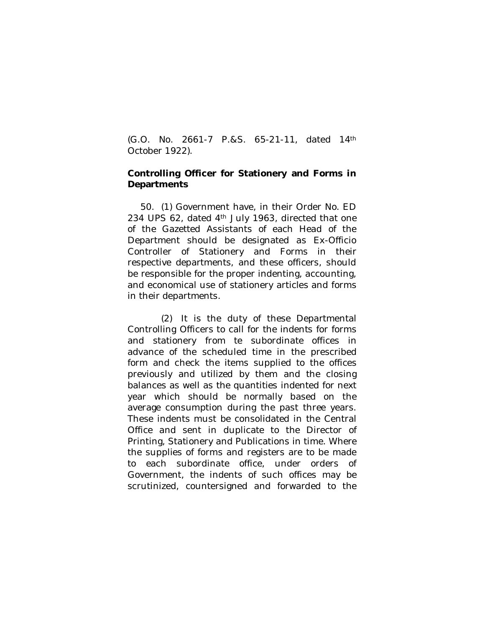(G.O. No. 2661-7 P.&S. 65-21-11, dated 14th October 1922).

## **Controlling Officer for Stationery and Forms in Departments**

50. (1) Government have, in their Order No. ED 234 UPS 62, dated 4<sup>th</sup> July 1963, directed that one of the Gazetted Assistants of each Head of the Department should be designated as Ex-Officio Controller of Stationery and Forms in their respective departments, and these officers, should be responsible for the proper indenting, accounting, and economical use of stationery articles and forms in their departments.

(2) It is the duty of these Departmental Controlling Officers to call for the indents for forms and stationery from te subordinate offices in advance of the scheduled time in the prescribed form and check the items supplied to the offices previously and utilized by them and the closing balances as well as the quantities indented for next year which should be normally based on the average consumption during the past three years. These indents must be consolidated in the Central Office and sent in duplicate to the Director of Printing, Stationery and Publications in time. Where the supplies of forms and registers are to be made to each subordinate office, under orders of Government, the indents of such offices may be scrutinized, countersigned and forwarded to the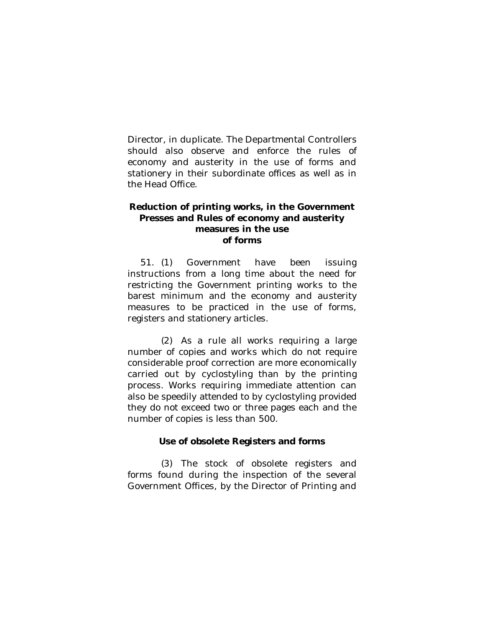Director, in duplicate. The Departmental Controllers should also observe and enforce the rules of economy and austerity in the use of forms and stationery in their subordinate offices as well as in the Head Office.

## **Reduction of printing works, in the Government Presses and Rules of economy and austerity measures in the use of forms**

51. (1) Government have been issuing instructions from a long time about the need for restricting the Government printing works to the barest minimum and the economy and austerity measures to be practiced in the use of forms, registers and stationery articles.

(2) As a rule all works requiring a large number of copies and works which do not require considerable proof correction are more economically carried out by cyclostyling than by the printing process. Works requiring immediate attention can also be speedily attended to by cyclostyling provided they do not exceed two or three pages each and the number of copies is less than 500.

## **Use of obsolete Registers and forms**

(3) The stock of obsolete registers and forms found during the inspection of the several Government Offices, by the Director of Printing and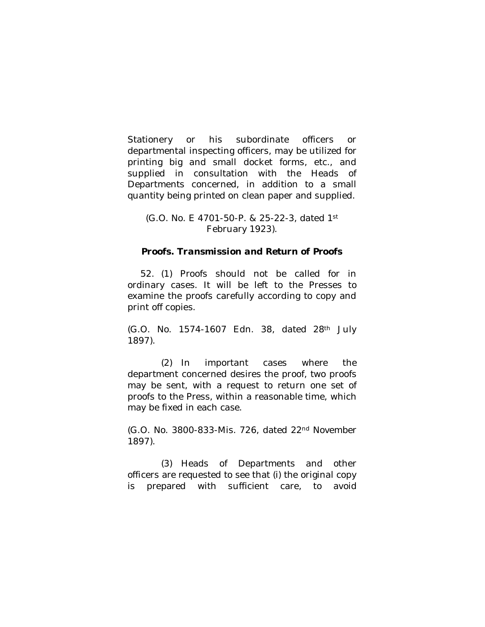Stationery or his subordinate officers or departmental inspecting officers, may be utilized for printing big and small docket forms, etc., and supplied in consultation with the Heads of Departments concerned, in addition to a small quantity being printed on clean paper and supplied.

(G.O. No. E 4701-50-P. & 25-22-3, dated 1st February 1923).

#### *Proofs. Transmission and Return of Proofs*

52. (1) Proofs should not be called for in ordinary cases. It will be left to the Presses to examine the proofs carefully according to copy and print off copies.

(G.O. No. 1574-1607 Edn. 38, dated 28th July 1897).

(2) In important cases where the department concerned desires the proof, two proofs may be sent, with a request to return one set of proofs to the Press, within a reasonable time, which may be fixed in each case.

(G.O. No. 3800-833-Mis. 726, dated 22nd November 1897).

(3) Heads of Departments and other officers are requested to see that (i) the original copy is prepared with sufficient care, to avoid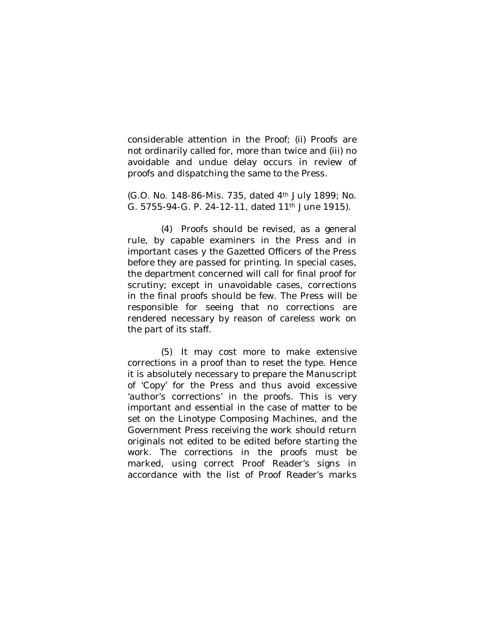considerable attention in the Proof; (ii) Proofs are not ordinarily called for, more than twice and (iii) no avoidable and undue delay occurs in review of proofs and dispatching the same to the Press.

(G.O. No. 148-86-Mis. 735, dated 4th July 1899; No. G. 5755-94-G. P. 24-12-11, dated 11th June 1915).

(4) Proofs should be revised, as a general rule, by capable examiners in the Press and in important cases y the Gazetted Officers of the Press before they are passed for printing. In special cases, the department concerned will call for final proof for scrutiny; except in unavoidable cases, corrections in the final proofs should be few. The Press will be responsible for seeing that no corrections are rendered necessary by reason of careless work on the part of its staff.

(5) It may cost more to make extensive corrections in a proof than to reset the type. Hence it is absolutely necessary to prepare the Manuscript of 'Copy' for the Press and thus avoid excessive 'author's corrections' in the proofs. This is very important and essential in the case of matter to be set on the Linotype Composing Machines, and the Government Press receiving the work should return originals not edited to be edited before starting the work. The corrections in the proofs must be marked, using correct Proof Reader's signs in accordance with the list of Proof Reader's marks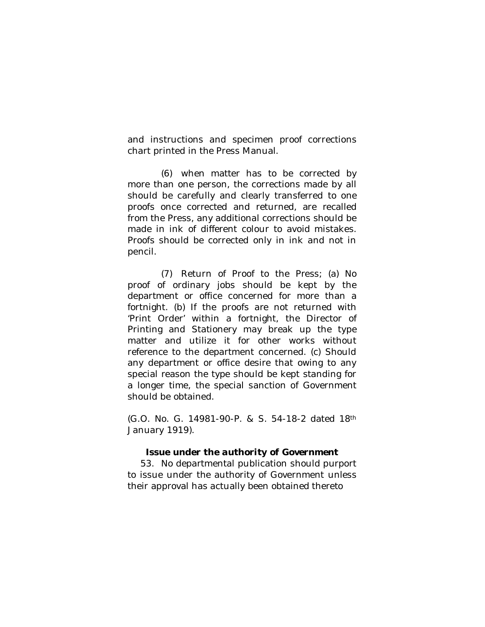and instructions and specimen proof corrections chart printed in the Press Manual.

(6) when matter has to be corrected by more than one person, the corrections made by all should be carefully and clearly transferred to one proofs once corrected and returned, are recalled from the Press, any additional corrections should be made in ink of different colour to avoid mistakes. Proofs should be corrected only in ink and not in pencil.

(7) Return of Proof to the Press; (a) No proof of ordinary jobs should be kept by the department or office concerned for more than a fortnight. (b) If the proofs are not returned with 'Print Order' within a fortnight, the Director of Printing and Stationery may break up the type matter and utilize it for other works without reference to the department concerned. (c) Should any department or office desire that owing to any special reason the type should be kept standing for a longer time, the special sanction of Government should be obtained.

(G.O. No. G. 14981-90-P. & S. 54-18-2 dated 18th January 1919).

## *Issue under the authority of Government*

53. No departmental publication should purport to issue under the authority of Government unless their approval has actually been obtained thereto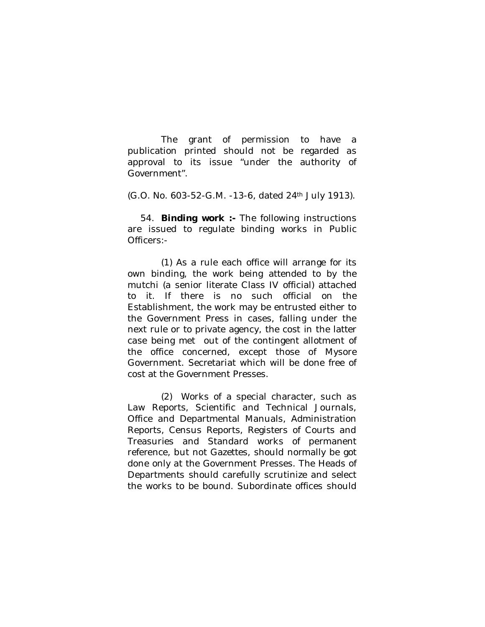The grant of permission to have a publication printed should not be regarded as approval to its issue "under the authority of Government".

(G.O. No. 603-52-G.M. -13-6, dated 24th July 1913).

54. **Binding work :-** The following instructions are issued to regulate binding works in Public Officers:-

(1) As a rule each office will arrange for its own binding, the work being attended to by the mutchi (a senior literate Class IV official) attached to it. If there is no such official on the Establishment, the work may be entrusted either to the Government Press in cases, falling under the next rule or to private agency, the cost in the latter case being met out of the contingent allotment of the office concerned, except those of Mysore Government. Secretariat which will be done free of cost at the Government Presses.

(2) Works of a special character, such as Law Reports, Scientific and Technical Journals, Office and Departmental Manuals, Administration Reports, Census Reports, Registers of Courts and Treasuries and Standard works of permanent reference, but not Gazettes, should normally be got done only at the Government Presses. The Heads of Departments should carefully scrutinize and select the works to be bound. Subordinate offices should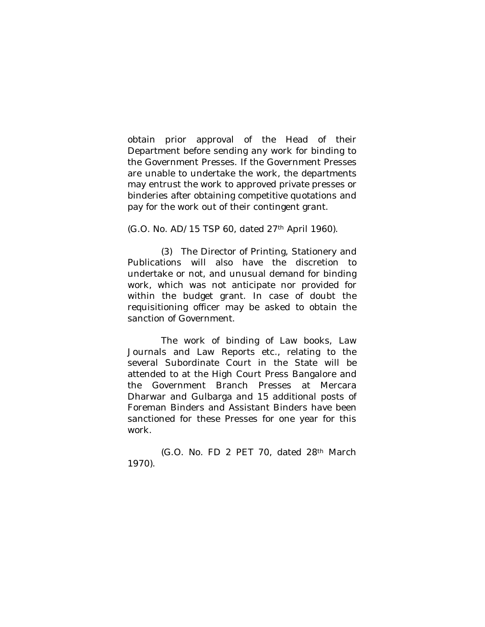obtain prior approval of the Head of their Department before sending any work for binding to the Government Presses. If the Government Presses are unable to undertake the work, the departments may entrust the work to approved private presses or binderies after obtaining competitive quotations and pay for the work out of their contingent grant.

(G.O. No. AD/15 TSP 60, dated 27th April 1960).

(3) The Director of Printing, Stationery and Publications will also have the discretion to undertake or not, and unusual demand for binding work, which was not anticipate nor provided for within the budget grant. In case of doubt the requisitioning officer may be asked to obtain the sanction of Government.

The work of binding of Law books, Law Journals and Law Reports etc., relating to the several Subordinate Court in the State will be attended to at the High Court Press Bangalore and the Government Branch Presses at Mercara Dharwar and Gulbarga and 15 additional posts of Foreman Binders and Assistant Binders have been sanctioned for these Presses for one year for this work.

(G.O. No. FD 2 PET 70, dated 28th March 1970).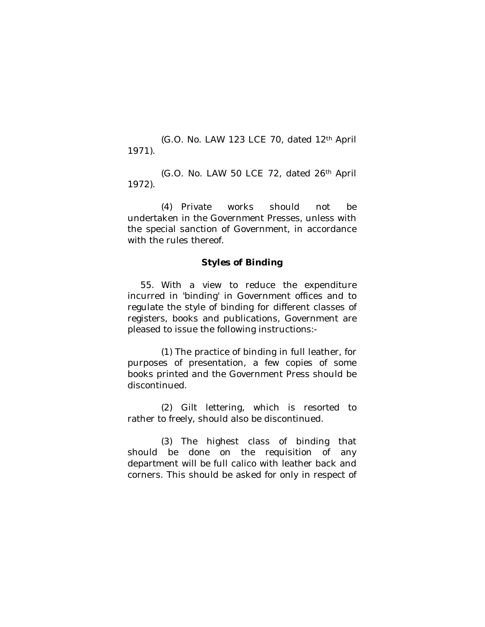(G.O. No. LAW 123 LCE 70, dated 12th April 1971).

(G.O. No. LAW 50 LCE 72, dated 26th April 1972).

(4) Private works should not be undertaken in the Government Presses, unless with the special sanction of Government, in accordance with the rules thereof.

#### *Styles of Binding*

55. With a view to reduce the expenditure incurred in 'binding' in Government offices and to regulate the style of binding for different classes of registers, books and publications, Government are pleased to issue the following instructions:-

(1) The practice of binding in full leather, for purposes of presentation, a few copies of some books printed and the Government Press should be discontinued.

(2) Gilt lettering, which is resorted to rather to freely, should also be discontinued.

(3) The highest class of binding that should be done on the requisition of any department will be full calico with leather back and corners. This should be asked for only in respect of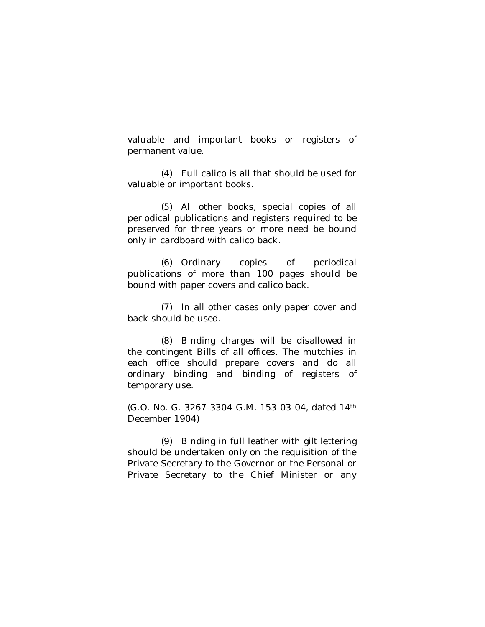valuable and important books or registers of permanent value.

(4) Full calico is all that should be used for valuable or important books.

(5) All other books, special copies of all periodical publications and registers required to be preserved for three years or more need be bound only in cardboard with calico back.

(6) Ordinary copies of periodical publications of more than 100 pages should be bound with paper covers and calico back.

(7) In all other cases only paper cover and back should be used.

(8) Binding charges will be disallowed in the contingent Bills of all offices. The mutchies in each office should prepare covers and do all ordinary binding and binding of registers of temporary use.

(G.O. No. G. 3267-3304-G.M. 153-03-04, dated 14th December 1904)

(9) Binding in full leather with gilt lettering should be undertaken only on the requisition of the Private Secretary to the Governor or the Personal or Private Secretary to the Chief Minister or any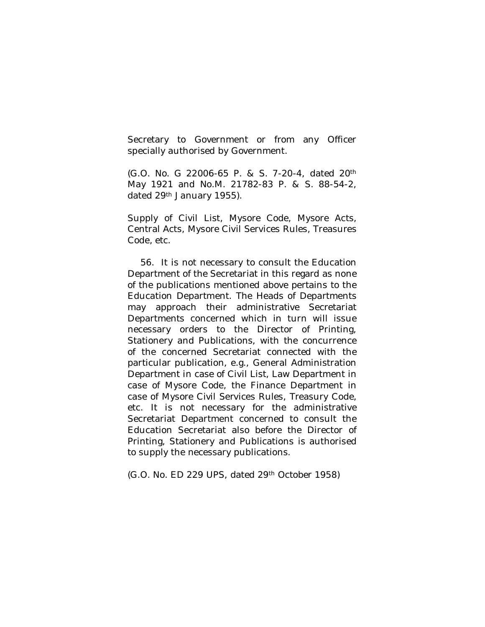Secretary to Government or from any Officer specially authorised by Government.

(G.O. No. G 22006-65 P. & S. 7-20-4, dated 20th May 1921 and No.M. 21782-83 P. & S. 88-54-2, dated 29<sup>th</sup> January 1955).

Supply of Civil List, Mysore Code, Mysore Acts, Central Acts, Mysore Civil Services Rules, Treasures Code, etc.

56. It is not necessary to consult the Education Department of the Secretariat in this regard as none of the publications mentioned above pertains to the Education Department. The Heads of Departments may approach their administrative Secretariat Departments concerned which in turn will issue necessary orders to the Director of Printing, Stationery and Publications, with the concurrence of the concerned Secretariat connected with the particular publication, e.g., General Administration Department in case of Civil List, Law Department in case of Mysore Code, the Finance Department in case of Mysore Civil Services Rules, Treasury Code, etc. It is not necessary for the administrative Secretariat Department concerned to consult the Education Secretariat also before the Director of Printing, Stationery and Publications is authorised to supply the necessary publications.

(G.O. No. ED 229 UPS, dated 29th October 1958)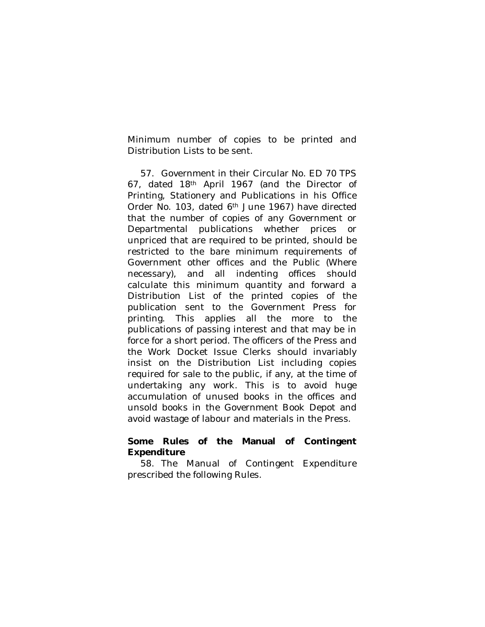Minimum number of copies to be printed and Distribution Lists to be sent.

57. Government in their Circular No. ED 70 TPS 67, dated 18th April 1967 (and the Director of Printing, Stationery and Publications in his Office Order No. 103, dated 6<sup>th</sup> June 1967) have directed that the number of copies of any Government or Departmental publications whether prices or unpriced that are required to be printed, should be restricted to the bare minimum requirements of Government other offices and the Public (Where necessary), and all indenting offices should calculate this minimum quantity and forward a Distribution List of the printed copies of the publication sent to the Government Press for printing. This applies all the more to the publications of passing interest and that may be in force for a short period. The officers of the Press and the Work Docket Issue Clerks should invariably insist on the Distribution List including copies required for sale to the public, if any, at the time of undertaking any work. This is to avoid huge accumulation of unused books in the offices and unsold books in the Government Book Depot and avoid wastage of labour and materials in the Press.

## **Some Rules of the Manual of Contingent Expenditure**

58. The Manual of Contingent Expenditure prescribed the following Rules.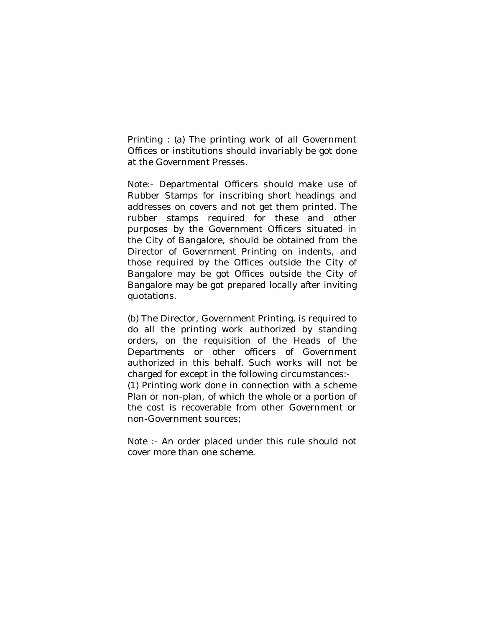Printing : (a) The printing work of all Government Offices or institutions should invariably be got done at the Government Presses.

Note:- Departmental Officers should make use of Rubber Stamps for inscribing short headings and addresses on covers and not get them printed. The rubber stamps required for these and other purposes by the Government Officers situated in the City of Bangalore, should be obtained from the Director of Government Printing on indents, and those required by the Offices outside the City of Bangalore may be got Offices outside the City of Bangalore may be got prepared locally after inviting quotations.

(b) The Director, Government Printing, is required to do all the printing work authorized by standing orders, on the requisition of the Heads of the Departments or other officers of Government authorized in this behalf. Such works will not be charged for except in the following circumstances:- (1) Printing work done in connection with a scheme Plan or non-plan, of which the whole or a portion of the cost is recoverable from other Government or non-Government sources;

Note :- An order placed under this rule should not cover more than one scheme.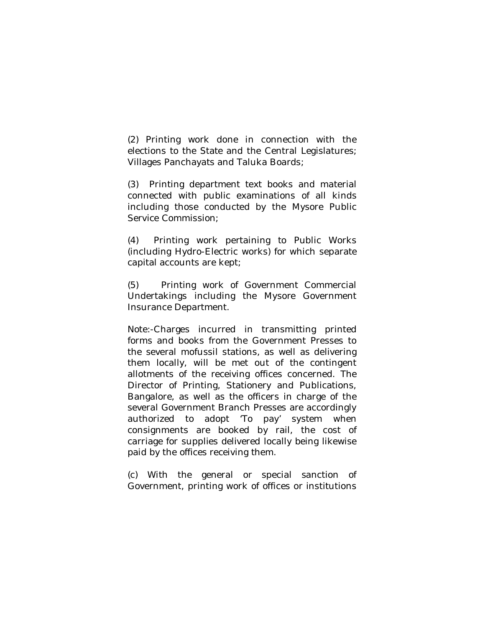(2) Printing work done in connection with the elections to the State and the Central Legislatures; Villages Panchayats and Taluka Boards;

(3) Printing department text books and material connected with public examinations of all kinds including those conducted by the Mysore Public Service Commission;

(4) Printing work pertaining to Public Works (including Hydro-Electric works) for which separate capital accounts are kept;

(5) Printing work of Government Commercial Undertakings including the Mysore Government Insurance Department.

Note:-Charges incurred in transmitting printed forms and books from the Government Presses to the several mofussil stations, as well as delivering them locally, will be met out of the contingent allotments of the receiving offices concerned. The Director of Printing, Stationery and Publications, Bangalore, as well as the officers in charge of the several Government Branch Presses are accordingly authorized to adopt 'To pay' system when consignments are booked by rail, the cost of carriage for supplies delivered locally being likewise paid by the offices receiving them.

(c) With the general or special sanction of Government, printing work of offices or institutions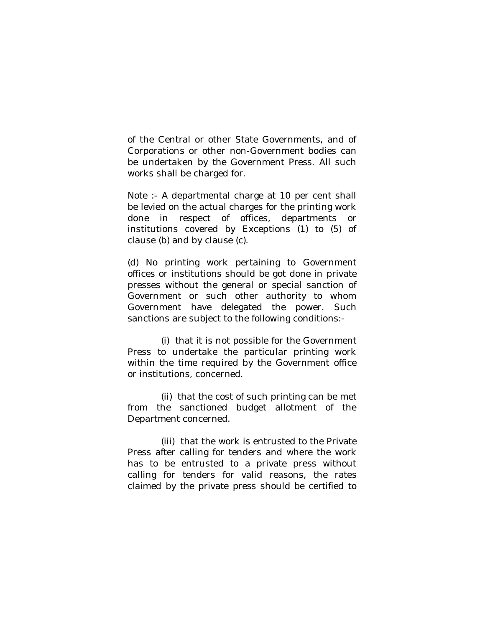of the Central or other State Governments, and of Corporations or other non-Government bodies can be undertaken by the Government Press. All such works shall be charged for.

Note :- A departmental charge at 10 per cent shall be levied on the actual charges for the printing work done in respect of offices, departments or institutions covered by Exceptions (1) to (5) of clause (b) and by clause (c).

(d) No printing work pertaining to Government offices or institutions should be got done in private presses without the general or special sanction of Government or such other authority to whom Government have delegated the power. Such sanctions are subject to the following conditions:-

(i) that it is not possible for the Government Press to undertake the particular printing work within the time required by the Government office or institutions, concerned.

(ii) that the cost of such printing can be met from the sanctioned budget allotment of the Department concerned.

(iii) that the work is entrusted to the Private Press after calling for tenders and where the work has to be entrusted to a private press without calling for tenders for valid reasons, the rates claimed by the private press should be certified to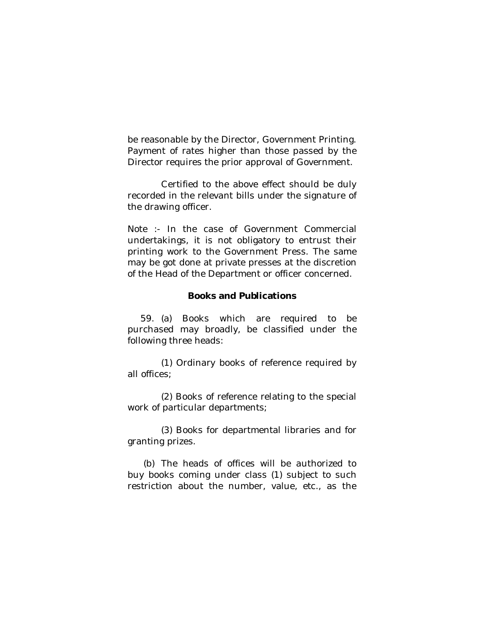be reasonable by the Director, Government Printing. Payment of rates higher than those passed by the Director requires the prior approval of Government.

Certified to the above effect should be duly recorded in the relevant bills under the signature of the drawing officer.

Note :- In the case of Government Commercial undertakings, it is not obligatory to entrust their printing work to the Government Press. The same may be got done at private presses at the discretion of the Head of the Department or officer concerned.

## **Books and Publications**

59. (a) Books which are required to be purchased may broadly, be classified under the following three heads:

(1) Ordinary books of reference required by all offices;

(2) Books of reference relating to the special work of particular departments;

(3) Books for departmental libraries and for granting prizes.

(b) The heads of offices will be authorized to buy books coming under class (1) subject to such restriction about the number, value, etc., as the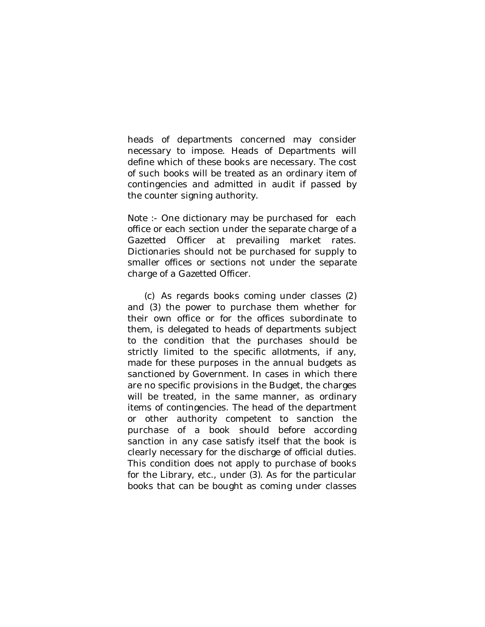heads of departments concerned may consider necessary to impose. Heads of Departments will define which of these books are necessary. The cost of such books will be treated as an ordinary item of contingencies and admitted in audit if passed by the counter signing authority.

Note :- One dictionary may be purchased for each office or each section under the separate charge of a Gazetted Officer at prevailing market rates. Dictionaries should not be purchased for supply to smaller offices or sections not under the separate charge of a Gazetted Officer.

(c) As regards books coming under classes (2) and (3) the power to purchase them whether for their own office or for the offices subordinate to them, is delegated to heads of departments subject to the condition that the purchases should be strictly limited to the specific allotments, if any, made for these purposes in the annual budgets as sanctioned by Government. In cases in which there are no specific provisions in the Budget, the charges will be treated, in the same manner, as ordinary items of contingencies. The head of the department or other authority competent to sanction the purchase of a book should before according sanction in any case satisfy itself that the book is clearly necessary for the discharge of official duties. This condition does not apply to purchase of books for the Library, etc., under (3). As for the particular books that can be bought as coming under classes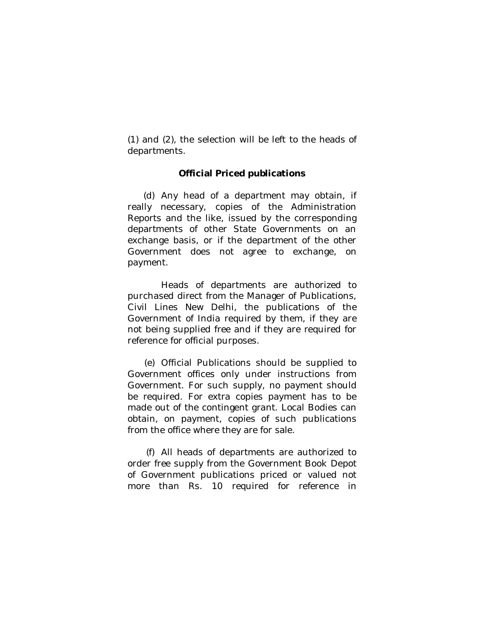(1) and (2), the selection will be left to the heads of departments.

## **Official Priced publications**

(d) Any head of a department may obtain, if really necessary, copies of the Administration Reports and the like, issued by the corresponding departments of other State Governments on an exchange basis, or if the department of the other Government does not agree to exchange, on payment.

Heads of departments are authorized to purchased direct from the Manager of Publications, Civil Lines New Delhi, the publications of the Government of India required by them, if they are not being supplied free and if they are required for reference for official purposes.

(e) Official Publications should be supplied to Government offices only under instructions from Government. For such supply, no payment should be required. For extra copies payment has to be made out of the contingent grant. Local Bodies can obtain, on payment, copies of such publications from the office where they are for sale.

(f) All heads of departments are authorized to order free supply from the Government Book Depot of Government publications priced or valued not more than Rs. 10 required for reference in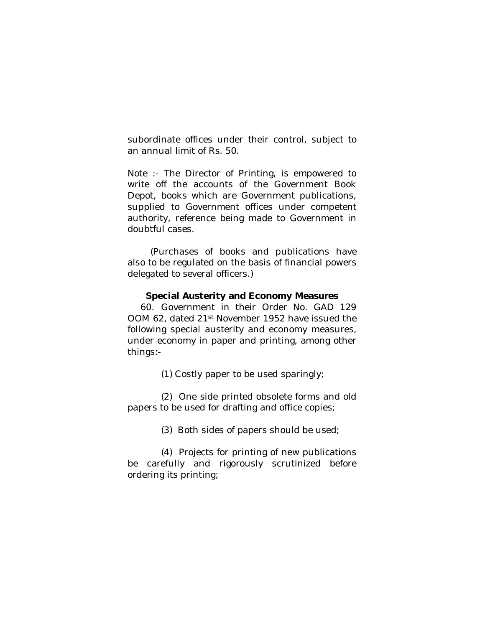subordinate offices under their control, subject to an annual limit of Rs. 50.

Note :- The Director of Printing, is empowered to write off the accounts of the Government Book Depot, books which are Government publications, supplied to Government offices under competent authority, reference being made to Government in doubtful cases.

 (Purchases of books and publications have also to be regulated on the basis of financial powers delegated to several officers.)

#### **Special Austerity and Economy Measures**

60. Government in their Order No. GAD 129 OOM 62, dated 21st November 1952 have issued the following special austerity and economy measures, under economy in paper and printing, among other things:-

(1) Costly paper to be used sparingly;

(2) One side printed obsolete forms and old papers to be used for drafting and office copies;

(3) Both sides of papers should be used;

(4) Projects for printing of new publications be carefully and rigorously scrutinized before ordering its printing;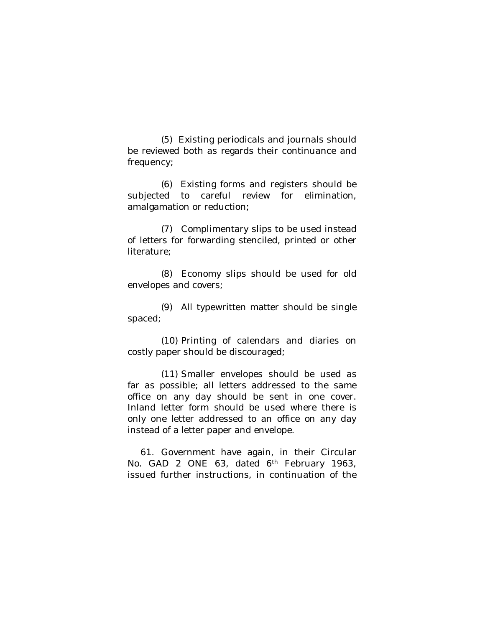(5) Existing periodicals and journals should be reviewed both as regards their continuance and frequency;

(6) Existing forms and registers should be subjected to careful review for elimination, amalgamation or reduction;

(7) Complimentary slips to be used instead of letters for forwarding stenciled, printed or other literature;

(8) Economy slips should be used for old envelopes and covers;

(9) All typewritten matter should be single spaced;

(10) Printing of calendars and diaries on costly paper should be discouraged;

(11) Smaller envelopes should be used as far as possible; all letters addressed to the same office on any day should be sent in one cover. Inland letter form should be used where there is only one letter addressed to an office on any day instead of a letter paper and envelope.

61. Government have again, in their Circular No. GAD 2 ONE 63, dated 6<sup>th</sup> February 1963, issued further instructions, in continuation of the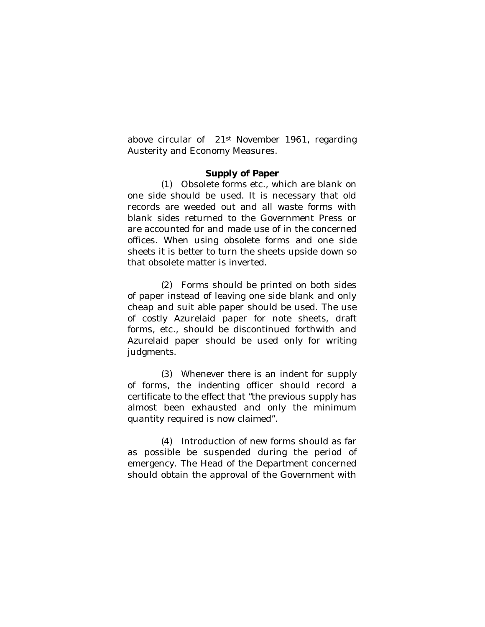above circular of 21st November 1961, regarding Austerity and Economy Measures.

#### **Supply of Paper**

(1) Obsolete forms etc., which are blank on one side should be used. It is necessary that old records are weeded out and all waste forms with blank sides returned to the Government Press or are accounted for and made use of in the concerned offices. When using obsolete forms and one side sheets it is better to turn the sheets upside down so that obsolete matter is inverted.

(2) Forms should be printed on both sides of paper instead of leaving one side blank and only cheap and suit able paper should be used. The use of costly Azurelaid paper for note sheets, draft forms, etc., should be discontinued forthwith and Azurelaid paper should be used only for writing judgments.

(3) Whenever there is an indent for supply of forms, the indenting officer should record a certificate to the effect that "the previous supply has almost been exhausted and only the minimum quantity required is now claimed".

(4) Introduction of new forms should as far as possible be suspended during the period of emergency. The Head of the Department concerned should obtain the approval of the Government with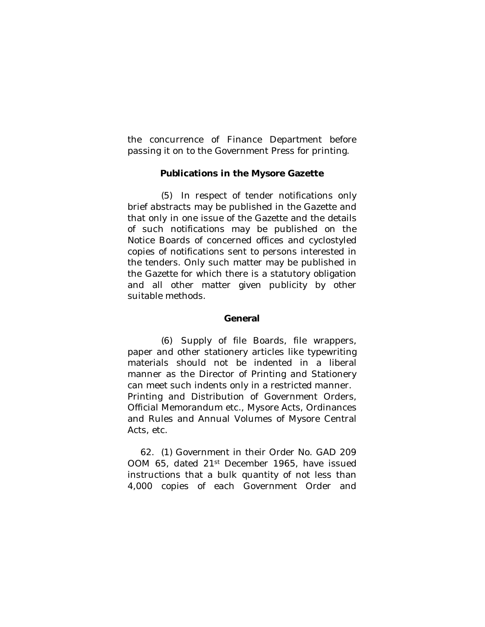the concurrence of Finance Department before passing it on to the Government Press for printing.

## **Publications in the Mysore Gazette**

(5) In respect of tender notifications only brief abstracts may be published in the Gazette and that only in one issue of the Gazette and the details of such notifications may be published on the Notice Boards of concerned offices and cyclostyled copies of notifications sent to persons interested in the tenders. Only such matter may be published in the Gazette for which there is a statutory obligation and all other matter given publicity by other suitable methods.

## **General**

(6) Supply of file Boards, file wrappers, paper and other stationery articles like typewriting materials should not be indented in a liberal manner as the Director of Printing and Stationery can meet such indents only in a restricted manner. Printing and Distribution of Government Orders, Official Memorandum etc., Mysore Acts, Ordinances and Rules and Annual Volumes of Mysore Central Acts, etc.

62. (1) Government in their Order No. GAD 209 OOM 65, dated 21st December 1965, have issued instructions that a bulk quantity of not less than 4,000 copies of each Government Order and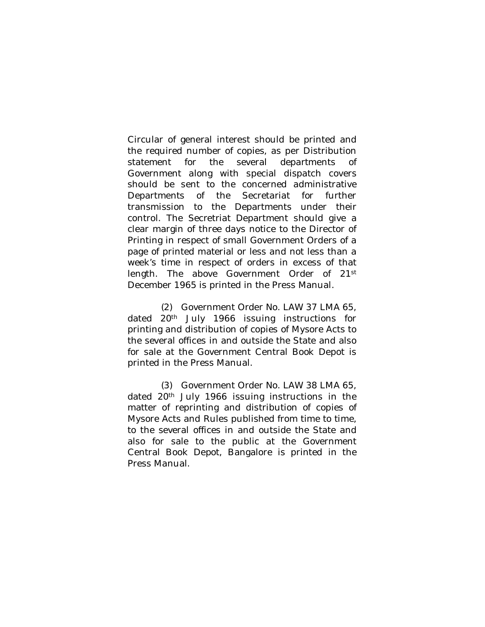Circular of general interest should be printed and the required number of copies, as per Distribution statement for the several departments of Government along with special dispatch covers should be sent to the concerned administrative Departments of the Secretariat for further transmission to the Departments under their control. The Secretriat Department should give a clear margin of three days notice to the Director of Printing in respect of small Government Orders of a page of printed material or less and not less than a week's time in respect of orders in excess of that length. The above Government Order of 21st December 1965 is printed in the Press Manual.

(2) Government Order No. LAW 37 LMA 65, dated 20<sup>th</sup> July 1966 issuing instructions for printing and distribution of copies of Mysore Acts to the several offices in and outside the State and also for sale at the Government Central Book Depot is printed in the Press Manual.

(3) Government Order No. LAW 38 LMA 65, dated 20<sup>th</sup> July 1966 issuing instructions in the matter of reprinting and distribution of copies of Mysore Acts and Rules published from time to time, to the several offices in and outside the State and also for sale to the public at the Government Central Book Depot, Bangalore is printed in the Press Manual.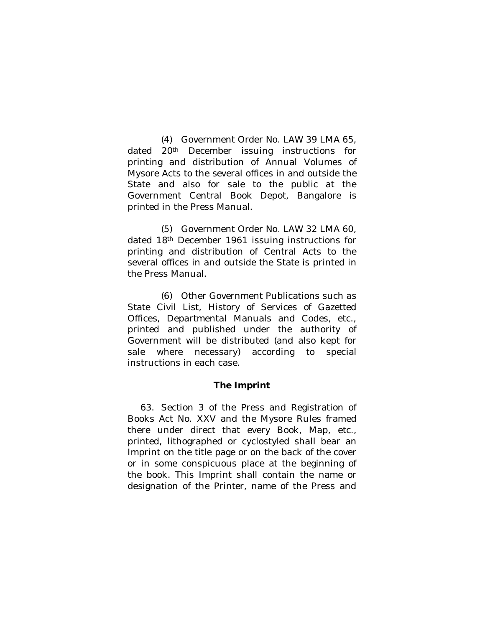(4) Government Order No. LAW 39 LMA 65, dated 20<sup>th</sup> December issuing instructions for printing and distribution of Annual Volumes of Mysore Acts to the several offices in and outside the State and also for sale to the public at the Government Central Book Depot, Bangalore is printed in the Press Manual.

(5) Government Order No. LAW 32 LMA 60, dated 18th December 1961 issuing instructions for printing and distribution of Central Acts to the several offices in and outside the State is printed in the Press Manual.

(6) Other Government Publications such as State Civil List, History of Services of Gazetted Offices, Departmental Manuals and Codes, etc., printed and published under the authority of Government will be distributed (and also kept for sale where necessary) according to special instructions in each case.

## **The Imprint**

63. Section 3 of the Press and Registration of Books Act No. XXV and the Mysore Rules framed there under direct that every Book, Map, etc., printed, lithographed or cyclostyled shall bear an Imprint on the title page or on the back of the cover or in some conspicuous place at the beginning of the book. This Imprint shall contain the name or designation of the Printer, name of the Press and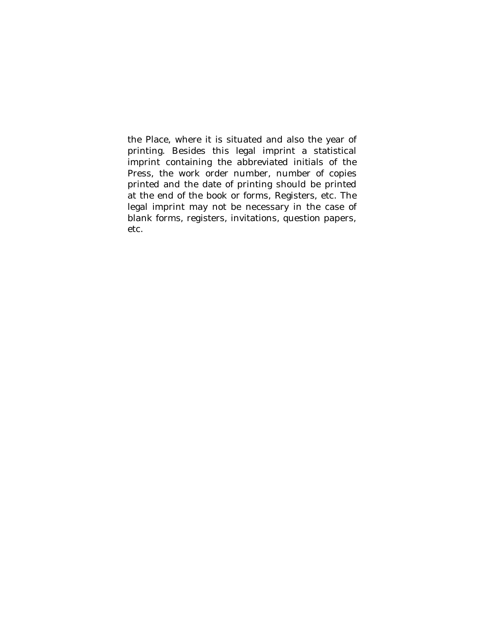the Place, where it is situated and also the year of printing. Besides this legal imprint a statistical imprint containing the abbreviated initials of the Press, the work order number, number of copies printed and the date of printing should be printed at the end of the book or forms, Registers, etc. The legal imprint may not be necessary in the case of blank forms, registers, invitations, question papers, etc.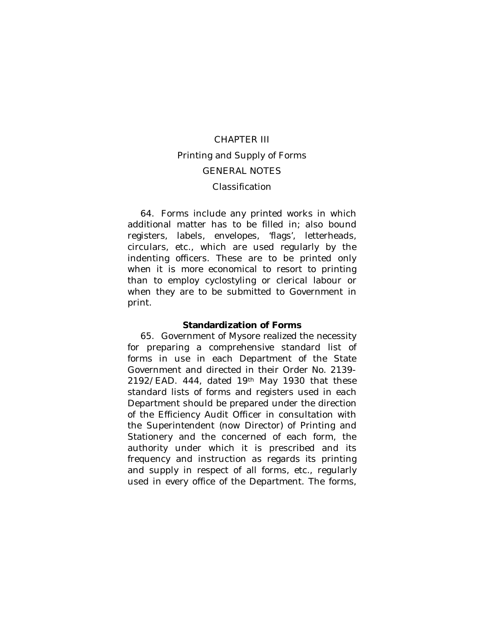# CHAPTER III Printing and Supply of Forms GENERAL NOTES Classification

64. Forms include any printed works in which additional matter has to be filled in; also bound registers, labels, envelopes, 'flags', letterheads, circulars, etc., which are used regularly by the indenting officers. These are to be printed only when it is more economical to resort to printing than to employ cyclostyling or clerical labour or when they are to be submitted to Government in print.

#### **Standardization of Forms**

65. Government of Mysore realized the necessity for preparing a comprehensive standard list of forms in use in each Department of the State Government and directed in their Order No. 2139- 2192/EAD. 444, dated 19th May 1930 that these standard lists of forms and registers used in each Department should be prepared under the direction of the Efficiency Audit Officer in consultation with the Superintendent (now Director) of Printing and Stationery and the concerned of each form, the authority under which it is prescribed and its frequency and instruction as regards its printing and supply in respect of all forms, etc., regularly used in every office of the Department. The forms,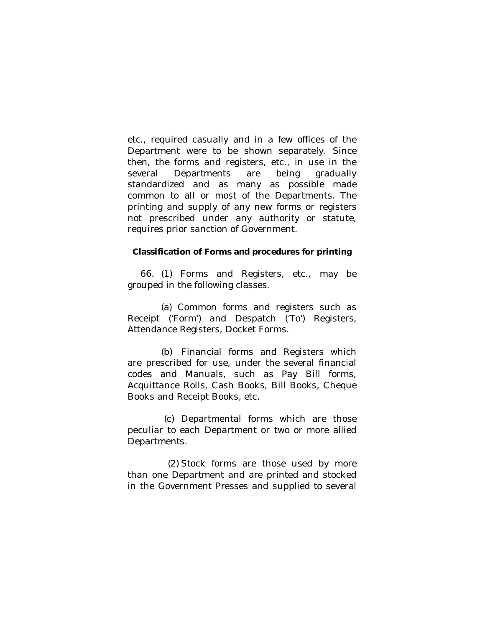etc., required casually and in a few offices of the Department were to be shown separately. Since then, the forms and registers, etc., in use in the several Departments are being gradually standardized and as many as possible made common to all or most of the Departments. The printing and supply of any new forms or registers not prescribed under any authority or statute, requires prior sanction of Government.

#### **Classification of Forms and procedures for printing**

66. (1) Forms and Registers, etc., may be grouped in the following classes.

(a) Common forms and registers such as Receipt ('Form') and Despatch ('To') Registers, Attendance Registers, Docket Forms.

(b) Financial forms and Registers which are prescribed for use, under the several financial codes and Manuals, such as Pay Bill forms, Acquittance Rolls, Cash Books, Bill Books, Cheque Books and Receipt Books, etc.

 (c) Departmental forms which are those peculiar to each Department or two or more allied Departments.

(2) Stock forms are those used by more than one Department and are printed and stocked in the Government Presses and supplied to several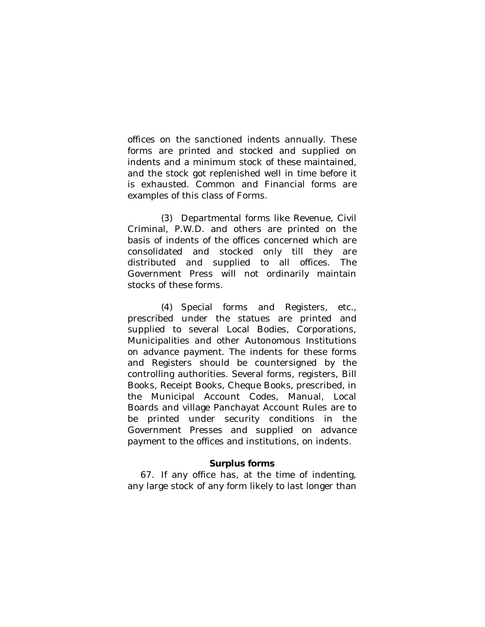offices on the sanctioned indents annually. These forms are printed and stocked and supplied on indents and a minimum stock of these maintained, and the stock got replenished well in time before it is exhausted. Common and Financial forms are examples of this class of Forms.

(3) Departmental forms like Revenue, Civil Criminal, P.W.D. and others are printed on the basis of indents of the offices concerned which are consolidated and stocked only till they are distributed and supplied to all offices. The Government Press will not ordinarily maintain stocks of these forms.

(4) Special forms and Registers, etc., prescribed under the statues are printed and supplied to several Local Bodies, Corporations, Municipalities and other Autonomous Institutions on advance payment. The indents for these forms and Registers should be countersigned by the controlling authorities. Several forms, registers, Bill Books, Receipt Books, Cheque Books, prescribed, in the Municipal Account Codes, Manual, Local Boards and village Panchayat Account Rules are to be printed under security conditions in the Government Presses and supplied on advance payment to the offices and institutions, on indents.

#### **Surplus forms**

67. If any office has, at the time of indenting, any large stock of any form likely to last longer than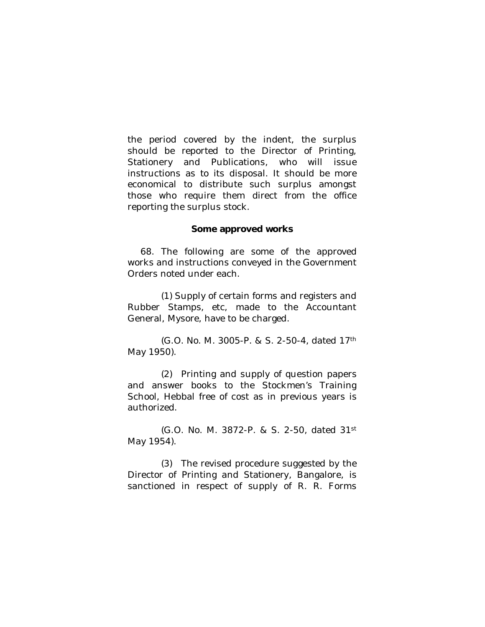the period covered by the indent, the surplus should be reported to the Director of Printing, Stationery and Publications, who will issue instructions as to its disposal. It should be more economical to distribute such surplus amongst those who require them direct from the office reporting the surplus stock.

#### **Some approved works**

68. The following are some of the approved works and instructions conveyed in the Government Orders noted under each.

(1) Supply of certain forms and registers and Rubber Stamps, etc, made to the Accountant General, Mysore, have to be charged.

(G.O. No. M. 3005-P. & S. 2-50-4, dated 17th May 1950).

(2) Printing and supply of question papers and answer books to the Stockmen's Training School, Hebbal free of cost as in previous years is authorized.

(G.O. No. M. 3872-P. & S. 2-50, dated 31st May 1954).

(3) The revised procedure suggested by the Director of Printing and Stationery, Bangalore, is sanctioned in respect of supply of R. R. Forms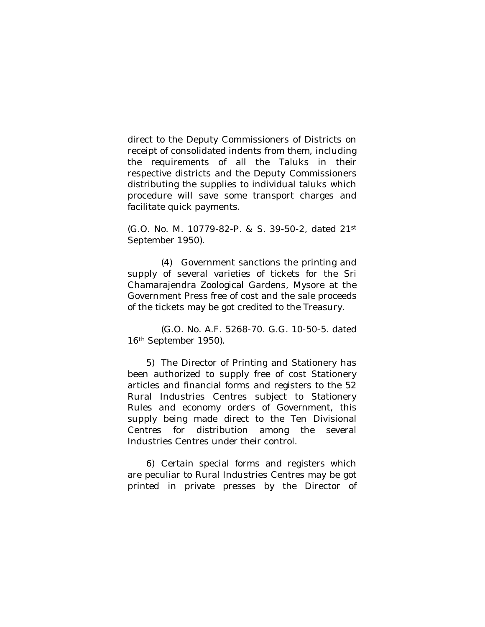direct to the Deputy Commissioners of Districts on receipt of consolidated indents from them, including the requirements of all the Taluks in their respective districts and the Deputy Commissioners distributing the supplies to individual taluks which procedure will save some transport charges and facilitate quick payments.

(G.O. No. M. 10779-82-P. & S. 39-50-2, dated 21st September 1950).

(4) Government sanctions the printing and supply of several varieties of tickets for the Sri Chamarajendra Zoological Gardens, Mysore at the Government Press free of cost and the sale proceeds of the tickets may be got credited to the Treasury.

(G.O. No. A.F. 5268-70. G.G. 10-50-5. dated 16th September 1950).

5) The Director of Printing and Stationery has been authorized to supply free of cost Stationery articles and financial forms and registers to the 52 Rural Industries Centres subject to Stationery Rules and economy orders of Government, this supply being made direct to the Ten Divisional Centres for distribution among the several Industries Centres under their control.

6) Certain special forms and registers which are peculiar to Rural Industries Centres may be got printed in private presses by the Director of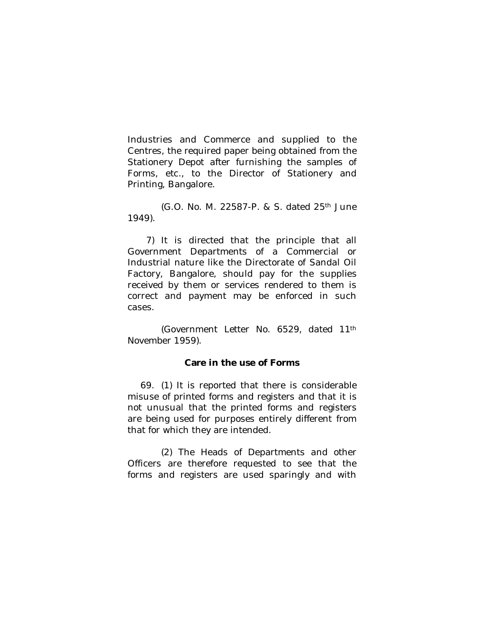Industries and Commerce and supplied to the Centres, the required paper being obtained from the Stationery Depot after furnishing the samples of Forms, etc., to the Director of Stationery and Printing, Bangalore.

(G.O. No. M. 22587-P. & S. dated 25th June 1949).

7) It is directed that the principle that all Government Departments of a Commercial or Industrial nature like the Directorate of Sandal Oil Factory, Bangalore, should pay for the supplies received by them or services rendered to them is correct and payment may be enforced in such cases.

(Government Letter No. 6529, dated 11th November 1959).

#### **Care in the use of Forms**

69. (1) It is reported that there is considerable misuse of printed forms and registers and that it is not unusual that the printed forms and registers are being used for purposes entirely different from that for which they are intended.

(2) The Heads of Departments and other Officers are therefore requested to see that the forms and registers are used sparingly and with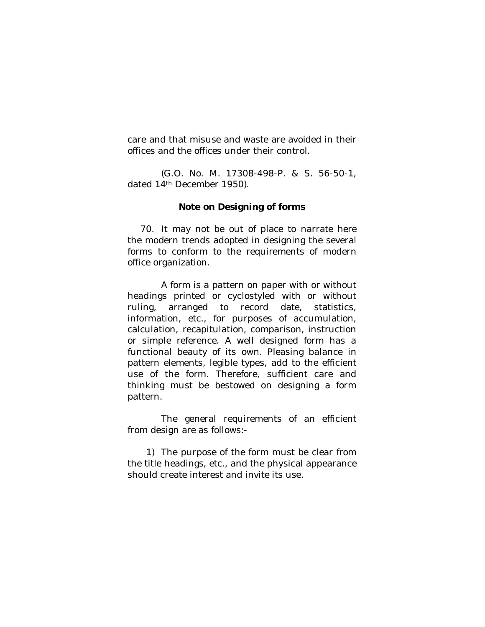care and that misuse and waste are avoided in their offices and the offices under their control.

(G.O. No. M. 17308-498-P. & S. 56-50-1, dated 14<sup>th</sup> December 1950).

#### **Note on Designing of forms**

70. It may not be out of place to narrate here the modern trends adopted in designing the several forms to conform to the requirements of modern office organization.

A form is a pattern on paper with or without headings printed or cyclostyled with or without ruling, arranged to record date, statistics, information, etc., for purposes of accumulation, calculation, recapitulation, comparison, instruction or simple reference. A well designed form has a functional beauty of its own. Pleasing balance in pattern elements, legible types, add to the efficient use of the form. Therefore, sufficient care and thinking must be bestowed on designing a form pattern.

The general requirements of an efficient from design are as follows:-

1) The purpose of the form must be clear from the title headings, etc., and the physical appearance should create interest and invite its use.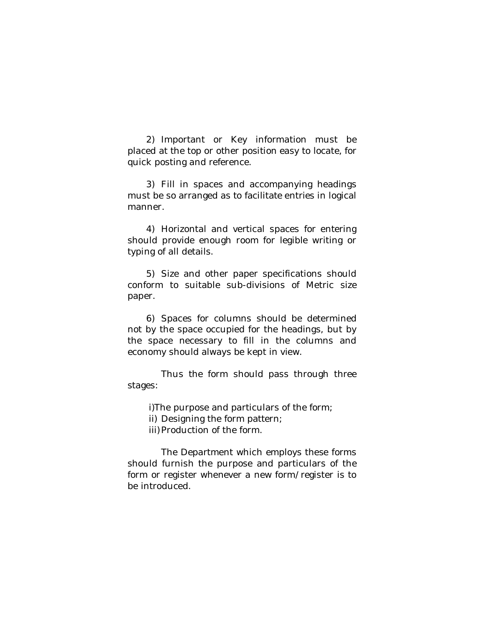2) Important or Key information must be placed at the top or other position easy to locate, for quick posting and reference.

3) Fill in spaces and accompanying headings must be so arranged as to facilitate entries in logical manner.

4) Horizontal and vertical spaces for entering should provide enough room for legible writing or typing of all details.

5) Size and other paper specifications should conform to suitable sub-divisions of Metric size paper.

6) Spaces for columns should be determined not by the space occupied for the headings, but by the space necessary to fill in the columns and economy should always be kept in view.

Thus the form should pass through three stages:

i)The purpose and particulars of the form;

ii) Designing the form pattern;

iii) Production of the form.

The Department which employs these forms should furnish the purpose and particulars of the form or register whenever a new form/register is to be introduced.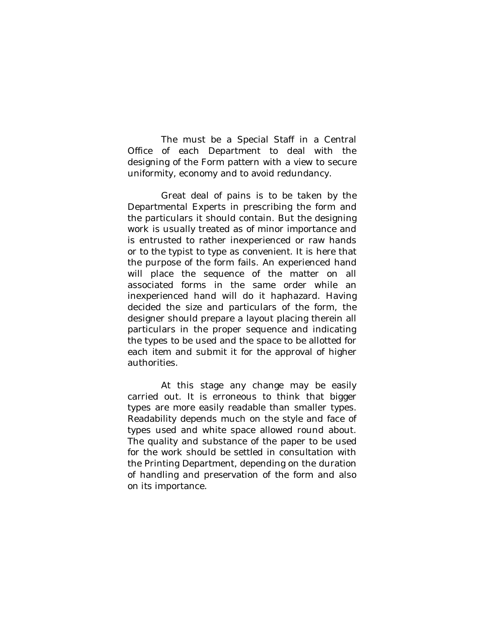The must be a Special Staff in a Central Office of each Department to deal with the designing of the Form pattern with a view to secure uniformity, economy and to avoid redundancy.

Great deal of pains is to be taken by the Departmental Experts in prescribing the form and the particulars it should contain. But the designing work is usually treated as of minor importance and is entrusted to rather inexperienced or raw hands or to the typist to type as convenient. It is here that the purpose of the form fails. An experienced hand will place the sequence of the matter on all associated forms in the same order while an inexperienced hand will do it haphazard. Having decided the size and particulars of the form, the designer should prepare a layout placing therein all particulars in the proper sequence and indicating the types to be used and the space to be allotted for each item and submit it for the approval of higher authorities.

At this stage any change may be easily carried out. It is erroneous to think that bigger types are more easily readable than smaller types. Readability depends much on the style and face of types used and white space allowed round about. The quality and substance of the paper to be used for the work should be settled in consultation with the Printing Department, depending on the duration of handling and preservation of the form and also on its importance.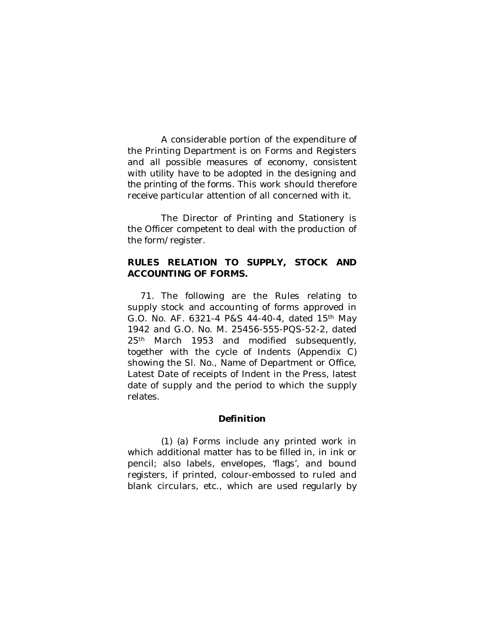A considerable portion of the expenditure of the Printing Department is on Forms and Registers and *all possible measures of economy, consistent with utility have to be adopted in the designing and the printing of the forms.* This work should therefore receive particular attention of all concerned with it.

The Director of Printing and Stationery is the Officer competent to deal with the production of the form/register.

# **RULES RELATION TO SUPPLY, STOCK AND ACCOUNTING OF FORMS.**

71. The following are the Rules relating to supply stock and accounting of forms approved in G.O. No. AF. 6321-4 P&S 44-40-4, dated 15th May 1942 and G.O. No. M. 25456-555-PQS-52-2, dated 25<sup>th</sup> March 1953 and modified subsequently, together with the cycle of Indents (Appendix C) showing the Sl. No., Name of Department or Office, Latest Date of receipts of Indent in the Press, latest date of supply and the period to which the supply relates.

## **Definition**

(1) (a) Forms include any printed work in which additional matter has to be filled in, in ink or pencil; also labels, envelopes, 'flags', and bound registers, if printed, colour-embossed to ruled and blank circulars, etc., which are used regularly by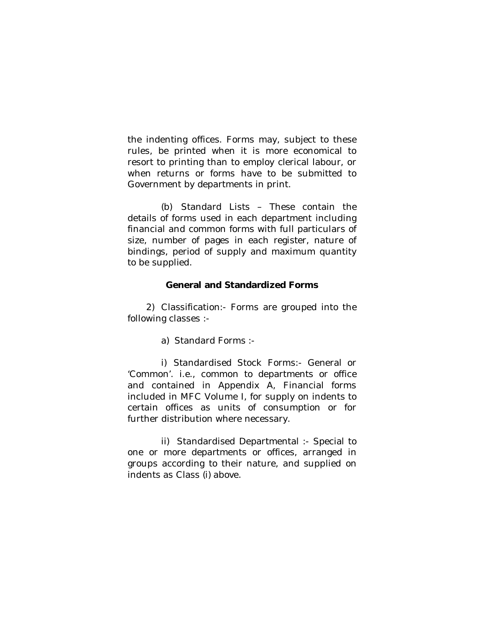the indenting offices. Forms may, subject to these rules, be printed when it is more economical to resort to printing than to employ clerical labour, or when returns or forms have to be submitted to Government by departments in print.

(b) Standard Lists – These contain the details of forms used in each department including financial and common forms with full particulars of size, number of pages in each register, nature of bindings, period of supply and maximum quantity to be supplied.

## **General and Standardized Forms**

2) Classification:- Forms are grouped into the following classes :-

a) Standard Forms :-

i) Standardised Stock Forms:- General or 'Common'. i.e., common to departments or office and contained in Appendix A, Financial forms included in MFC Volume I, for supply on indents to certain offices as units of consumption or for further distribution where necessary.

ii) Standardised Departmental :- Special to one or more departments or offices, arranged in groups according to their nature, and supplied on indents as Class (i) above.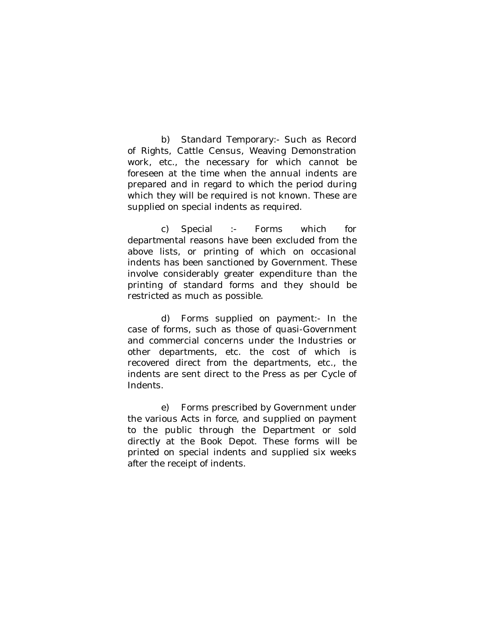b) Standard Temporary:- Such as Record of Rights, Cattle Census, Weaving Demonstration work, etc., the necessary for which cannot be foreseen at the time when the annual indents are prepared and in regard to which the period during which they will be required is not known. These are supplied on special indents as required.

c) Special :- Forms which for departmental reasons have been excluded from the above lists, or printing of which on occasional indents has been sanctioned by Government. These involve considerably greater expenditure than the printing of standard forms and they should be restricted as much as possible.

d) Forms supplied on payment:- In the case of forms, such as those of quasi-Government and commercial concerns under the Industries or other departments, etc. the cost of which is recovered direct from the departments, etc., the indents are sent direct to the Press as per Cycle of Indents.

e) Forms prescribed by Government under the various Acts in force, and supplied on payment to the public through the Department or sold directly at the Book Depot. These forms will be printed on special indents and supplied six weeks after the receipt of indents.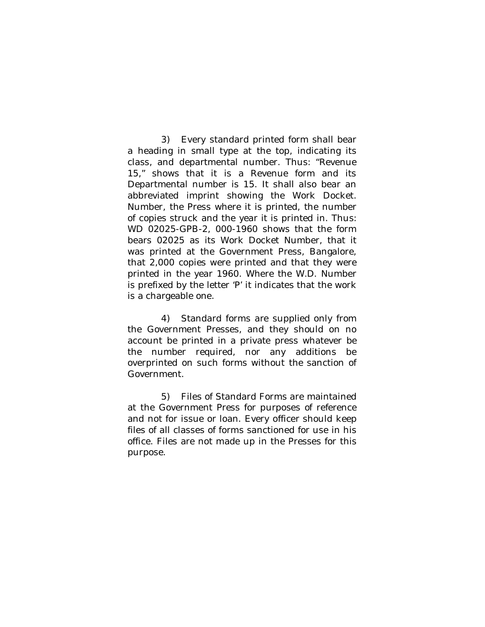3) Every standard printed form shall bear a heading in small type at the top, indicating its class, and departmental number. Thus: "Revenue 15," shows that it is a Revenue form and its Departmental number is 15. It shall also bear an abbreviated imprint showing the Work Docket. Number, the Press where it is printed, the number of copies struck and the year it is printed in. Thus: WD 02025-GPB-2, 000-1960 shows that the form bears 02025 as its Work Docket Number, that it was printed at the Government Press, Bangalore, that 2,000 copies were printed and that they were printed in the year 1960. Where the W.D. Number is prefixed by the letter 'P' it indicates that the work is a chargeable one.

4) Standard forms are supplied only from the Government Presses, and they should on no account be printed in a private press whatever be the number required, nor any additions be overprinted on such forms without the sanction of Government.

5) Files of Standard Forms are maintained at the Government Press for purposes of reference and not for issue or loan. Every officer should keep files of all classes of forms sanctioned for use in his office. Files are not made up in the Presses for this purpose.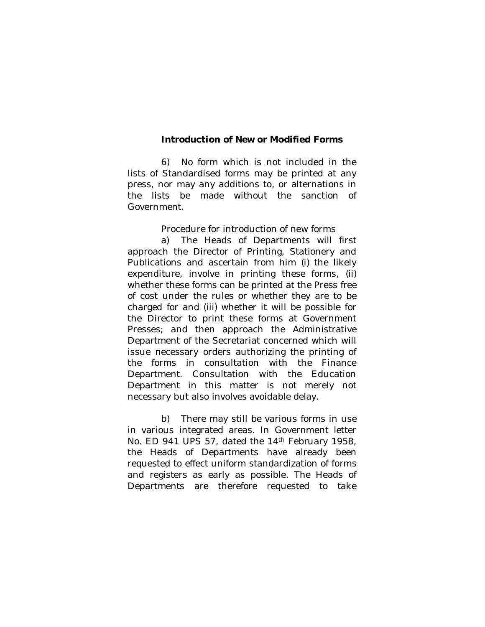#### **Introduction of New or Modified Forms**

6) No form which is not included in the lists of Standardised forms may be printed at any press, nor may any additions to, or alternations in the lists be made without the sanction of Government.

Procedure for introduction of new forms

a) The Heads of Departments will first approach the Director of Printing, Stationery and Publications and ascertain from him (i) the likely expenditure, involve in printing these forms, (ii) whether these forms can be printed at the Press free of cost under the rules or whether they are to be charged for and (iii) whether it will be possible for the Director to print these forms at Government Presses; and then approach the Administrative Department of the Secretariat concerned which will issue necessary orders authorizing the printing of the forms in consultation with the Finance Department. Consultation with the Education Department in this matter is not merely not necessary but also involves avoidable delay.

b) There may still be various forms in use in various integrated areas. In Government letter No. ED 941 UPS 57, dated the 14th February 1958, the Heads of Departments have already been requested to effect uniform standardization of forms and registers as early as possible. The Heads of Departments are therefore requested to take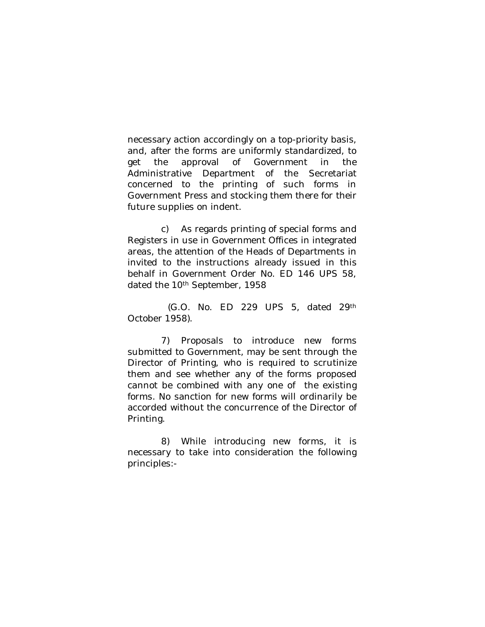necessary action accordingly on a top-priority basis, and, after the forms are uniformly standardized, to get the approval of Government in the Administrative Department of the Secretariat concerned to the printing of such forms in Government Press and stocking them there for their future supplies on indent.

c) As regards printing of special forms and Registers in use in Government Offices in integrated areas, the attention of the Heads of Departments in invited to the instructions already issued in this behalf in Government Order No. ED 146 UPS 58, dated the 10th September, 1958

(G.O. No. ED 229 UPS 5, dated 29th October 1958).

7) Proposals to introduce new forms submitted to Government, may be sent through the Director of Printing, who is required to scrutinize them and see whether any of the forms proposed cannot be combined with any one of the existing forms. No sanction for new forms will ordinarily be accorded without the concurrence of the Director of Printing.

8) While introducing new forms, it is necessary to take into consideration the following principles:-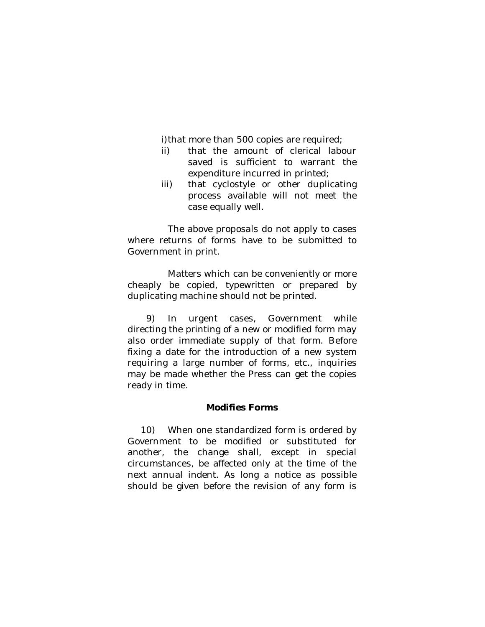i) that more than 500 copies are required;

- ii) that the amount of clerical labour saved is sufficient to warrant the expenditure incurred in printed;
- iii) that cyclostyle or other duplicating process available will not meet the case equally well.

The above proposals do not apply to cases where returns of forms have to be submitted to Government in print.

Matters which can be conveniently or more cheaply be copied, typewritten or prepared by duplicating machine should not be printed.

9) In urgent cases, Government while directing the printing of a new or modified form may also order immediate supply of that form. Before fixing a date for the introduction of a new system requiring a large number of forms, etc., inquiries may be made whether the Press can get the copies ready in time.

## **Modifies Forms**

10) When one standardized form is ordered by Government to be modified or substituted for another, the change shall, except in special circumstances, be affected only at the time of the next annual indent. As long a notice as possible should be given before the revision of any form is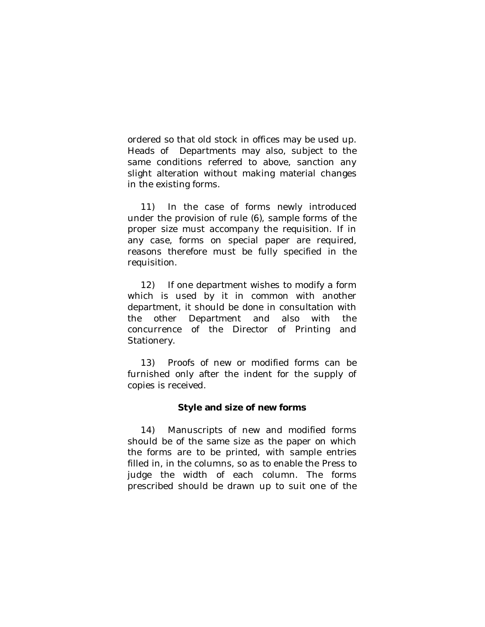ordered so that old stock in offices may be used up. Heads of Departments may also, subject to the same conditions referred to above, sanction any slight alteration without making material changes in the existing forms.

11) In the case of forms newly introduced under the provision of rule (6), sample forms of the proper size must accompany the requisition. If in any case, forms on special paper are required, reasons therefore must be fully specified in the requisition.

12) If one department wishes to modify a form which is used by it in common with another department, it should be done in consultation with the other Department and also with the concurrence of the Director of Printing and Stationery.

13) Proofs of new or modified forms can be furnished only after the indent for the supply of copies is received.

## **Style and size of new forms**

14) Manuscripts of new and modified forms should be of the same size as the paper on which the forms are to be printed, with sample entries filled in, in the columns, so as to enable the Press to judge the width of each column. The forms prescribed should be drawn up to suit one of the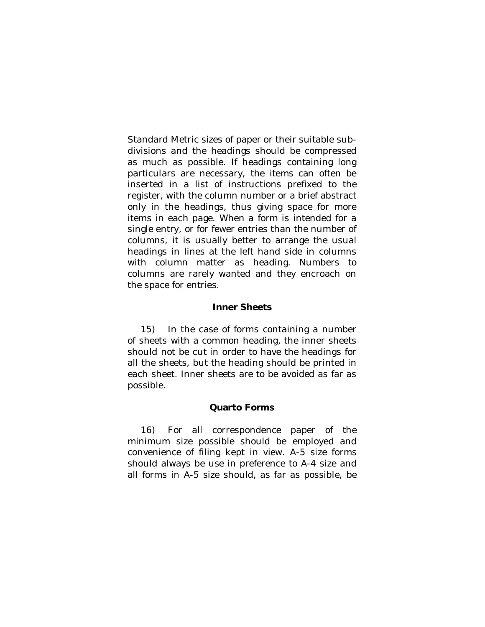Standard Metric sizes of paper or their suitable subdivisions and the headings should be compressed as much as possible. If headings containing long particulars are necessary, the items can often be inserted in a list of instructions prefixed to the register, with the column number or a brief abstract only in the headings, thus giving space for more items in each page. When a form is intended for a single entry, or for fewer entries than the number of columns, it is usually better to arrange the usual headings in lines at the left hand side in columns with column matter as heading. Numbers to columns are rarely wanted and they encroach on the space for entries.

#### **Inner Sheets**

15) In the case of forms containing a number of sheets with a common heading, the inner sheets should not be cut in order to have the headings for all the sheets, but the heading should be printed in each sheet. Inner sheets are to be avoided as far as possible.

## **Quarto Forms**

16) For all correspondence paper of the minimum size possible should be employed and convenience of filing kept in view. A-5 size forms should always be use in preference to A-4 size and all forms in A-5 size should, as far as possible, be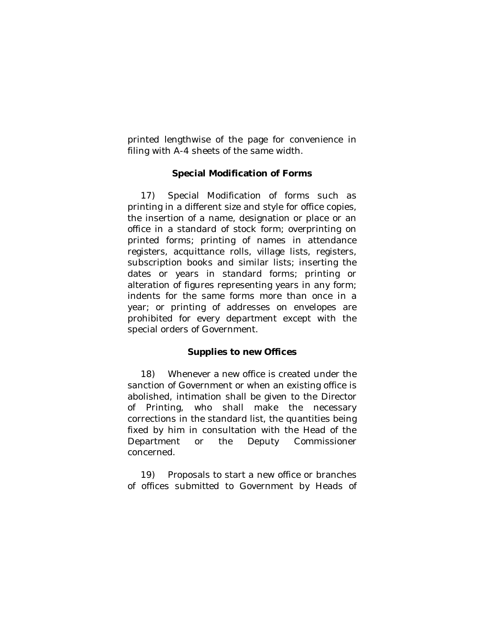printed lengthwise of the page for convenience in filing with A-4 sheets of the same width.

# **Special Modification of Forms**

17) Special Modification of forms such as printing in a different size and style for office copies, the insertion of a name, designation or place or an office in a standard of stock form; overprinting on printed forms; printing of names in attendance registers, acquittance rolls, village lists, registers, subscription books and similar lists; inserting the dates or years in standard forms; printing or alteration of figures representing years in any form; indents for the same forms more than once in a year; or printing of addresses on envelopes are prohibited for every department except with the special orders of Government.

# **Supplies to new Offices**

18) Whenever a new office is created under the sanction of Government or when an existing office is abolished, intimation shall be given to the Director of Printing, who shall make the necessary corrections in the standard list, the quantities being fixed by him in consultation with the Head of the Department or the Deputy Commissioner concerned.

19) Proposals to start a new office or branches of offices submitted to Government by Heads of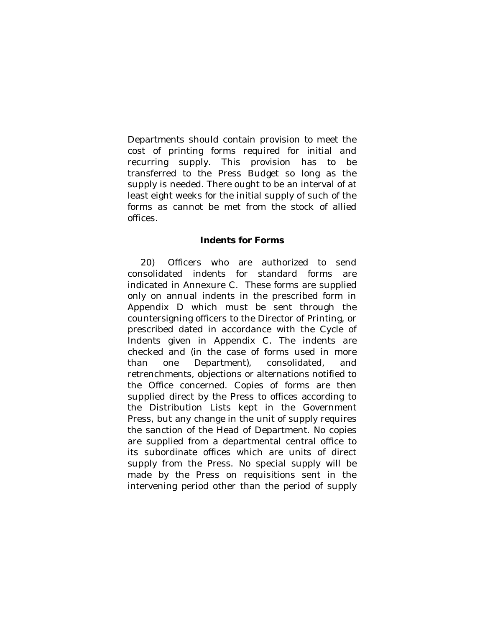Departments should contain provision to meet the cost of printing forms required for initial and recurring supply. This provision has to be transferred to the Press Budget so long as the supply is needed. There ought to be an interval of at least eight weeks for the initial supply of such of the forms as cannot be met from the stock of allied offices.

### **Indents for Forms**

20) Officers who are authorized to send consolidated indents for standard forms are indicated in Annexure C. These forms are supplied only on annual indents in the prescribed form in Appendix D which must be sent through the countersigning officers to the Director of Printing, or prescribed dated in accordance with the Cycle of Indents given in Appendix C. The indents are checked and (in the case of forms used in more than one Department), consolidated, and retrenchments, objections or alternations notified to the Office concerned. Copies of forms are then supplied direct by the Press to offices according to the Distribution Lists kept in the Government Press, but any change in the unit of supply requires the sanction of the Head of Department. No copies are supplied from a departmental central office to its subordinate offices which are units of direct supply from the Press. No special supply will be made by the Press on requisitions sent in the intervening period other than the period of supply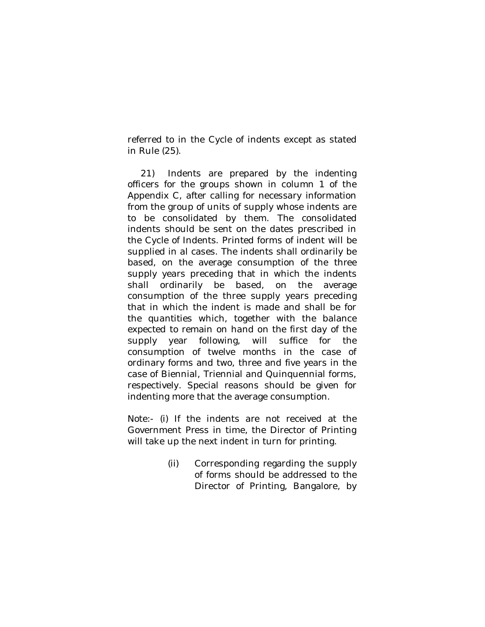referred to in the Cycle of indents except as stated in Rule (25).

21) Indents are prepared by the indenting officers for the groups shown in column 1 of the Appendix C, after calling for necessary information from the group of units of supply whose indents are to be consolidated by them. The consolidated indents should be sent on the dates prescribed in the Cycle of Indents. Printed forms of indent will be supplied in al cases. The indents shall ordinarily be based, on the average consumption of the three supply years preceding that in which the indents shall ordinarily be based, on the average consumption of the three supply years preceding that in which the indent is made and shall be for the quantities which, together with the balance expected to remain on hand on the first day of the supply year following, will suffice for the consumption of twelve months in the case of ordinary forms and two, three and five years in the case of Biennial, Triennial and Quinquennial forms, respectively. Special reasons should be given for indenting more that the average consumption.

Note:- (i) If the indents are not received at the Government Press in time, the Director of Printing will take up the next indent in turn for printing.

> (ii) Corresponding regarding the supply of forms should be addressed to the Director of Printing, Bangalore, by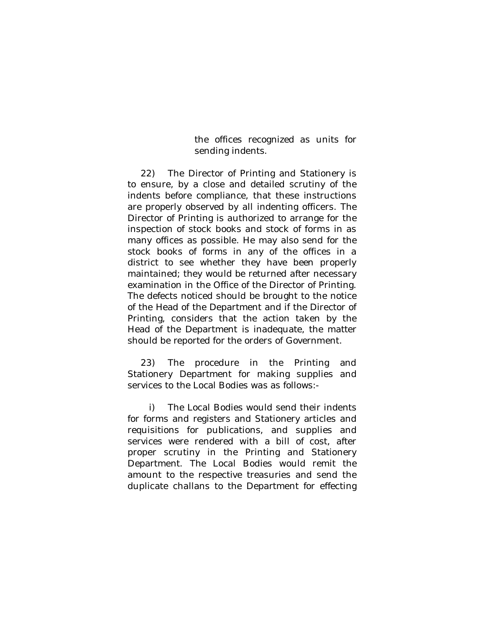the offices recognized as units for sending indents.

22) The Director of Printing and Stationery is to ensure, by a close and detailed scrutiny of the indents before compliance, that these instructions are properly observed by all indenting officers. The Director of Printing is authorized to arrange for the inspection of stock books and stock of forms in as many offices as possible. He may also send for the stock books of forms in any of the offices in a district to see whether they have been properly maintained; they would be returned after necessary examination in the Office of the Director of Printing. The defects noticed should be brought to the notice of the Head of the Department and if the Director of Printing, considers that the action taken by the Head of the Department is inadequate, the matter should be reported for the orders of Government.

23) The procedure in the Printing and Stationery Department for making supplies and services to the Local Bodies was as follows:-

i) The Local Bodies would send their indents for forms and registers and Stationery articles and requisitions for publications, and supplies and services were rendered with a bill of cost, after proper scrutiny in the Printing and Stationery Department. The Local Bodies would remit the amount to the respective treasuries and send the duplicate challans to the Department for effecting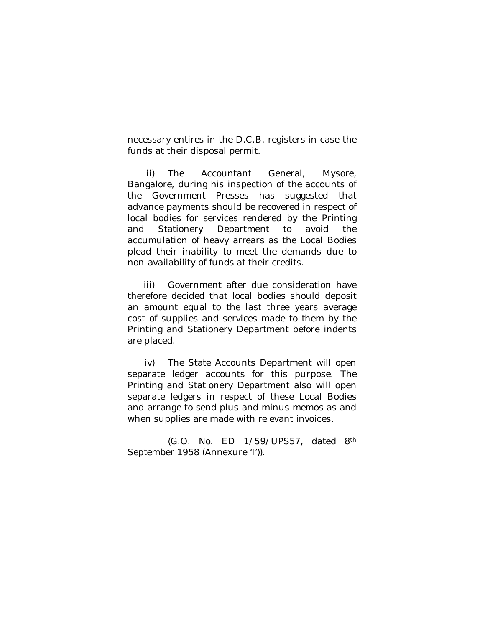necessary entires in the D.C.B. registers in case the funds at their disposal permit.

ii) The Accountant General, Mysore, Bangalore, during his inspection of the accounts of the Government Presses has suggested that advance payments should be recovered in respect of local bodies for services rendered by the Printing and Stationery Department to avoid the accumulation of heavy arrears as the Local Bodies plead their inability to meet the demands due to non-availability of funds at their credits.

iii) Government after due consideration have therefore decided that local bodies should deposit an amount equal to the last three years average cost of supplies and services made to them by the Printing and Stationery Department before indents are placed.

iv) The State Accounts Department will open separate ledger accounts for this purpose. The Printing and Stationery Department also will open separate ledgers in respect of these Local Bodies and arrange to send plus and minus memos as and when supplies are made with relevant invoices.

(G.O. No. ED 1/59/UPS57, dated 8th September 1958 (Annexure 'I')).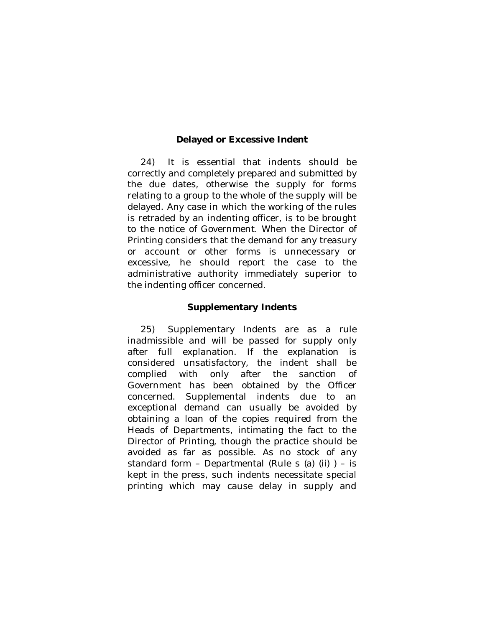# **Delayed or Excessive Indent**

24) It is essential that indents should be correctly and completely prepared and submitted by the due dates, otherwise the supply for forms relating to a group to the whole of the supply will be delayed. Any case in which the working of the rules is retraded by an indenting officer, is to be brought to the notice of Government. When the Director of Printing considers that the demand for any treasury or account or other forms is unnecessary or excessive, he should report the case to the administrative authority immediately superior to the indenting officer concerned.

### **Supplementary Indents**

25) Supplementary Indents are as a rule inadmissible and will be passed for supply only after full explanation. If the explanation is considered unsatisfactory, the indent shall be complied with only after the sanction of Government has been obtained by the Officer concerned. Supplemental indents due to an exceptional demand can usually be avoided by obtaining a loan of the copies required from the Heads of Departments, intimating the fact to the Director of Printing, though the practice should be avoided as far as possible. As no stock of any standard form – Departmental (Rule s (a) (ii) ) – is kept in the press, such indents necessitate special printing which may cause delay in supply and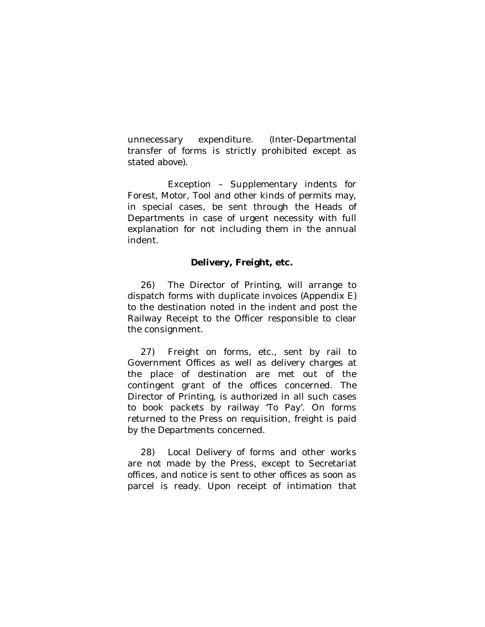unnecessary expenditure. (Inter-Departmental transfer of forms is strictly prohibited except as stated above).

Exception – Supplementary indents for Forest, Motor, Tool and other kinds of permits may, in special cases, be sent through the Heads of Departments in case of urgent necessity with full explanation for not including them in the annual indent.

# **Delivery, Freight, etc.**

26) The Director of Printing, will arrange to dispatch forms with duplicate invoices (Appendix E) to the destination noted in the indent and post the Railway Receipt to the Officer responsible to clear the consignment.

27) Freight on forms, etc., sent by rail to Government Offices as well as delivery charges at the place of destination are met out of the contingent grant of the offices concerned. The Director of Printing, is authorized in all such cases to book packets by railway 'To Pay'. On forms returned to the Press on requisition, freight is paid by the Departments concerned.

28) Local Delivery of forms and other works are not made by the Press, except to Secretariat offices, and notice is sent to other offices as soon as parcel is ready. Upon receipt of intimation that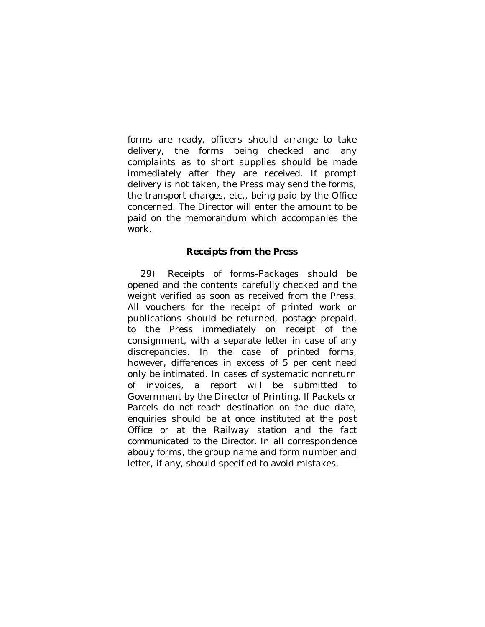forms are ready, officers should arrange to take delivery, the forms being checked and any complaints as to short supplies should be made immediately after they are received. If prompt delivery is not taken, the Press may send the forms, the transport charges, etc., being paid by the Office concerned. The Director will enter the amount to be paid on the memorandum which accompanies the work.

### **Receipts from the Press**

29) Receipts of forms-Packages should be opened and the contents carefully checked and the weight verified as soon as received from the Press. All vouchers for the receipt of printed work or publications should be returned, postage prepaid, to the Press immediately on receipt of the consignment, with a separate letter in case of any discrepancies. In the case of printed forms, however, differences in excess of 5 per cent need only be intimated. In cases of systematic nonreturn of invoices, a report will be submitted to Government by the Director of Printing. *If Packets or Parcels do not reach destination on the due date, enquiries should be at once instituted at the post Office or at the Railway station and the fact communicated to the Director.* In all correspondence abouy forms, the group name and form number and letter, if any, should specified to avoid mistakes.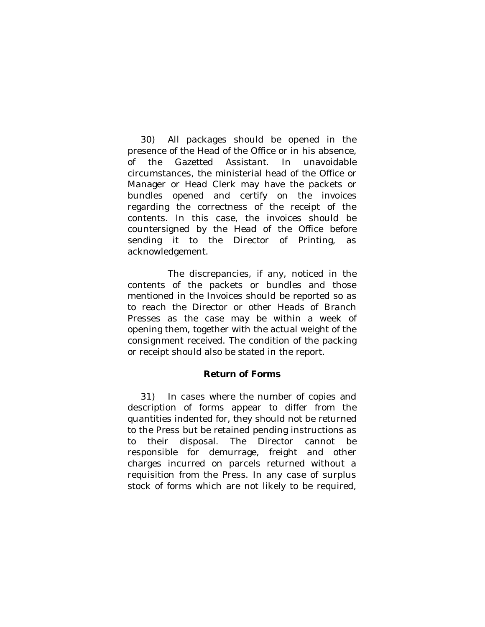30) All packages should be opened in the presence of the Head of the Office or in his absence, of the Gazetted Assistant. In unavoidable circumstances, the ministerial head of the Office or Manager or Head Clerk may have the packets or bundles opened and certify on the invoices regarding the correctness of the receipt of the contents. In this case, the invoices should be countersigned by the Head of the Office before sending it to the Director of Printing, as acknowledgement.

The discrepancies, if any, noticed in the contents of the packets or bundles and those mentioned in the Invoices should be reported so as to reach the Director or other Heads of Branch Presses as the case may be within a week of opening them, together with the actual weight of the consignment received. The condition of the packing or receipt should also be stated in the report.

## **Return of Forms**

31) In cases where the number of copies and description of forms appear to differ from the quantities indented for, they should not be returned to the Press but be retained pending instructions as to their disposal. The Director cannot be responsible for demurrage, freight and other charges incurred on parcels returned without a requisition from the Press. In any case of surplus stock of forms which are not likely to be required,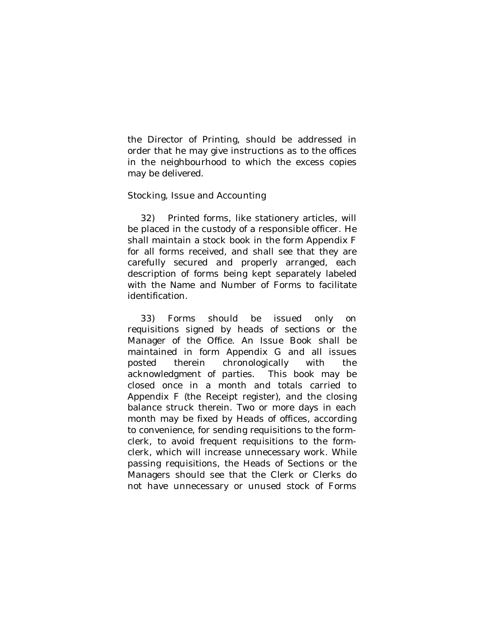the Director of Printing, should be addressed in order that he may give instructions as to the offices in the neighbourhood to which the excess copies may be delivered.

### Stocking, Issue and Accounting

32) Printed forms, like stationery articles, will be placed in the custody of a responsible officer. He shall maintain a stock book in the form Appendix F for all forms received, and shall see that they are carefully secured and properly arranged, each description of forms being kept separately labeled with the Name and Number of Forms to facilitate identification.

33) Forms should be issued only on requisitions signed by heads of sections or the Manager of the Office. An Issue Book shall be maintained in form Appendix G and all issues posted therein chronologically with the acknowledgment of parties. This book may be closed once in a month and totals carried to Appendix F (the Receipt register), and the closing balance struck therein. Two or more days in each month may be fixed by Heads of offices, according to convenience, for sending requisitions to the formclerk, to avoid frequent requisitions to the formclerk, which will increase unnecessary work. While passing requisitions, the Heads of Sections or the Managers should see that the Clerk or Clerks do not have unnecessary or unused stock of Forms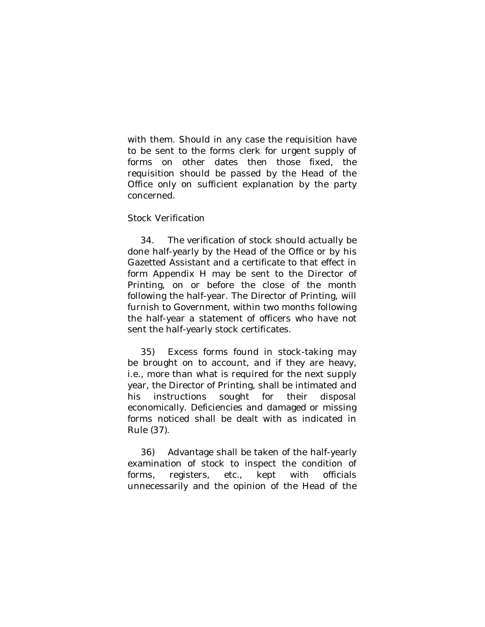with them. Should in any case the requisition have to be sent to the forms clerk for urgent supply of forms on other dates then those fixed, the requisition should be passed by the Head of the Office only on sufficient explanation by the party concerned.

### Stock Verification

34. The verification of stock should actually be done half-yearly by the Head of the Office or by his Gazetted Assistant and a certificate to that effect in form Appendix H may be sent to the Director of Printing, on or before the close of the month following the half-year. The Director of Printing, will furnish to Government, within two months following the half-year a statement of officers who have not sent the half-yearly stock certificates.

35) Excess forms found in stock-taking may be brought on to account, and if they are heavy, i.e., more than what is required for the next supply year, the Director of Printing, shall be intimated and his instructions sought for their disposal economically. Deficiencies and damaged or missing forms noticed shall be dealt with as indicated in Rule (37).

36) Advantage shall be taken of the half-yearly examination of stock to inspect the condition of forms, registers, etc., kept with officials unnecessarily and the opinion of the Head of the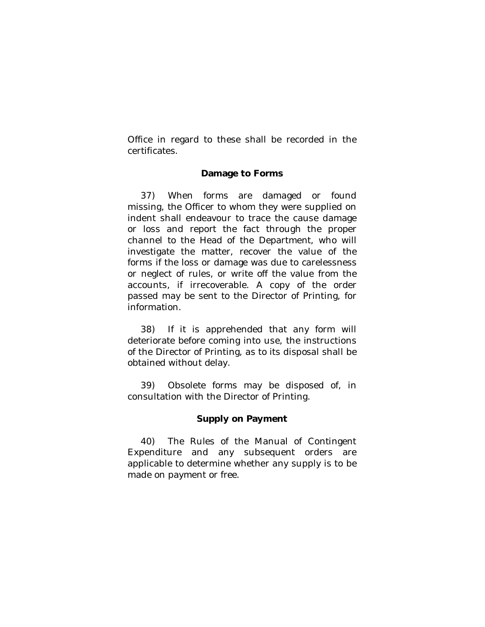Office in regard to these shall be recorded in the certificates.

## **Damage to Forms**

37) When forms are damaged or found missing, the Officer to whom they were supplied on indent shall endeavour to trace the cause damage or loss and report the fact through the proper channel to the Head of the Department, who will investigate the matter, recover the value of the forms if the loss or damage was due to carelessness or neglect of rules, or write off the value from the accounts, if irrecoverable. A copy of the order passed may be sent to the Director of Printing, for information.

38) If it is apprehended that any form will deteriorate before coming into use, the instructions of the Director of Printing, as to its disposal shall be obtained without delay.

39) Obsolete forms may be disposed of, in consultation with the Director of Printing.

## **Supply on Payment**

40) The Rules of the Manual of Contingent Expenditure and any subsequent orders are applicable to determine whether any supply is to be made on payment or free.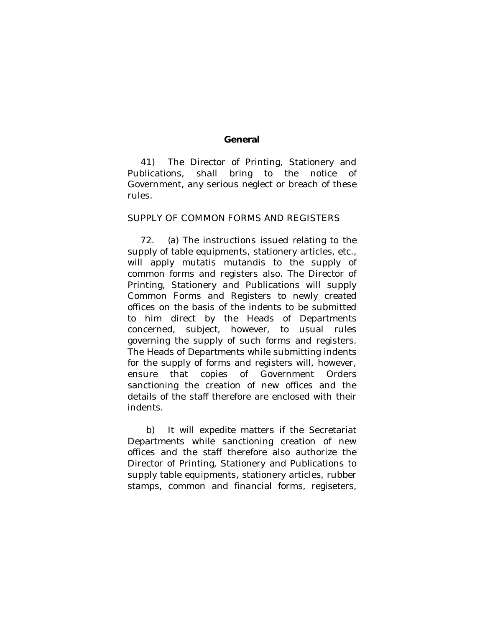#### **General**

41) The Director of Printing, Stationery and Publications, shall bring to the notice of Government, any serious neglect or breach of these rules.

## SUPPLY OF COMMON FORMS AND REGISTERS

72. (a) The instructions issued relating to the supply of table equipments, stationery articles, etc., will apply mutatis mutandis to the supply of common forms and registers also. The Director of Printing, Stationery and Publications will supply Common Forms and Registers to newly created offices on the basis of the indents to be submitted to him direct by the Heads of Departments concerned, subject, however, to usual rules governing the supply of such forms and registers. The Heads of Departments while submitting indents for the supply of forms and registers will, however, ensure that copies of Government Orders sanctioning the creation of new offices and the details of the staff therefore are enclosed with their indents.

b) It will expedite matters if the Secretariat Departments while sanctioning creation of new offices and the staff therefore also authorize the Director of Printing, Stationery and Publications to supply table equipments, stationery articles, rubber stamps, common and financial forms, regiseters,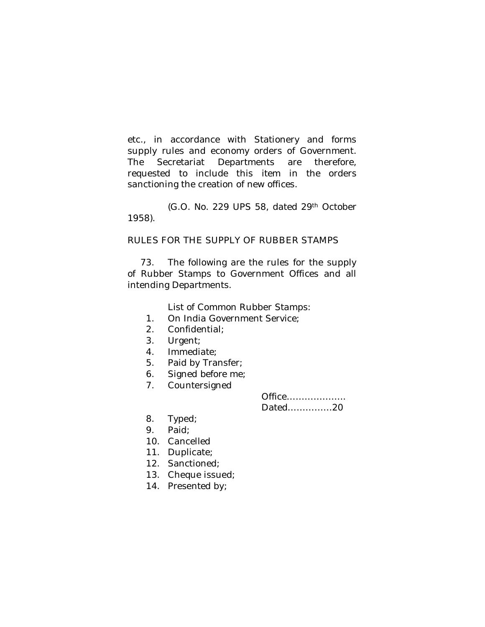etc., in accordance with Stationery and forms supply rules and economy orders of Government. The Secretariat Departments are therefore, requested to include this item in the orders sanctioning the creation of new offices.

(G.O. No. 229 UPS 58, dated 29th October 1958).

## RULES FOR THE SUPPLY OF RUBBER STAMPS

73. The following are the rules for the supply of Rubber Stamps to Government Offices and all intending Departments.

List of Common Rubber Stamps:

- 1. On India Government Service;
- 2. Confidential;
- 3. Urgent;
- 4. Immediate;
- 5. Paid by Transfer;
- 6. Signed before me;
- 7. Countersigned

Office……………….. Dated……………20

- 8. Typed;
- 9. Paid;
- 10. Cancelled
- 11. Duplicate;
- 12. Sanctioned;
- 13. Cheque issued;
- 14. Presented by;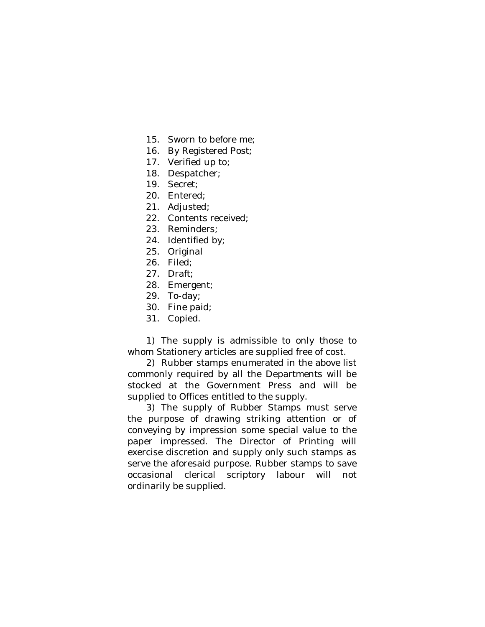- 15. Sworn to before me;
- 16. By Registered Post;
- 17. Verified up to;
- 18. Despatcher;
- 19. Secret;
- 20. Entered;
- 21. Adjusted;
- 22. Contents received;
- 23. Reminders;
- 24. Identified by;
- 25. Original
- 26. Filed;
- 27. Draft;
- 28. Emergent;
- 29. To-day;
- 30. Fine paid;
- 31. Copied.

1) The supply is admissible to only those to whom Stationery articles are supplied free of cost.

2) Rubber stamps enumerated in the above list commonly required by all the Departments will be stocked at the Government Press and will be supplied to Offices entitled to the supply.

3) The supply of Rubber Stamps must serve the purpose of drawing striking attention or of conveying by impression some special value to the paper impressed. The Director of Printing will exercise discretion and supply only such stamps as serve the aforesaid purpose. Rubber stamps to save occasional clerical scriptory labour will not ordinarily be supplied.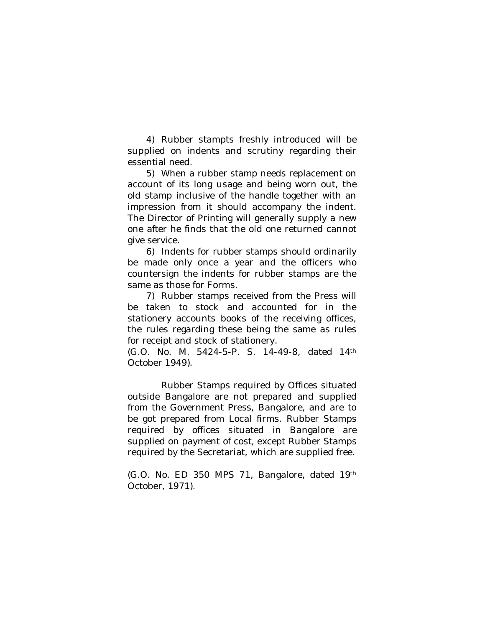4) Rubber stampts freshly introduced will be supplied on indents and scrutiny regarding their essential need.

5) When a rubber stamp needs replacement on account of its long usage and being worn out, the old stamp inclusive of the handle together with an impression from it should accompany the indent. The Director of Printing will generally supply a new one after he finds that the old one returned cannot give service.

6) Indents for rubber stamps should ordinarily be made only once a year and the officers who countersign the indents for rubber stamps are the same as those for Forms.

7) Rubber stamps received from the Press will be taken to stock and accounted for in the stationery accounts books of the receiving offices, the rules regarding these being the same as rules for receipt and stock of stationery.

(G.O. No. M. 5424-5-P. S. 14-49-8, dated 14th October 1949).

Rubber Stamps required by Offices situated outside Bangalore are not prepared and supplied from the Government Press, Bangalore, and are to be got prepared from Local firms. Rubber Stamps required by offices situated in Bangalore are supplied on payment of cost, except Rubber Stamps required by the Secretariat, which are supplied free.

(G.O. No. ED 350 MPS 71, Bangalore, dated 19th October, 1971).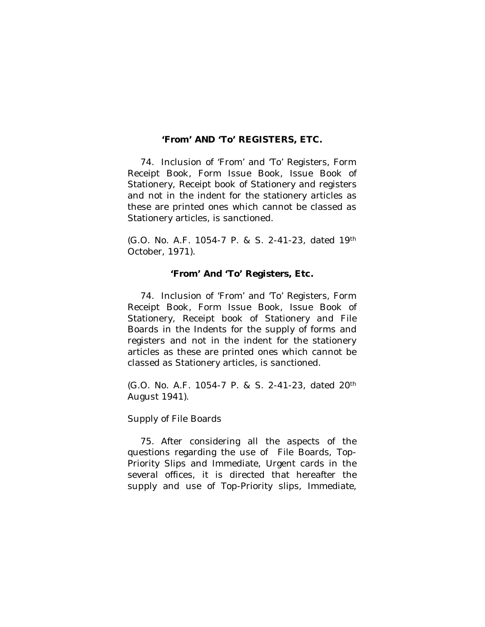# **'From' AND 'To' REGISTERS, ETC.**

74. Inclusion of 'From' and 'To' Registers, Form Receipt Book, Form Issue Book, Issue Book of Stationery, Receipt book of Stationery and registers and not in the indent for the stationery articles as these are printed ones which cannot be classed as Stationery articles, is sanctioned.

(G.O. No. A.F. 1054-7 P. & S. 2-41-23, dated 19th October, 1971).

## **'From' And 'To' Registers, Etc.**

74. Inclusion of 'From' and 'To' Registers, Form Receipt Book, Form Issue Book, Issue Book of Stationery, Receipt book of Stationery and File Boards in the Indents for the supply of forms and registers and not in the indent for the stationery articles as these are printed ones which cannot be classed as Stationery articles, is sanctioned.

(G.O. No. A.F. 1054-7 P. & S. 2-41-23, dated 20th August 1941).

Supply of File Boards

75. After considering all the aspects of the questions regarding the use of File Boards, Top-Priority Slips and Immediate, Urgent cards in the several offices, it is directed that hereafter the supply and use of Top-Priority slips, Immediate,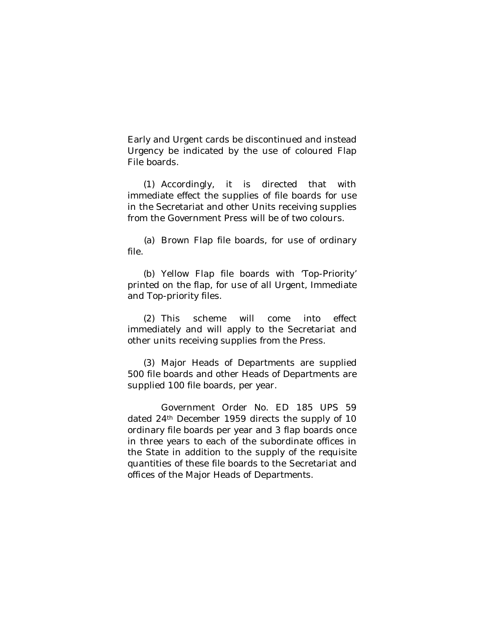Early and Urgent cards be discontinued and instead Urgency be indicated by the use of coloured Flap File boards.

(1) Accordingly, it is directed that with immediate effect the supplies of file boards for use in the Secretariat and other Units receiving supplies from the Government Press will be of two colours.

(a) Brown Flap file boards, for use of ordinary file.

(b) Yellow Flap file boards with 'Top-Priority' printed on the flap, for use of all Urgent, Immediate and Top-priority files.

(2) This scheme will come into effect immediately and will apply to the Secretariat and other units receiving supplies from the Press.

(3) Major Heads of Departments are supplied 500 file boards and other Heads of Departments are supplied 100 file boards, per year.

Government Order No. ED 185 UPS 59 dated 24th December 1959 directs the supply of 10 ordinary file boards per year and 3 flap boards once in three years to each of the subordinate offices in the State in addition to the supply of the requisite quantities of these file boards to the Secretariat and offices of the Major Heads of Departments.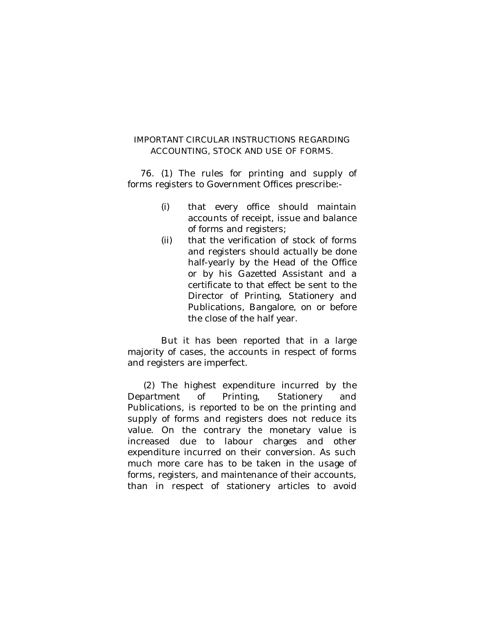# IMPORTANT CIRCULAR INSTRUCTIONS REGARDING ACCOUNTING, STOCK AND USE OF FORMS.

76. (1) The rules for printing and supply of forms registers to Government Offices prescribe:-

- (i) that every office should maintain accounts of receipt, issue and balance of forms and registers;
- (ii) that the verification of stock of forms and registers should actually be done half-yearly by the Head of the Office or by his Gazetted Assistant and a certificate to that effect be sent to the Director of Printing, Stationery and Publications, Bangalore, on or before the close of the half year.

But it has been reported that in a large majority of cases, the accounts in respect of forms and registers are imperfect.

(2) The highest expenditure incurred by the Department of Printing, Stationery and Publications, is reported to be on the printing and supply of forms and registers does not reduce its value. On the contrary the monetary value is increased due to labour charges and other expenditure incurred on their conversion. As such much more care has to be taken in the usage of forms, registers, and maintenance of their accounts, than in respect of stationery articles to avoid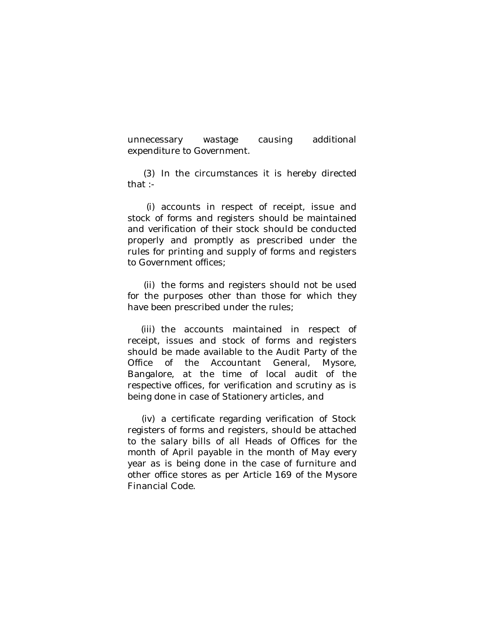unnecessary wastage causing additional expenditure to Government.

(3) In the circumstances it is hereby directed that :-

(i) accounts in respect of receipt, issue and stock of forms and registers should be maintained and verification of their stock should be conducted properly and promptly as prescribed under the rules for printing and supply of forms and registers to Government offices;

(ii) the forms and registers should not be used for the purposes other than those for which they have been prescribed under the rules;

(iii) the accounts maintained in respect of receipt, issues and stock of forms and registers should be made available to the Audit Party of the Office of the Accountant General, Mysore, Bangalore, at the time of local audit of the respective offices, for verification and scrutiny as is being done in case of Stationery articles, and

(iv) a certificate regarding verification of Stock registers of forms and registers, should be attached to the salary bills of all Heads of Offices for the month of April payable in the month of May every year as is being done in the case of furniture and other office stores as per Article 169 of the Mysore Financial Code.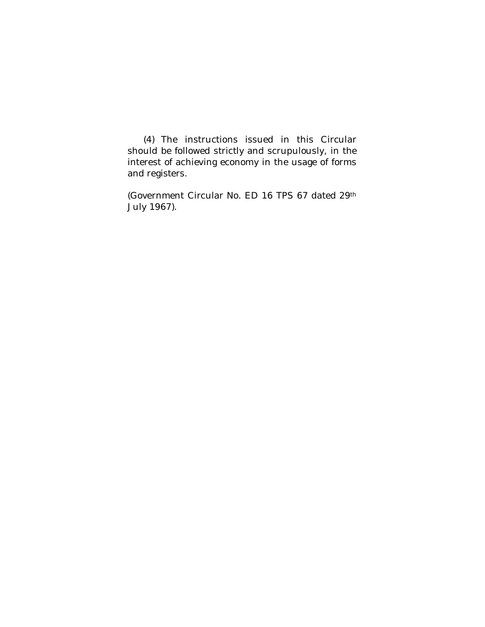(4) The instructions issued in this Circular should be followed strictly and scrupulously, in the interest of achieving economy in the usage of forms and registers.

(Government Circular No. ED 16 TPS 67 dated 29th July 1967).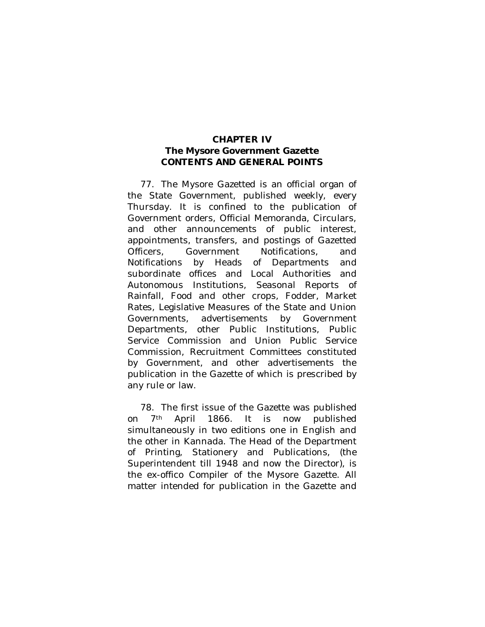## **CHAPTER IV The Mysore Government Gazette CONTENTS AND GENERAL POINTS**

77. The Mysore Gazetted is an official organ of the State Government, published weekly, every Thursday. It is confined to the publication of Government orders, Official Memoranda, Circulars, and other announcements of public interest, appointments, transfers, and postings of Gazetted Officers, Government Notifications, and Notifications by Heads of Departments and subordinate offices and Local Authorities and Autonomous Institutions, Seasonal Reports of Rainfall, Food and other crops, Fodder, Market Rates, Legislative Measures of the State and Union Governments, advertisements by Government Departments, other Public Institutions, Public Service Commission and Union Public Service Commission, Recruitment Committees constituted by Government, and other advertisements the publication in the Gazette of which is prescribed by any rule or law.

78. The first issue of the Gazette was published on 7th April 1866. It is now published simultaneously in two editions one in English and the other in Kannada. The Head of the Department of Printing, Stationery and Publications, (the Superintendent till 1948 and now the Director), is the ex-offico Compiler of the Mysore Gazette. All matter intended for publication in the Gazette and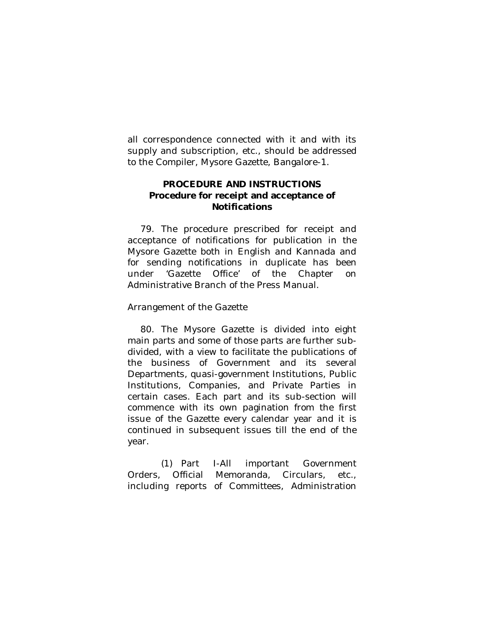all correspondence connected with it and with its supply and subscription, etc., should be addressed to the Compiler, Mysore Gazette, Bangalore-1.

# **PROCEDURE AND INSTRUCTIONS Procedure for receipt and acceptance of Notifications**

79. The procedure prescribed for receipt and acceptance of notifications for publication in the Mysore Gazette both in English and Kannada and for sending notifications in duplicate has been under 'Gazette Office' of the Chapter on Administrative Branch of the Press Manual.

Arrangement of the Gazette

80. The Mysore Gazette is divided into eight main parts and some of those parts are further subdivided, with a view to facilitate the publications of the business of Government and its several Departments, quasi-government Institutions, Public Institutions, Companies, and Private Parties in certain cases. Each part and its sub-section will commence with its own pagination from the first issue of the Gazette every calendar year and it is continued in subsequent issues till the end of the year.

(1) Part I-All important Government Orders, Official Memoranda, Circulars, etc., including reports of Committees, Administration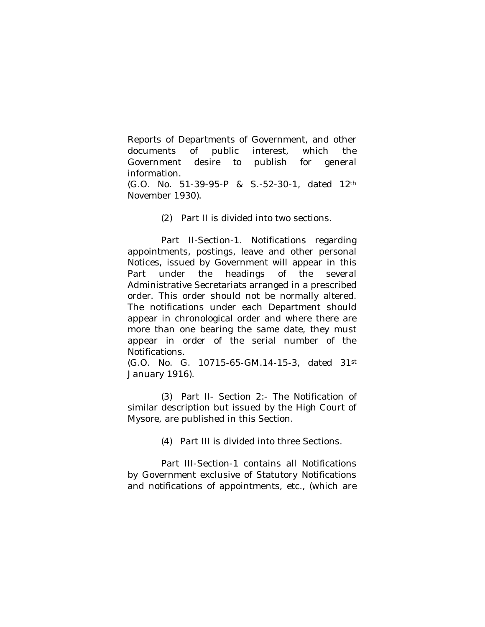Reports of Departments of Government, and other documents of public interest, which the Government desire to publish for general information.

(G.O. No. 51-39-95-P & S.-52-30-1, dated 12th November 1930).

(2) Part II is divided into two sections.

Part II-Section-1. Notifications regarding appointments, postings, leave and other personal Notices, issued by Government will appear in this Part under the headings of the several Administrative Secretariats arranged in a prescribed order. This order should not be normally altered. The notifications under each Department should appear in chronological order and where there are more than one bearing the same date, they must appear in order of the serial number of the Notifications.

(G.O. No. G. 10715-65-GM.14-15-3, dated 31st January 1916).

(3) Part II- Section 2:- The Notification of similar description but issued by the High Court of Mysore, are published in this Section.

(4) Part III is divided into three Sections.

Part III-Section-1 contains all Notifications by Government exclusive of Statutory Notifications and notifications of appointments, etc., (which are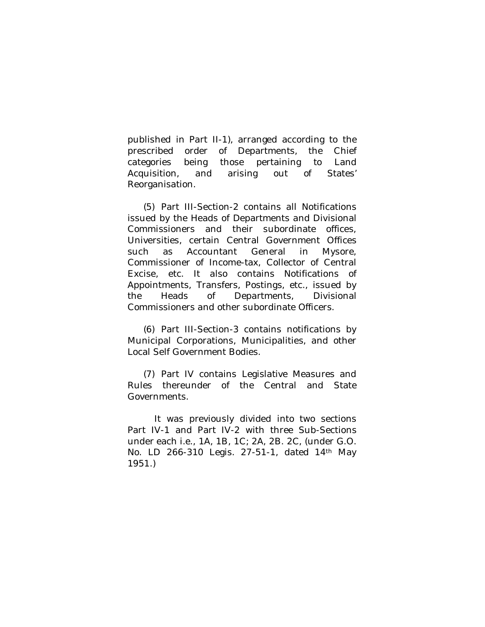published in Part II-1), arranged according to the prescribed order of Departments, the Chief categories being those pertaining to Land Acquisition, and arising out of States' Reorganisation.

(5) Part III-Section-2 contains all Notifications issued by the Heads of Departments and Divisional Commissioners and their subordinate offices, Universities, certain Central Government Offices such as Accountant General in Mysore, Commissioner of Income-tax, Collector of Central Excise, etc. It also contains Notifications of Appointments, Transfers, Postings, etc., issued by the Heads of Departments, Divisional Commissioners and other subordinate Officers.

(6) Part III-Section-3 contains notifications by Municipal Corporations, Municipalities, and other Local Self Government Bodies.

(7) Part IV contains Legislative Measures and Rules thereunder of the Central and State Governments.

It was previously divided into two sections Part IV-1 and Part IV-2 with three Sub-Sections under each i.e., 1A, 1B, 1C; 2A, 2B. 2C, (under G.O. No. LD 266-310 Legis. 27-51-1, dated 14th May 1951.)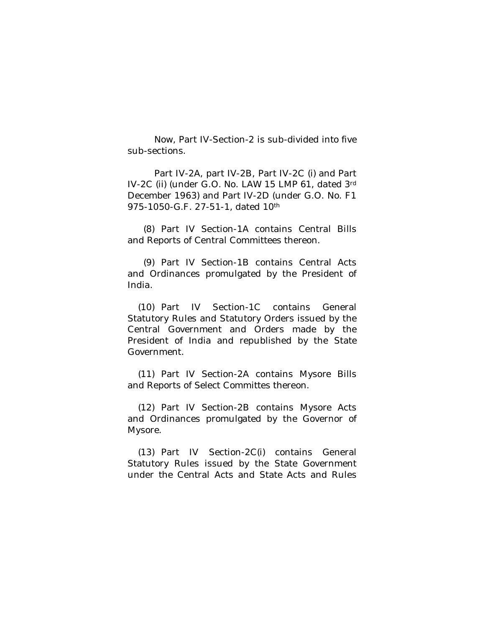Now, Part IV-Section-2 is sub-divided into five sub-sections.

Part IV-2A, part IV-2B, Part IV-2C (i) and Part IV-2C (ii) (under G.O. No. LAW 15 LMP 61, dated 3rd December 1963) and Part IV-2D (under G.O. No. F1 975-1050-G.F. 27-51-1, dated 10<sup>th</sup>

(8) Part IV Section-1A contains Central Bills and Reports of Central Committees thereon.

(9) Part IV Section-1B contains Central Acts and Ordinances promulgated by the President of India.

(10) Part IV Section-1C contains General Statutory Rules and Statutory Orders issued by the Central Government and Orders made by the President of India and republished by the State Government.

(11) Part IV Section-2A contains Mysore Bills and Reports of Select Committes thereon.

(12) Part IV Section-2B contains Mysore Acts and Ordinances promulgated by the Governor of Mysore.

(13) Part IV Section-2C(i) contains General Statutory Rules issued by the State Government under the Central Acts and State Acts and Rules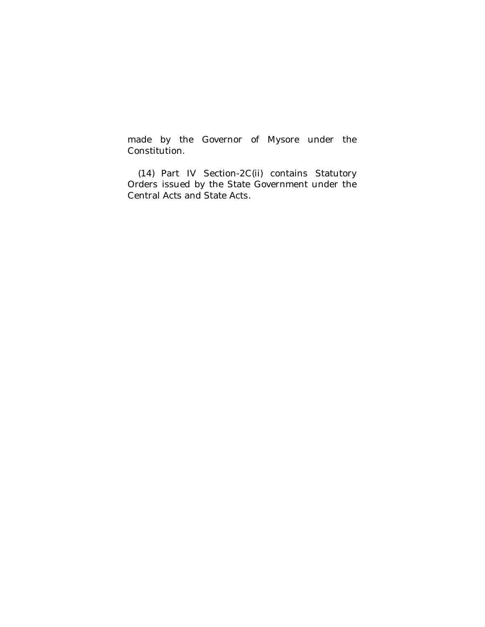made by the Governor of Mysore under the Constitution.

(14) Part IV Section-2C(ii) contains Statutory Orders issued by the State Government under the Central Acts and State Acts.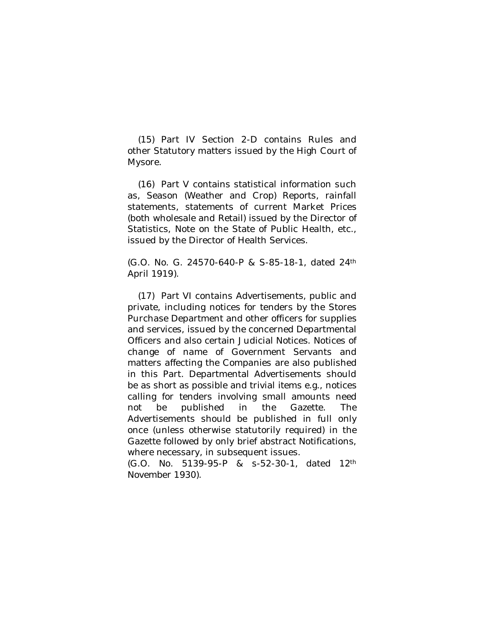(15) Part IV Section 2-D contains Rules and other Statutory matters issued by the High Court of Mysore.

(16) Part V contains statistical information such as, Season (Weather and Crop) Reports, rainfall statements, statements of current Market Prices (both wholesale and Retail) issued by the Director of Statistics, Note on the State of Public Health, etc., issued by the Director of Health Services.

(G.O. No. G. 24570-640-P & S-85-18-1, dated 24th April 1919).

(17) Part VI contains Advertisements, public and private, including notices for tenders by the Stores Purchase Department and other officers for supplies and services, issued by the concerned Departmental Officers and also certain Judicial Notices. Notices of change of name of Government Servants and matters affecting the Companies are also published in this Part. Departmental Advertisements should be as short as possible and trivial items e.g., notices calling for tenders involving small amounts need not be published in the Gazette. The Advertisements should be published in full only once (unless otherwise statutorily required) in the Gazette followed by only brief abstract Notifications, where necessary, in subsequent issues.

(G.O. No. 5139-95-P & s-52-30-1, dated 12th November 1930).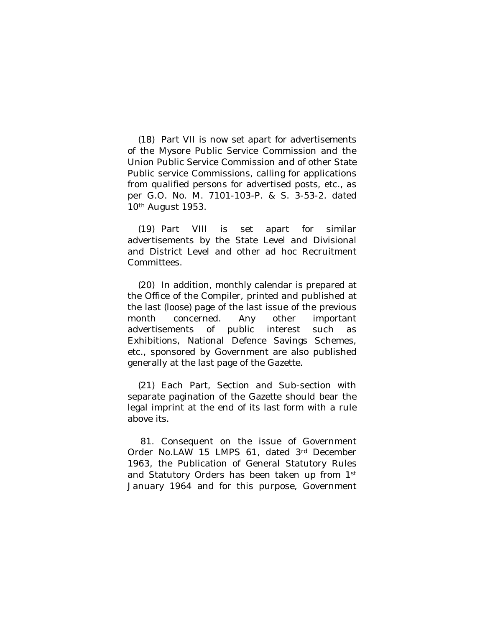(18) Part VII is now set apart for advertisements of the Mysore Public Service Commission and the Union Public Service Commission and of other State Public service Commissions, calling for applications from qualified persons for advertised posts, etc., as per G.O. No. M. 7101-103-P. & S. 3-53-2. dated 10th August 1953.

(19) Part VIII is set apart for similar advertisements by the State Level and Divisional and District Level and other ad hoc Recruitment Committees.

(20) In addition, monthly calendar is prepared at the Office of the Compiler, printed and published at the last (loose) page of the last issue of the previous month concerned. Any other important advertisements of public interest such as Exhibitions, National Defence Savings Schemes, etc., sponsored by Government are also published generally at the last page of the Gazette.

(21) Each Part, Section and Sub-section with separate pagination of the Gazette should bear the legal imprint at the end of its last form with a rule above its.

81. Consequent on the issue of Government Order No.LAW 15 LMPS 61, dated 3rd December 1963, the Publication of General Statutory Rules and Statutory Orders has been taken up from 1st January 1964 and for this purpose, Government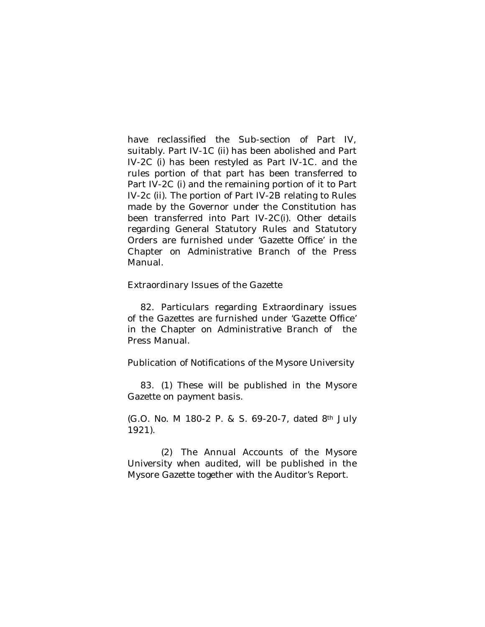have reclassified the Sub-section of Part IV, suitably. Part IV-1C (ii) has been abolished and Part IV-2C (i) has been restyled as Part IV-1C. and the rules portion of that part has been transferred to Part IV-2C (i) and the remaining portion of it to Part IV-2c (ii). The portion of Part IV-2B relating to Rules made by the Governor under the Constitution has been transferred into Part IV-2C(i). Other details regarding General Statutory Rules and Statutory Orders are furnished under 'Gazette Office' in the Chapter on Administrative Branch of the Press Manual.

Extraordinary Issues of the Gazette

82. Particulars regarding Extraordinary issues of the Gazettes are furnished under 'Gazette Office' in the Chapter on Administrative Branch of the Press Manual.

Publication of Notifications of the Mysore University

83. (1) These will be published in the Mysore Gazette on payment basis.

(G.O. No. M 180-2 P. & S. 69-20-7, dated 8th July 1921).

(2) The Annual Accounts of the Mysore University when audited, will be published in the Mysore Gazette together with the Auditor's Report.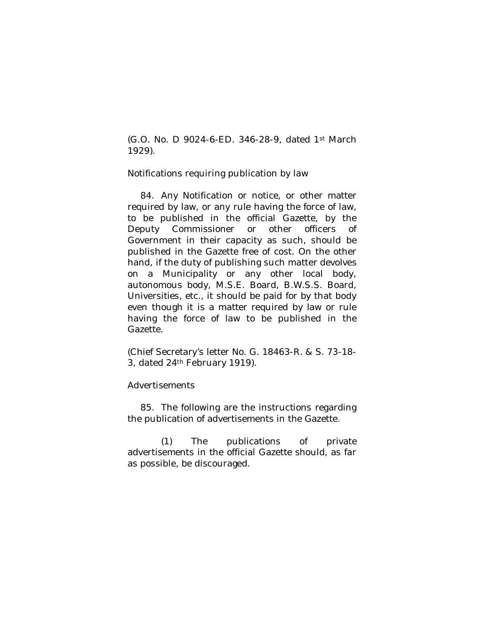(G.O. No. D 9024-6-ED. 346-28-9, dated 1st March 1929).

Notifications requiring publication by law

84. Any Notification or notice, or other matter required by law, or any rule having the force of law, to be published in the official Gazette, by the Deputy Commissioner or other officers of Government in their capacity as such, should be published in the Gazette free of cost. On the other hand, if the duty of publishing such matter devolves on a Municipality or any other local body, autonomous body, M.S.E. Board, B.W.S.S. Board, Universities, etc., it should be paid for by that body even though it is a matter required by law or rule having the force of law to be published in the Gazette.

(Chief Secretary's letter No. G. 18463-R. & S. 73-18- 3, dated 24th February 1919).

### Advertisements

85. The following are the instructions regarding the publication of advertisements in the Gazette.

(1) The publications of private advertisements in the official Gazette should, as far as possible, be discouraged.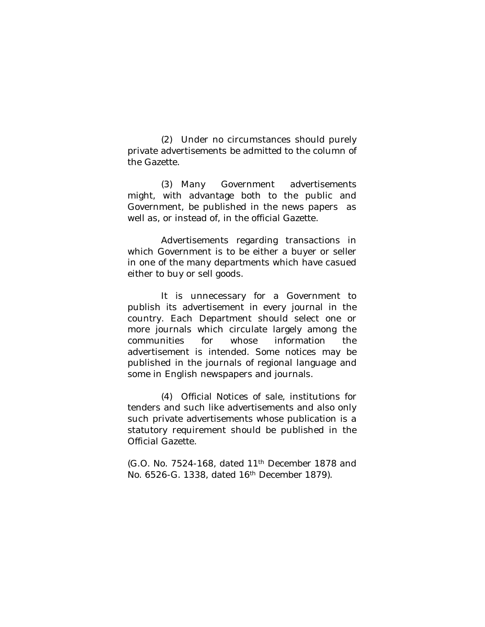(2) Under no circumstances should purely private advertisements be admitted to the column of the Gazette.

(3) Many Government advertisements might, with advantage both to the public and Government, be published in the news papers as well as, or instead of, in the official Gazette.

Advertisements regarding transactions in which Government is to be either a buyer or seller in one of the many departments which have casued either to buy or sell goods.

It is unnecessary for a Government to publish its advertisement in every journal in the country. Each Department should select one or more journals which circulate largely among the communities for whose information the advertisement is intended. Some notices may be published in the journals of regional language and some in English newspapers and journals.

(4) Official Notices of sale, institutions for tenders and such like advertisements and also only such private advertisements whose publication is a statutory requirement should be published in the Official Gazette.

(G.O. No. 7524-168, dated 11th December 1878 and No. 6526-G. 1338, dated 16th December 1879).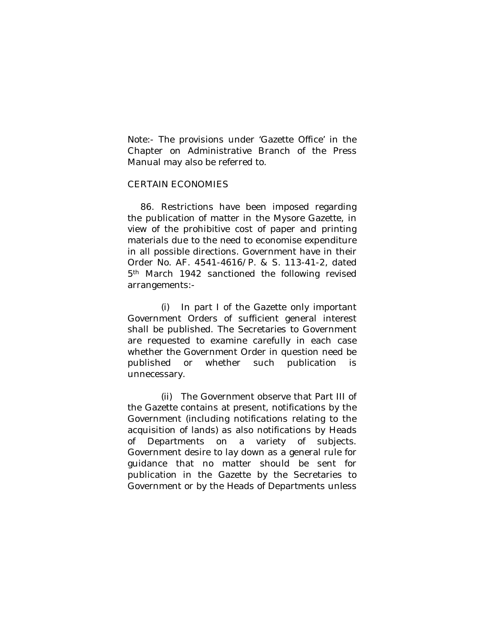Note:- The provisions under 'Gazette Office' in the Chapter on Administrative Branch of the Press Manual may also be referred to.

## CERTAIN ECONOMIES

86. Restrictions have been imposed regarding the publication of matter in the Mysore Gazette, in view of the prohibitive cost of paper and printing materials due to the need to economise expenditure in all possible directions. Government have in their Order No. AF. 4541-4616/P. & S. 113-41-2, dated 5<sup>th</sup> March 1942 sanctioned the following revised arrangements:-

(i) In part I of the Gazette only important Government Orders of sufficient general interest shall be published. The Secretaries to Government are requested to examine carefully in each case whether the Government Order in question need be published or whether such publication is unnecessary.

(ii) The Government observe that Part III of the Gazette contains at present, notifications by the Government (including notifications relating to the acquisition of lands) as also notifications by Heads of Departments on a variety of subjects. Government desire to lay down as a general rule for guidance that no matter should be sent for publication in the Gazette by the Secretaries to Government or by the Heads of Departments unless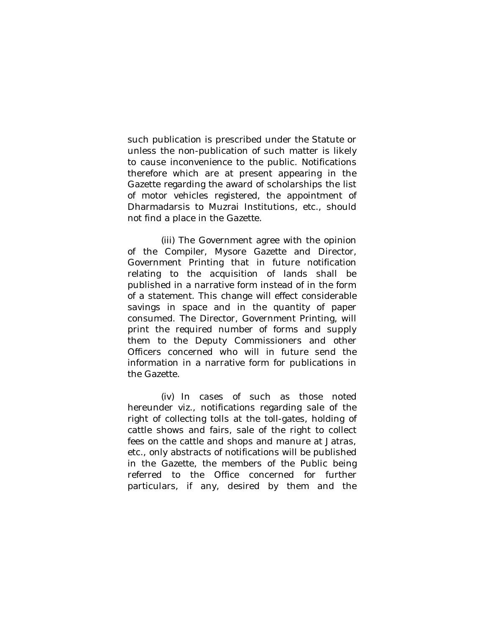such publication is prescribed under the Statute or unless the non-publication of such matter is likely to cause inconvenience to the public. Notifications therefore which are at present appearing in the Gazette regarding the award of scholarships the list of motor vehicles registered, the appointment of Dharmadarsis to Muzrai Institutions, etc., should not find a place in the Gazette.

(iii) The Government agree with the opinion of the Compiler, Mysore Gazette and Director, Government Printing that in future notification relating to the acquisition of lands shall be published in a narrative form instead of in the form of a statement. This change will effect considerable savings in space and in the quantity of paper consumed. The Director, Government Printing, will print the required number of forms and supply them to the Deputy Commissioners and other Officers concerned who will in future send the information in a narrative form for publications in the Gazette.

(iv) In cases of such as those noted hereunder viz., notifications regarding sale of the right of collecting tolls at the toll-gates, holding of cattle shows and fairs, sale of the right to collect fees on the cattle and shops and manure at Jatras, etc., only abstracts of notifications will be published in the Gazette, the members of the Public being referred to the Office concerned for further particulars, if any, desired by them and the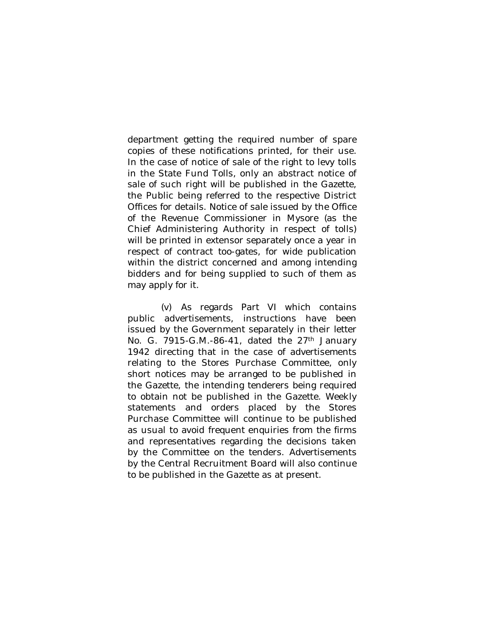department getting the required number of spare copies of these notifications printed, for their use. In the case of notice of sale of the right to levy tolls in the State Fund Tolls, only an abstract notice of sale of such right will be published in the Gazette, the Public being referred to the respective District Offices for details. Notice of sale issued by the Office of the Revenue Commissioner in Mysore (as the Chief Administering Authority in respect of tolls) will be printed in extensor separately once a year in respect of contract too-gates, for wide publication within the district concerned and among intending bidders and for being supplied to such of them as may apply for it.

(v) As regards Part VI which contains public advertisements, instructions have been issued by the Government separately in their letter No. G. 7915-G.M.-86-41, dated the  $27<sup>th</sup>$  January 1942 directing that in the case of advertisements relating to the Stores Purchase Committee, only short notices may be arranged to be published in the Gazette, the intending tenderers being required to obtain not be published in the Gazette. Weekly statements and orders placed by the Stores Purchase Committee will continue to be published as usual to avoid frequent enquiries from the firms and representatives regarding the decisions taken by the Committee on the tenders. Advertisements by the Central Recruitment Board will also continue to be published in the Gazette as at present.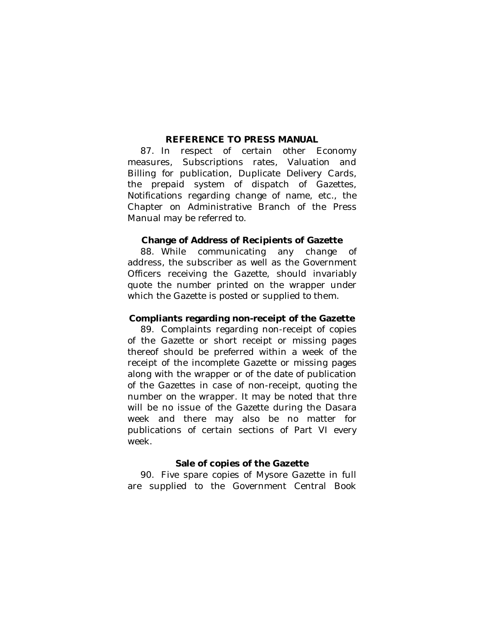### **REFERENCE TO PRESS MANUAL**

87. In respect of certain other Economy measures, Subscriptions rates, Valuation and Billing for publication, Duplicate Delivery Cards, the prepaid system of dispatch of Gazettes, Notifications regarding change of name, etc., the Chapter on Administrative Branch of the Press Manual may be referred to.

#### **Change of Address of Recipients of Gazette**

88. While communicating any change of address, the subscriber as well as the Government Officers receiving the Gazette, should invariably quote the number printed on the wrapper under which the Gazette is posted or supplied to them.

### **Compliants regarding non-receipt of the Gazette**

89. Complaints regarding non-receipt of copies of the Gazette or short receipt or missing pages thereof should be preferred within a week of the receipt of the incomplete Gazette or missing pages along with the wrapper or of the date of publication of the Gazettes in case of non-receipt, quoting the number on the wrapper. It may be noted that thre will be no issue of the Gazette during the Dasara week and there may also be no matter for publications of certain sections of Part VI every week.

#### **Sale of copies of the Gazette**

90. Five spare copies of Mysore Gazette in full are supplied to the Government Central Book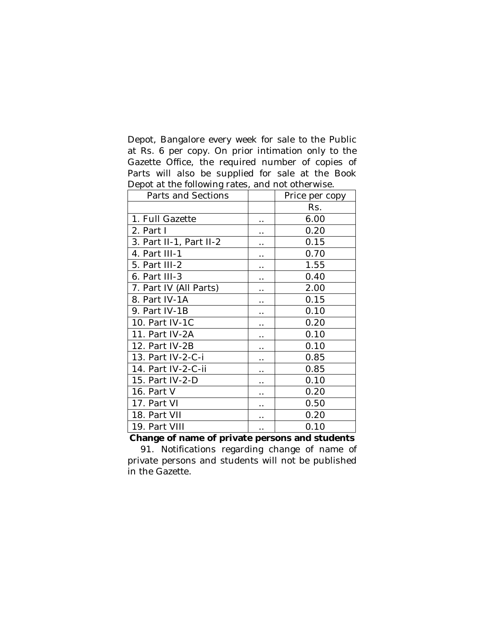Depot, Bangalore every week for sale to the Public at Rs. 6 per copy. On prior intimation only to the Gazette Office, the required number of copies of Parts will also be supplied for sale at the Book Depot at the following rates, and not otherwise.

| Parts and Sections      |                      | Price per copy |
|-------------------------|----------------------|----------------|
|                         |                      | Rs.            |
| 1. Full Gazette         |                      | 6.00           |
| 2. Part I               | $\ddot{\phantom{0}}$ | 0.20           |
| 3. Part II-1, Part II-2 | . .                  | 0.15           |
| 4. Part III-1           | $\ddot{\phantom{0}}$ | 0.70           |
| 5. Part III-2           | . .                  | 1.55           |
| 6. Part III-3           | . .                  | 0.40           |
| 7. Part IV (All Parts)  |                      | 2.00           |
| 8. Part IV-1A           | . .                  | 0.15           |
| 9. Part IV-1B           | $\cdot$ .            | 0.10           |
| 10. Part IV-1C          |                      | 0.20           |
| 11. Part IV-2A          | . .                  | 0.10           |
| 12. Part IV-2B          |                      | 0.10           |
| 13. Part IV-2-C-i       | $\cdot$ .            | 0.85           |
| 14. Part IV-2-C-ii      |                      | 0.85           |
| 15. Part IV-2-D         | $\ddot{\phantom{0}}$ | 0.10           |
| 16. Part V              |                      | 0.20           |
| 17. Part VI             | $\cdot$ .            | 0.50           |
| 18. Part VII            | $\ddot{\phantom{0}}$ | 0.20           |
| 19. Part VIII           | $\ddot{\phantom{0}}$ | 0.10           |

**Change of name of private persons and students**

91. Notifications regarding change of name of private persons and students will not be published in the Gazette.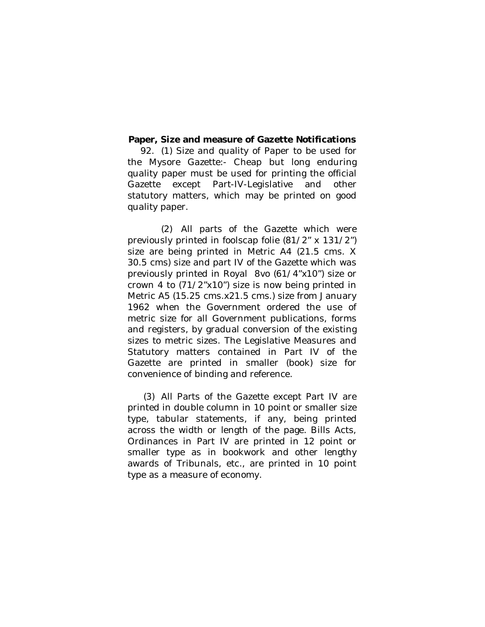### **Paper, Size and measure of Gazette Notifications**

92. (1) Size and quality of Paper to be used for the Mysore Gazette:- Cheap but long enduring quality paper must be used for printing the official Gazette except Part-IV-Legislative and other statutory matters, which may be printed on good quality paper.

(2) All parts of the Gazette which were previously printed in foolscap folie (81/2" x 131/2") size are being printed in Metric A4 (21.5 cms. X 30.5 cms) size and part IV of the Gazette which was previously printed in Royal 8vo (61/4"x10") size or crown 4 to (71/2"x10") size is now being printed in Metric A5 (15.25 cms.x21.5 cms.) size from January 1962 when the Government ordered the use of metric size for all Government publications, forms and registers, by gradual conversion of the existing sizes to metric sizes. The Legislative Measures and Statutory matters contained in Part IV of the Gazette are printed in smaller (book) size for convenience of binding and reference.

(3) All Parts of the Gazette except Part IV are printed in double column in 10 point or smaller size type, tabular statements, if any, being printed across the width or length of the page. Bills Acts, Ordinances in Part IV are printed in 12 point or smaller type as in bookwork and other lengthy awards of Tribunals, etc., are printed in 10 point type as a measure of economy.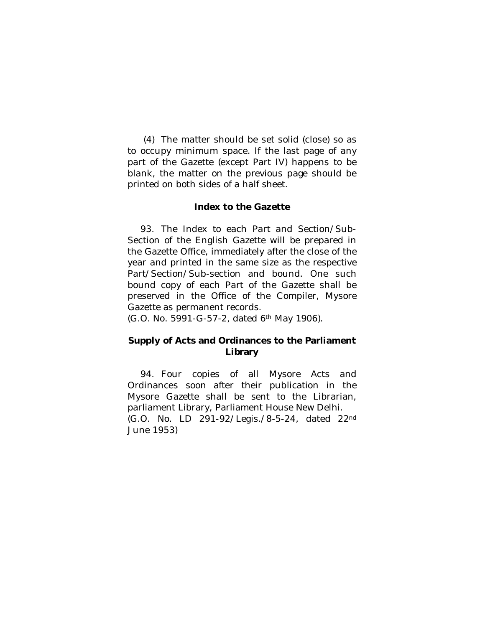(4) The matter should be set solid (close) so as to occupy minimum space. If the last page of any part of the Gazette (except Part IV) happens to be blank, the matter on the previous page should be printed on both sides of a half sheet.

### **Index to the Gazette**

93. The Index to each Part and Section/Sub-Section of the English Gazette will be prepared in the Gazette Office, immediately after the close of the year and printed in the same size as the respective Part/Section/Sub-section and bound. One such bound copy of each Part of the Gazette shall be preserved in the Office of the Compiler, Mysore Gazette as permanent records.

(G.O. No. 5991-G-57-2, dated 6th May 1906).

# **Supply of Acts and Ordinances to the Parliament Library**

94. Four copies of all Mysore Acts and Ordinances soon after their publication in the Mysore Gazette shall be sent to the Librarian, parliament Library, Parliament House New Delhi. (G.O. No. LD 291-92/Legis./8-5-24, dated 22nd June 1953)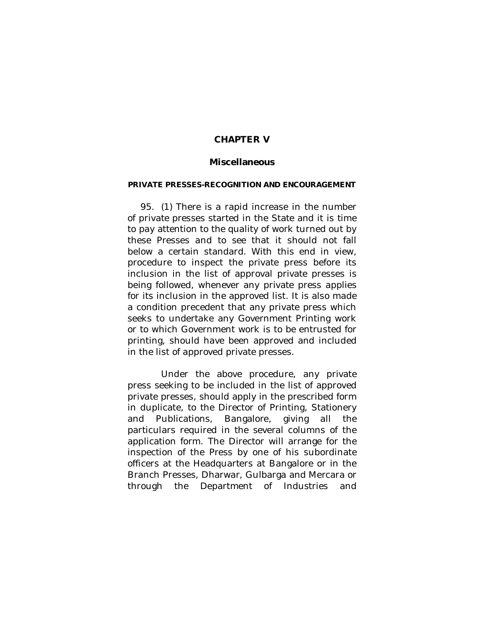## **CHAPTER V**

# **Miscellaneous**

#### **PRIVATE PRESSES-RECOGNITION AND ENCOURAGEMENT**

95. (1) There is a rapid increase in the number of private presses started in the State and it is time to pay attention to the quality of work turned out by these Presses and to see that it should not fall below a certain standard. With this end in view, procedure to inspect the private press before its inclusion in the list of approval private presses is being followed, whenever any private press applies for its inclusion in the approved list. It is also made a condition precedent that any private press which seeks to undertake any Government Printing work or to which Government work is to be entrusted for printing, should have been approved and included in the list of approved private presses.

Under the above procedure, any private press seeking to be included in the list of approved private presses, should apply in the prescribed form in duplicate, to the Director of Printing, Stationery and Publications, Bangalore, giving all the particulars required in the several columns of the application form. The Director will arrange for the inspection of the Press by one of his subordinate officers at the Headquarters at Bangalore or in the Branch Presses, Dharwar, Gulbarga and Mercara or through the Department of Industries and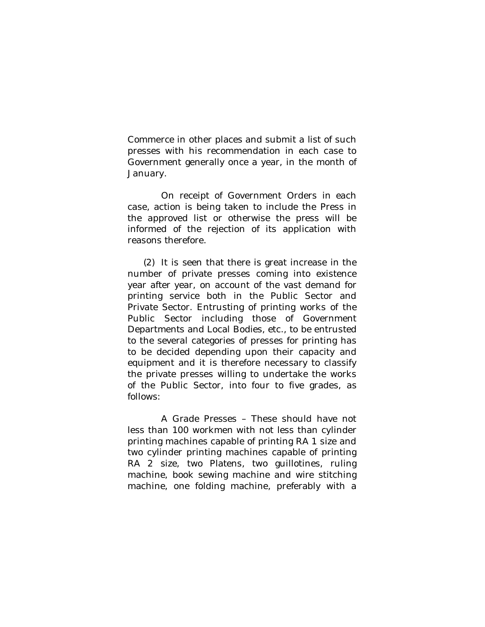Commerce in other places and submit a list of such presses with his recommendation in each case to Government generally once a year, in the month of January.

On receipt of Government Orders in each case, action is being taken to include the Press in the approved list or otherwise the press will be informed of the rejection of its application with reasons therefore.

(2) It is seen that there is great increase in the number of private presses coming into existence year after year, on account of the vast demand for printing service both in the Public Sector and Private Sector. Entrusting of printing works of the Public Sector including those of Government Departments and Local Bodies, etc., to be entrusted to the several categories of presses for printing has to be decided depending upon their capacity and equipment and it is therefore necessary to classify the private presses willing to undertake the works of the Public Sector, into four to five grades, as follows:

A Grade Presses – These should have not less than 100 workmen with not less than cylinder printing machines capable of printing RA 1 size and two cylinder printing machines capable of printing RA 2 size, two Platens, two guillotines, ruling machine, book sewing machine and wire stitching machine, one folding machine, preferably with a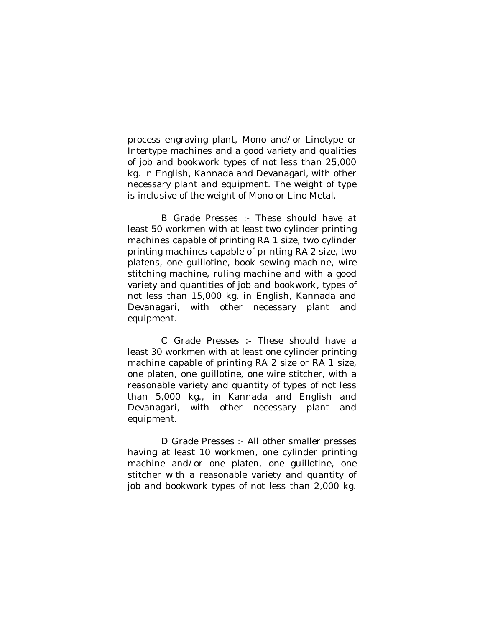process engraving plant, Mono and/or Linotype or Intertype machines and a good variety and qualities of job and bookwork types of not less than 25,000 kg. in English, Kannada and Devanagari, with other necessary plant and equipment. The weight of type is inclusive of the weight of Mono or Lino Metal.

B Grade Presses :- These should have at least 50 workmen with at least two cylinder printing machines capable of printing RA 1 size, two cylinder printing machines capable of printing RA 2 size, two platens, one guillotine, book sewing machine, wire stitching machine, ruling machine and with a good variety and quantities of job and bookwork, types of not less than 15,000 kg. in English, Kannada and Devanagari, with other necessary plant and equipment.

C Grade Presses :- These should have a least 30 workmen with at least one cylinder printing machine capable of printing RA 2 size or RA 1 size, one platen, one guillotine, one wire stitcher, with a reasonable variety and quantity of types of not less than 5,000 kg., in Kannada and English and Devanagari, with other necessary plant and equipment.

D Grade Presses :- All other smaller presses having at least 10 workmen, one cylinder printing machine and/or one platen, one guillotine, one stitcher with a reasonable variety and quantity of job and bookwork types of not less than 2,000 kg.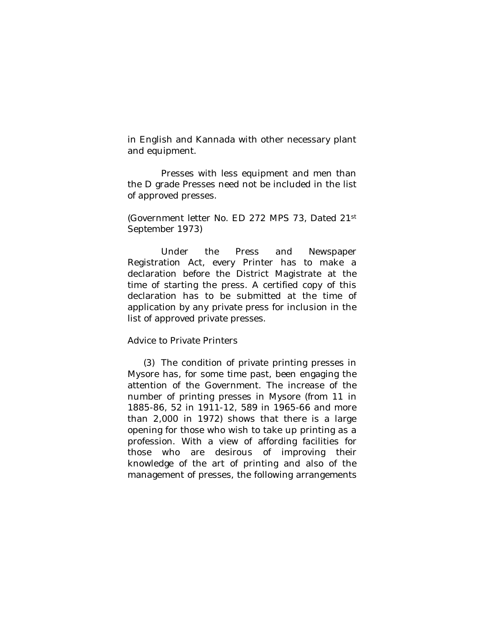in English and Kannada with other necessary plant and equipment.

Presses with less equipment and men than the D grade Presses need not be included in the list of approved presses.

(Government letter No. ED 272 MPS 73, Dated 21st September 1973)

Under the Press and Newspaper Registration Act, every Printer has to make a declaration before the District Magistrate at the time of starting the press. A certified copy of this declaration has to be submitted at the time of application by any private press for inclusion in the list of approved private presses.

### Advice to Private Printers

(3) The condition of private printing presses in Mysore has, for some time past, been engaging the attention of the Government. The increase of the number of printing presses in Mysore (from 11 in 1885-86, 52 in 1911-12, 589 in 1965-66 and more than 2,000 in 1972) shows that there is a large opening for those who wish to take up printing as a profession. With a view of affording facilities for those who are desirous of improving their knowledge of the art of printing and also of the management of presses, the following arrangements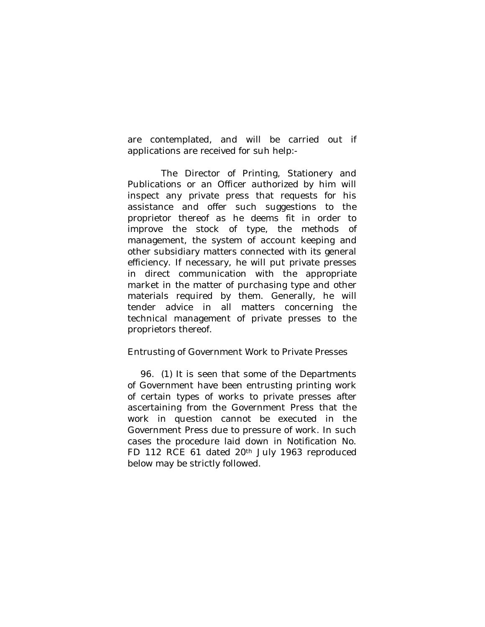are contemplated, and will be carried out if applications are received for suh help:-

The Director of Printing, Stationery and Publications or an Officer authorized by him will inspect any private press that requests for his assistance and offer such suggestions to the proprietor thereof as he deems fit in order to improve the stock of type, the methods of management, the system of account keeping and other subsidiary matters connected with its general efficiency. If necessary, he will put private presses in direct communication with the appropriate market in the matter of purchasing type and other materials required by them. Generally, he will tender advice in all matters concerning the technical management of private presses to the proprietors thereof.

## Entrusting of Government Work to Private Presses

96. (1) It is seen that some of the Departments of Government have been entrusting printing work of certain types of works to private presses after ascertaining from the Government Press that the work in question cannot be executed in the Government Press due to pressure of work. In such cases the procedure laid down in Notification No. FD 112 RCE 61 dated 20<sup>th</sup> July 1963 reproduced below may be strictly followed.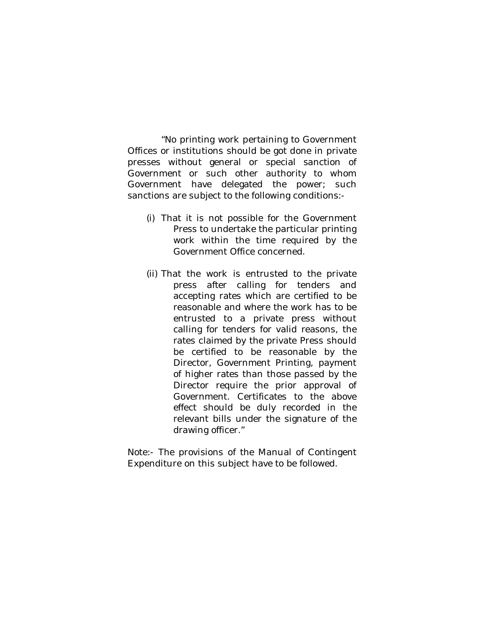"No printing work pertaining to Government Offices or institutions should be got done in private presses without general or special sanction of Government or such other authority to whom Government have delegated the power; such sanctions are subject to the following conditions:-

- (i) That it is not possible for the Government Press to undertake the particular printing work within the time required by the Government Office concerned.
- (ii) That the work is entrusted to the private press after calling for tenders and accepting rates which are certified to be reasonable and where the work has to be entrusted to a private press without calling for tenders for valid reasons, the rates claimed by the private Press should be certified to be reasonable by the Director, Government Printing, payment of higher rates than those passed by the Director require the prior approval of Government. Certificates to the above effect should be duly recorded in the relevant bills under the signature of the drawing officer."

Note:- The provisions of the Manual of Contingent Expenditure on this subject have to be followed.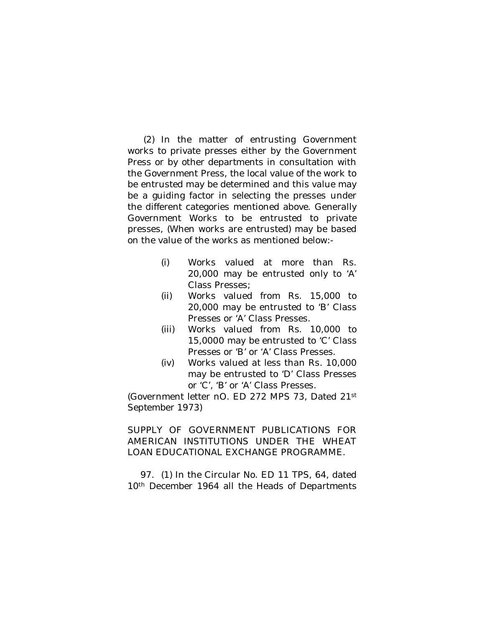(2) In the matter of entrusting Government works to private presses either by the Government Press or by other departments in consultation with the Government Press, the local value of the work to be entrusted may be determined and this value may be a guiding factor in selecting the presses under the different categories mentioned above. Generally Government Works to be entrusted to private presses, (When works are entrusted) may be based on the value of the works as mentioned below:-

- (i) Works valued at more than Rs. 20,000 may be entrusted only to 'A' Class Presses;
- (ii) Works valued from Rs. 15,000 to 20,000 may be entrusted to 'B' Class Presses or 'A' Class Presses.
- (iii) Works valued from Rs. 10,000 to 15,0000 may be entrusted to 'C' Class Presses or 'B' or 'A' Class Presses.
- (iv) Works valued at less than Rs. 10,000 may be entrusted to 'D' Class Presses or 'C', 'B' or 'A' Class Presses.

(Government letter nO. ED 272 MPS 73, Dated 21st September 1973)

SUPPLY OF GOVERNMENT PUBLICATIONS FOR AMERICAN INSTITUTIONS UNDER THE WHEAT LOAN EDUCATIONAL EXCHANGE PROGRAMME.

97. (1) In the Circular No. ED 11 TPS, 64, dated 10<sup>th</sup> December 1964 all the Heads of Departments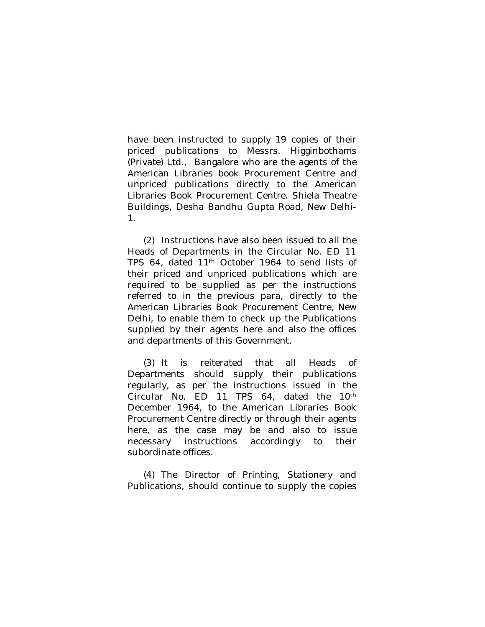have been instructed to supply 19 copies of their priced publications to Messrs. Higginbothams (Private) Ltd., Bangalore who are the agents of the American Libraries book Procurement Centre and unpriced publications directly to the American Libraries Book Procurement Centre. Shiela Theatre Buildings, Desha Bandhu Gupta Road, New Delhi-1.

(2) Instructions have also been issued to all the Heads of Departments in the Circular No. ED 11 TPS 64, dated 11th October 1964 to send lists of their priced and unpriced publications which are required to be supplied as per the instructions referred to in the previous para, directly to the American Libraries Book Procurement Centre, New Delhi, to enable them to check up the Publications supplied by their agents here and also the offices and departments of this Government.

(3) It is reiterated that all Heads of Departments should supply their publications regularly, as per the instructions issued in the Circular No. ED 11 TPS 64, dated the 10<sup>th</sup> December 1964, to the American Libraries Book Procurement Centre directly or through their agents here, as the case may be and also to issue necessary instructions accordingly to their subordinate offices.

(4) The Director of Printing, Stationery and Publications, should continue to supply the copies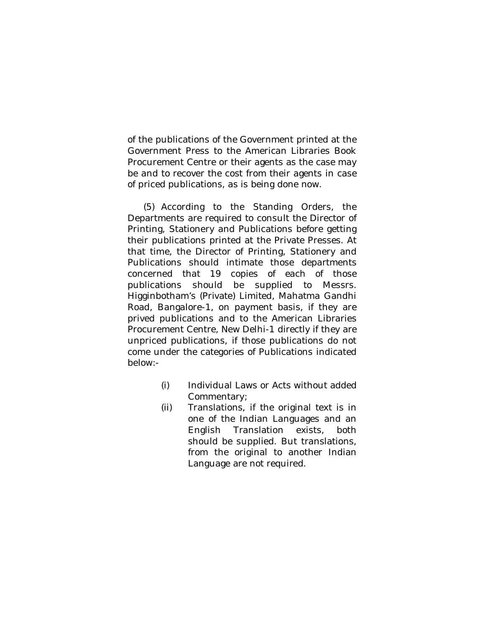of the publications of the Government printed at the Government Press to the American Libraries Book Procurement Centre or their agents as the case may be and to recover the cost from their agents in case of priced publications, as is being done now.

(5) According to the Standing Orders, the Departments are required to consult the Director of Printing, Stationery and Publications before getting their publications printed at the Private Presses. At that time, the Director of Printing, Stationery and Publications should intimate those departments concerned that 19 copies of each of those publications should be supplied to Messrs. Higginbotham's (Private) Limited, Mahatma Gandhi Road, Bangalore-1, on payment basis, if they are prived publications and to the American Libraries Procurement Centre, New Delhi-1 directly if they are unpriced publications, if those publications do not come under the categories of Publications indicated below:-

- (i) Individual Laws or Acts without added Commentary;
- (ii) Translations, if the original text is in one of the Indian Languages and an English Translation exists, both should be supplied. But translations, from the original to another Indian Language are not required.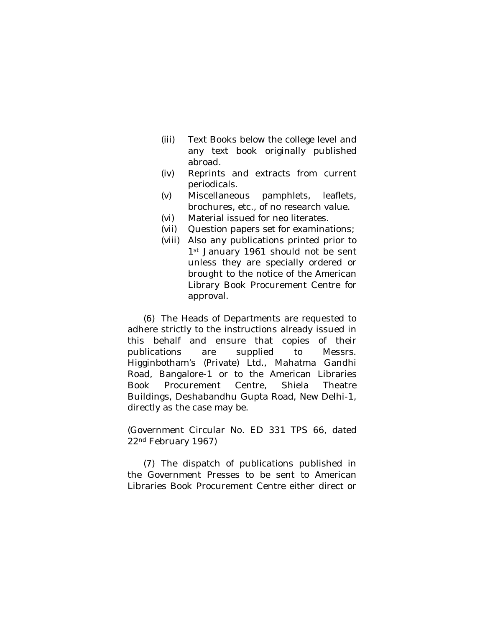- (iii) Text Books below the college level and any text book originally published abroad.
- (iv) Reprints and extracts from current periodicals.
- (v) Miscellaneous pamphlets, leaflets, brochures, etc., of no research value.
- (vi) Material issued for neo literates.
- (vii) Question papers set for examinations;
- (viii) Also any publications printed prior to 1st January 1961 should not be sent unless they are specially ordered or brought to the notice of the American Library Book Procurement Centre for approval.

(6) The Heads of Departments are requested to adhere strictly to the instructions already issued in this behalf and ensure that copies of their publications are supplied to Messrs. Higginbotham's (Private) Ltd., Mahatma Gandhi Road, Bangalore-1 or to the American Libraries Book Procurement Centre, Shiela Theatre Buildings, Deshabandhu Gupta Road, New Delhi-1, directly as the case may be.

(Government Circular No. ED 331 TPS 66, dated 22nd February 1967)

(7) The dispatch of publications published in the Government Presses to be sent to American Libraries Book Procurement Centre either direct or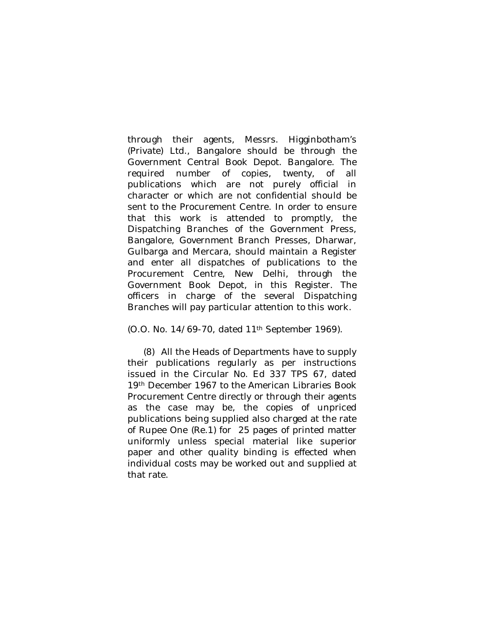through their agents, Messrs. Higginbotham's (Private) Ltd., Bangalore should be through the Government Central Book Depot. Bangalore. The required number of copies, twenty, of all publications which are not purely official in character or which are not confidential should be sent to the Procurement Centre. In order to ensure that this work is attended to promptly, the Dispatching Branches of the Government Press, Bangalore, Government Branch Presses, Dharwar, Gulbarga and Mercara, should maintain a Register and enter all dispatches of publications to the Procurement Centre, New Delhi, through the Government Book Depot, in this Register. The officers in charge of the several Dispatching Branches will pay particular attention to this work.

(O.O. No. 14/69-70, dated 11th September 1969).

(8) All the Heads of Departments have to supply their publications regularly as per instructions issued in the Circular No. Ed 337 TPS 67, dated 19th December 1967 to the American Libraries Book Procurement Centre directly or through their agents as the case may be, the copies of unpriced publications being supplied also charged at the rate of Rupee One (Re.1) for 25 pages of printed matter uniformly unless special material like superior paper and other quality binding is effected when individual costs may be worked out and supplied at that rate.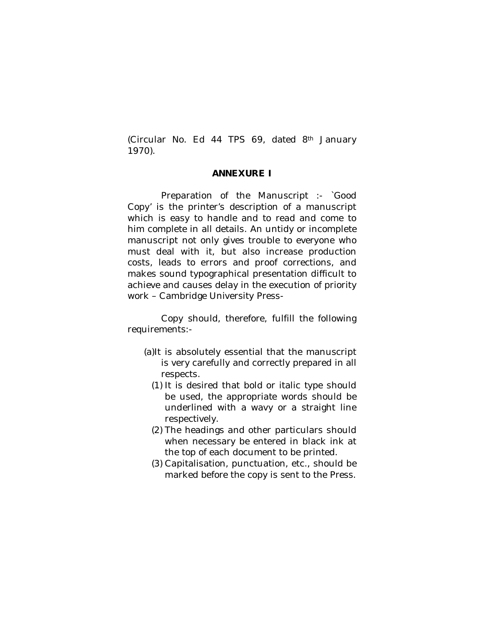(Circular No. Ed 44 TPS 69, dated 8th January 1970).

### **ANNEXURE I**

Preparation of the Manuscript :- `Good Copy' is the printer's description of a manuscript which is easy to handle and to read and come to him complete in all details. An untidy or incomplete manuscript not only gives trouble to everyone who must deal with it, but also increase production costs, leads to errors and proof corrections, and makes sound typographical presentation difficult to achieve and causes delay in the execution of priority work – Cambridge University Press-

Copy should, therefore, fulfill the following requirements:-

- (a)It is absolutely essential that the manuscript is very carefully and correctly prepared in all respects.
	- (1) It is desired that bold or italic type should be used, the appropriate words should be underlined with a wavy or a straight line respectively.
	- (2) The headings and other particulars should when necessary be entered in black ink at the top of each document to be printed.
	- (3) Capitalisation, punctuation, etc., should be marked before the copy is sent to the Press.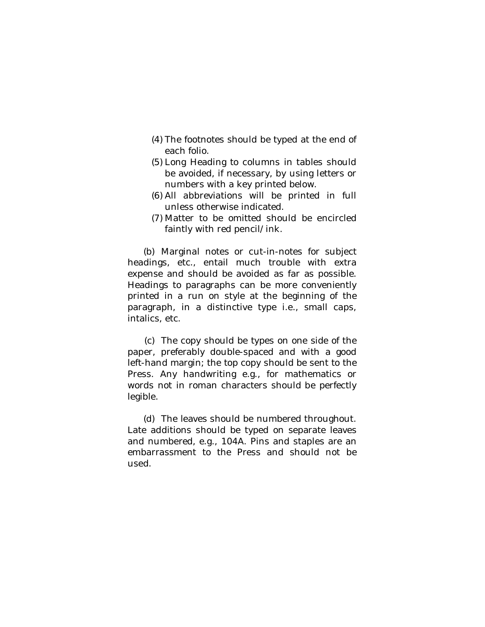- (4) The footnotes should be typed at the end of each folio.
- (5) Long Heading to columns in tables should be avoided, if necessary, by using letters or numbers with a key printed below.
- (6) All abbreviations will be printed in full unless otherwise indicated.
- (7) Matter to be omitted should be encircled faintly with red pencil/ink.

(b) Marginal notes or cut-in-notes for subject headings, etc., entail much trouble with extra expense and should be avoided as far as possible. Headings to paragraphs can be more conveniently printed in a run on style at the beginning of the paragraph, in a distinctive type i.e., small caps, intalics, etc.

(c) The copy should be types on one side of the paper, preferably double-spaced and with a good left-hand margin; the top copy should be sent to the Press. Any handwriting e.g., for mathematics or words not in roman characters should be perfectly legible.

(d) The leaves should be numbered throughout. Late additions should be typed on separate leaves and numbered, e.g., 104A. Pins and staples are an embarrassment to the Press and should not be used.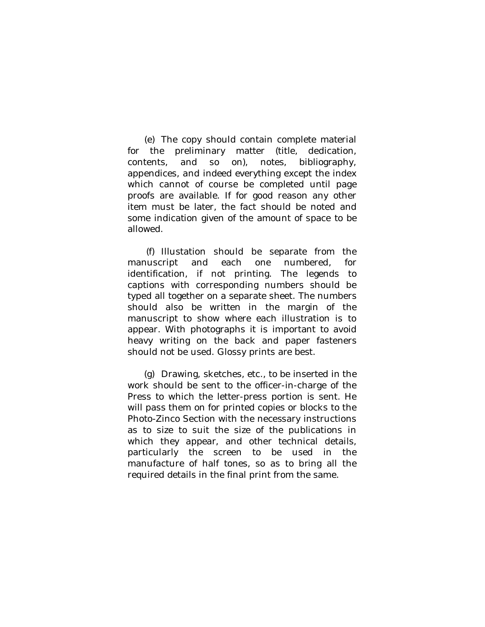(e) The copy should contain complete material for the preliminary matter (title, dedication, contents, and so on), notes, bibliography, appendices, and indeed everything except the index which cannot of course be completed until page proofs are available. If for good reason any other item must be later, the fact should be noted and some indication given of the amount of space to be allowed.

(f) Illustation should be separate from the manuscript and each one numbered, for identification, if not printing. The legends to captions with corresponding numbers should be typed all together on a separate sheet. The numbers should also be written in the margin of the manuscript to show where each illustration is to appear. With photographs it is important to avoid heavy writing on the back and paper fasteners should not be used. Glossy prints are best.

(g) Drawing, sketches, etc., to be inserted in the work should be sent to the officer-in-charge of the Press to which the letter-press portion is sent. He will pass them on for printed copies or blocks to the Photo-Zinco Section with the necessary instructions as to size to suit the size of the publications in which they appear, and other technical details, particularly the screen to be used in the manufacture of half tones, so as to bring all the required details in the final print from the same.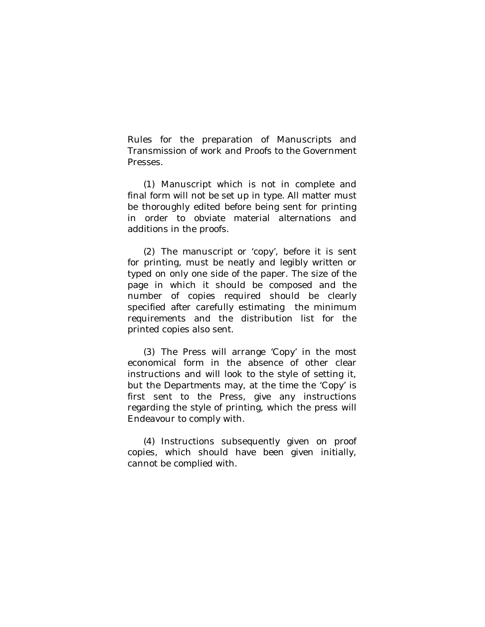Rules for the preparation of Manuscripts and Transmission of work and Proofs to the Government Presses.

(1) Manuscript which is not in complete and final form will not be set up in type. All matter must be thoroughly edited before being sent for printing in order to obviate material alternations and additions in the proofs.

(2) The manuscript or 'copy', before it is sent for printing, must be neatly and legibly written or typed on only one side of the paper. The size of the page in which it should be composed and the number of copies required should be clearly specified after carefully estimating the minimum requirements and the distribution list for the printed copies also sent.

(3) The Press will arrange 'Copy' in the most economical form in the absence of other clear instructions and will look to the style of setting it, but the Departments may, at the time the 'Copy' is first sent to the Press, give any instructions regarding the style of printing, which the press will Endeavour to comply with.

(4) Instructions subsequently given on proof copies, which should have been given initially, cannot be complied with.